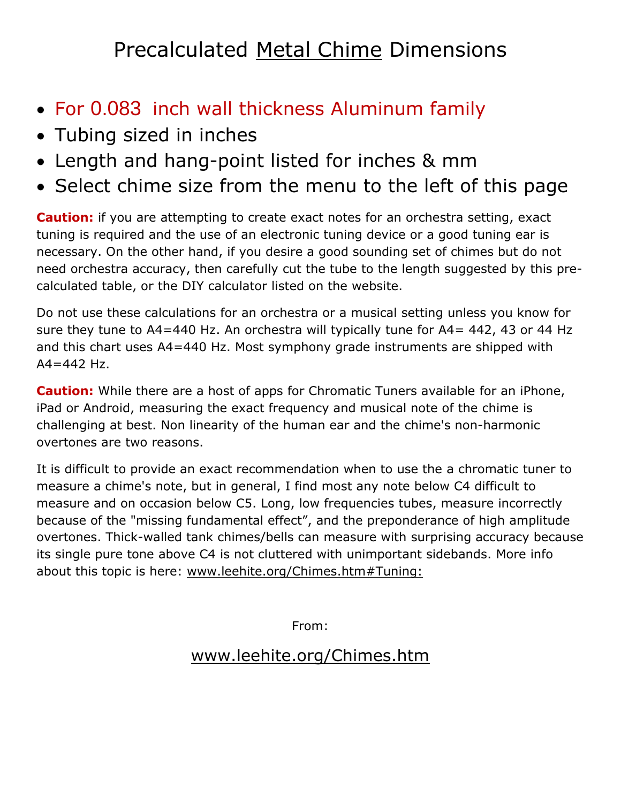## Precalculated Metal Chime Dimensions

- For 0.083 inch wall thickness Aluminum family
- Tubing sized in inches
- Length and hang-point listed for inches & mm
- Select chime size from the menu to the left of this page

**Caution:** if you are attempting to create exact notes for an orchestra setting, exact tuning is required and the use of an electronic tuning device or a good tuning ear is necessary. On the other hand, if you desire a good sounding set of chimes but do not need orchestra accuracy, then carefully cut the tube to the length suggested by this precalculated table, or the DIY calculator listed on the website.

Do not use these calculations for an orchestra or a musical setting unless you know for sure they tune to A4=440 Hz. An orchestra will typically tune for A4= 442, 43 or 44 Hz and this chart uses A4=440 Hz. Most symphony grade instruments are shipped with  $A4 = 442$  Hz.

**Caution:** While there are a host of apps for Chromatic Tuners available for an iPhone, iPad or Android, measuring the exact frequency and musical note of the chime is challenging at best. Non linearity of the human ear and the chime's non-harmonic overtones are two reasons.

It is difficult to provide an exact recommendation when to use the a chromatic tuner to measure a chime's note, but in general, I find most any note below C4 difficult to measure and on occasion below C5. Long, low frequencies tubes, measure incorrectly because of the "missing fundamental effect", and the preponderance of high amplitude overtones. Thick-walled tank chimes/bells can measure with surprising accuracy because its single pure tone above C4 is not cluttered with unimportant sidebands. More info about this topic is here: [www.leehite.org/Chimes.htm#Tuning:](http://leehite.org/Chimes.htm#Tuning:)

From:

## [www.leehite.org/Chimes.htm](http://www.leehite.org/Chimes.htm)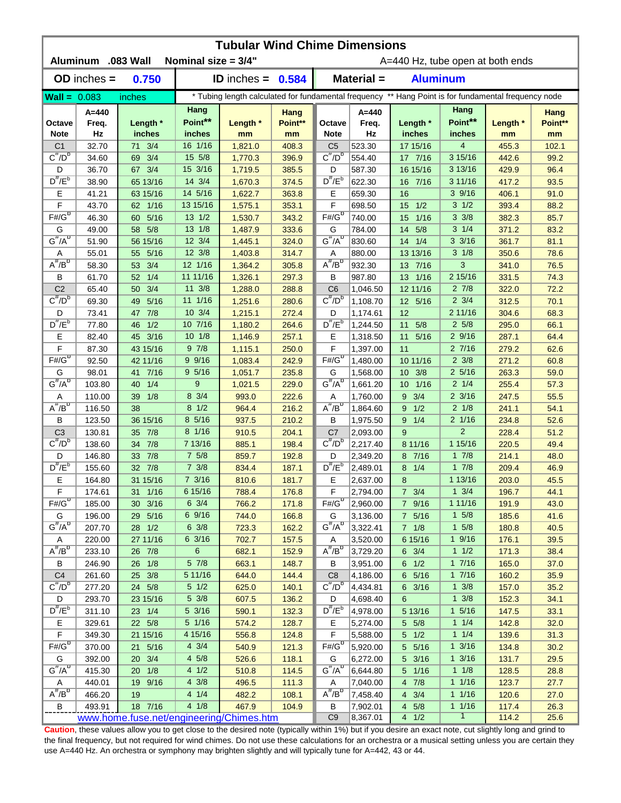| <b>Tubular Wind Chime Dimensions</b><br>Aluminum .083 Wall<br>Nominal size $= 3/4"$<br>A=440 Hz, tube open at both ends                                                                      |                                           |  |  |  |  |  |  |  |  |  |  |  |  |
|----------------------------------------------------------------------------------------------------------------------------------------------------------------------------------------------|-------------------------------------------|--|--|--|--|--|--|--|--|--|--|--|--|
| Material =<br>$OD$ inches $=$<br>0.750<br>ID inches = $0.584$                                                                                                                                | <b>Aluminum</b>                           |  |  |  |  |  |  |  |  |  |  |  |  |
| * Tubing length calculated for fundamental frequency ** Hang Point is for fundamental frequency node<br>$Wall = 0.083$<br>inches                                                             |                                           |  |  |  |  |  |  |  |  |  |  |  |  |
| Hang<br>A=440<br>A=440<br>Hang                                                                                                                                                               | Hang<br>Hang                              |  |  |  |  |  |  |  |  |  |  |  |  |
| Point**<br>Length *<br>Point**<br>Length *<br>Length *<br>Freq.<br>Octave<br>Freq.<br>Octave                                                                                                 | Point**<br>Point**<br>Length *            |  |  |  |  |  |  |  |  |  |  |  |  |
| Hz<br>inches<br>Hz<br><b>Note</b><br>inches<br><b>Note</b><br>inches<br>mm<br>mm<br>16 1/16<br>71 3/4<br>523.30<br>C <sub>1</sub><br>32.70<br>1,821.0<br>408.3<br>C <sub>5</sub><br>17 15/16 | inches<br>mm<br>mm<br>4<br>455.3<br>102.1 |  |  |  |  |  |  |  |  |  |  |  |  |
| $C^{\#}/D^b$<br>$C^{\#}/D^D$<br>15 5/8<br>69 3/4<br>396.9<br>554.40<br>17 7/16<br>34.60<br>1,770.3                                                                                           | 3 15/16<br>442.6<br>99.2                  |  |  |  |  |  |  |  |  |  |  |  |  |
| 15 3/16<br>67 3/4<br>D<br>36.70<br>1,719.5<br>385.5<br>D<br>587.30<br>16 15/16                                                                                                               | 3 13/16<br>429.9<br>96.4                  |  |  |  |  |  |  |  |  |  |  |  |  |
| $D^{\#}/E^b$<br>$D^{\#}/E^b$<br>65 13/16<br>14 3/4<br>374.5<br>622.30<br>38.90<br>1,670.3<br>16 7/16                                                                                         | 3 11/16<br>417.2<br>93.5                  |  |  |  |  |  |  |  |  |  |  |  |  |
| 14 5/16<br>Ε<br>41.21<br>363.8<br>Е<br>659.30<br>63 15/16<br>1,622.7<br>16                                                                                                                   | 39/16<br>91.0<br>406.1                    |  |  |  |  |  |  |  |  |  |  |  |  |
| F<br>13 15/16<br>F<br>43.70<br>62 1/16<br>1/2<br>1,575.1<br>353.1<br>698.50<br>15                                                                                                            | $3 \frac{1}{2}$<br>88.2<br>393.4          |  |  |  |  |  |  |  |  |  |  |  |  |
| $F# / G^D$<br>$F# / G^D$<br>5/16<br>$13 \frac{1}{2}$<br>343.2<br>1/16<br>46.30<br>60<br>1,530.7<br>740.00<br>15                                                                              | $3 \frac{3}{8}$<br>382.3<br>85.7          |  |  |  |  |  |  |  |  |  |  |  |  |
| 13 1/8<br>58 5/8<br>333.6<br>5/8<br>G<br>49.00<br>1,487.9<br>G<br>784.00<br>14                                                                                                               | $3 \t1/4$<br>371.2<br>83.2                |  |  |  |  |  |  |  |  |  |  |  |  |
| $G^{\#}/A^D$<br>$G^H/A^D$<br>12 3/4<br>56 15/16<br>324.0<br>830.60<br>14 1/4<br>51.90<br>1,445.1                                                                                             | $3 \frac{3}{16}$<br>81.1<br>361.7         |  |  |  |  |  |  |  |  |  |  |  |  |
| 55.01<br>5/16<br>12 3/8<br>880.00<br>13 13/16<br>55<br>1,403.8<br>314.7<br>Α<br>Α                                                                                                            | $3 \frac{1}{8}$<br>78.6<br>350.6          |  |  |  |  |  |  |  |  |  |  |  |  |
| $A^{\#}/B^D$<br>$A^H/B^D$<br>3/4<br>12 1/16<br>305.8<br>932.30<br>7/16<br>58.30<br>53<br>1,364.2<br>13                                                                                       | 3<br>76.5<br>341.0                        |  |  |  |  |  |  |  |  |  |  |  |  |
| 52 1/4<br>11 11/16<br>297.3<br>987.80<br>13 1/16<br>В<br>61.70<br>1,326.1<br>В                                                                                                               | 2 15/16<br>74.3<br>331.5                  |  |  |  |  |  |  |  |  |  |  |  |  |
| 3/4<br>C <sub>2</sub><br>$11 \frac{3}{8}$<br>C <sub>6</sub><br>65.40<br>50<br>1,288.0<br>288.8<br>1,046.50<br>12 11/16                                                                       | $2 \frac{7}{8}$<br>72.2<br>322.0          |  |  |  |  |  |  |  |  |  |  |  |  |
| $C^{\#}/D^D$<br>$C^{\prime\prime}/D^D$<br>11 1/16<br>5/16<br>1,108.70<br>69.30<br>49<br>1,251.6<br>280.6<br>12 5/16                                                                          | $2 \frac{3}{4}$<br>312.5<br>70.1          |  |  |  |  |  |  |  |  |  |  |  |  |
| 10 3/4<br>7/8<br>272.4<br>D<br>73.41<br>1,215.1<br>D<br>1,174.61<br>12<br>47                                                                                                                 | 2 11/16<br>68.3<br>304.6                  |  |  |  |  |  |  |  |  |  |  |  |  |
| $D^{\pi}/E^b$<br>$D^{\pi}/E^b$<br>10 7/16<br>1/2<br>5/8<br>77.80<br>1,180.2<br>264.6<br>1,244.50<br>11<br>46                                                                                 | $2\,5/8$<br>295.0<br>66.1                 |  |  |  |  |  |  |  |  |  |  |  |  |
| 101/8<br>Е<br>45 3/16<br>257.1<br>Е<br>5/16<br>82.40<br>1,146.9<br>1,318.50<br>11                                                                                                            | 29/16<br>287.1<br>64.4                    |  |  |  |  |  |  |  |  |  |  |  |  |
| 97/8<br>F<br>F<br>250.0<br>11<br>87.30<br>43 15/16<br>1,115.1<br>1,397.00                                                                                                                    | 27/16<br>279.2<br>62.6                    |  |  |  |  |  |  |  |  |  |  |  |  |
| $F# / G^D$<br>$F#/\overline{G}^D$<br>9 9/16<br>92.50<br>42 11/16<br>242.9<br>1,480.00<br>10 11/16<br>1,083.4                                                                                 | $2 \frac{3}{8}$<br>271.2<br>60.8          |  |  |  |  |  |  |  |  |  |  |  |  |
| 9 5/16<br>41 7/16<br>235.8<br>G<br>10 3/8<br>G<br>98.01<br>1,051.7<br>1,568.00                                                                                                               | $2\;5/16$<br>59.0<br>263.3                |  |  |  |  |  |  |  |  |  |  |  |  |
| $G^{\#}/A^D$<br>$G^{\#}/A^D$<br>9<br>103.80<br>1/4<br>229.0<br>1/16<br>40<br>1,021.5<br>1,661.20<br>10 <sup>°</sup>                                                                          | $2 \t1/4$<br>255.4<br>57.3                |  |  |  |  |  |  |  |  |  |  |  |  |
| 8 3/4<br>110.00<br>1/8<br>222.6<br>3/4<br>39<br>993.0<br>Α<br>1,760.00<br>9<br>Α                                                                                                             | $2 \frac{3}{16}$<br>247.5<br>55.5         |  |  |  |  |  |  |  |  |  |  |  |  |
| $A^{\#}/B^{\sigma}$<br>$A^H/B^D$<br>116.50<br>38<br>$8 \frac{1}{2}$<br>216.2<br>1,864.60<br>1/2<br>964.4<br>9                                                                                | $2 \frac{1}{8}$<br>54.1<br>241.1          |  |  |  |  |  |  |  |  |  |  |  |  |
| 8 5/16<br>B<br>36 15/16<br>210.2<br>B<br>$9 \t1/4$<br>123.50<br>937.5<br>1,975.50                                                                                                            | 2 1/16<br>52.6<br>234.8                   |  |  |  |  |  |  |  |  |  |  |  |  |
| 8 1/16<br>C <sub>3</sub><br>130.81<br>35 7/8<br>C <sub>7</sub><br>2,093.00<br>910.5<br>204.1<br>9                                                                                            | $\overline{2}$<br>228.4<br>51.2           |  |  |  |  |  |  |  |  |  |  |  |  |
| $C^{\#}/D^b$<br>$C^{\#}/D^D$<br>34 7/8<br>2,217.40<br>8 11/16<br>138.60<br>7 13/16<br>885.1<br>198.4                                                                                         | 1 15/16<br>220.5<br>49.4                  |  |  |  |  |  |  |  |  |  |  |  |  |
| 7 5/8<br>33 7/8<br>D<br>146.80<br>859.7<br>192.8<br>D<br>2,349.20<br>8 7/16                                                                                                                  | 17/8<br>214.1<br>48.0                     |  |  |  |  |  |  |  |  |  |  |  |  |
| $D^{\#}/E^b$<br>$D^{\#}/E^b$<br>$7 \frac{3}{8}$<br>32 7/8<br>155.60<br>834.4<br>187.1<br>2,489.01<br>$8 \t1/4$                                                                               | 17/8<br>209.4<br>46.9                     |  |  |  |  |  |  |  |  |  |  |  |  |
| Е<br>$7 \frac{3}{16}$<br>Е<br>164.80<br>31 15/16<br>810.6<br>181.7<br>2,637.00<br>8                                                                                                          | 1 13/16<br>45.5<br>203.0                  |  |  |  |  |  |  |  |  |  |  |  |  |
| 6 15/16<br>$7 \t3/4$<br>F<br>174.61<br>31 1/16<br>788.4<br>176.8<br>F<br>2,794.00                                                                                                            | $1 \t3/4$<br>196.7<br>44.1                |  |  |  |  |  |  |  |  |  |  |  |  |
| $F#/\overline{G}^{\sigma}$<br>$F#/\overline{G}^{\mathbb{D}}$<br>$6 \frac{3}{4}$<br>185.00<br>30 3/16<br>766.2<br>2,960.00<br>7 9/16<br>171.8                                                 | 1 11/16<br>43.0<br>191.9                  |  |  |  |  |  |  |  |  |  |  |  |  |
| 29 5/16<br>6 9/16<br>G<br>196.00<br>744.0<br>166.8<br>G<br>3,136.00<br>7 5/16                                                                                                                | $1 \t5/8$<br>41.6<br>185.6                |  |  |  |  |  |  |  |  |  |  |  |  |
| $G^{\#}/A^D$<br>$G^{\#}/A^D$<br>$6 \frac{3}{8}$<br>28 1/2<br>$7 \t1/8$<br>207.70<br>723.3<br>162.2<br>3,322.41                                                                               | $1 \t5/8$<br>180.8<br>40.5                |  |  |  |  |  |  |  |  |  |  |  |  |
| 27 11/16<br>$6\frac{3}{16}$<br>220.00<br>702.7<br>157.5<br>3,520.00<br>6 15/16<br>A<br>Α                                                                                                     | 19/16<br>39.5<br>176.1                    |  |  |  |  |  |  |  |  |  |  |  |  |
| $A^{\#}/B^D$<br>$A^H/B^D$<br>6<br>233.10<br>26 7/8<br>3,729.20<br>$6 \t3/4$<br>682.1<br>152.9                                                                                                | 11/2<br>38.4<br>171.3                     |  |  |  |  |  |  |  |  |  |  |  |  |
| 5 7/8<br>26 1/8<br>663.1<br>$6 \t1/2$<br>В<br>246.90<br>148.7<br>3,951.00<br>В                                                                                                               | 17/16<br>165.0<br>37.0                    |  |  |  |  |  |  |  |  |  |  |  |  |
| C <sub>4</sub><br>25 3/8<br>5 11/16<br>261.60<br>644.0<br>144.4<br>C <sub>8</sub><br>4,186.00<br>6 5/16                                                                                      | 17/16<br>35.9<br>160.2                    |  |  |  |  |  |  |  |  |  |  |  |  |
| $C^{\overline{n}}/D^b$<br>$C^{\#}/D^{\overline{D}}$<br>$5 \frac{1}{2}$<br>24 5/8<br>4,434.81<br>277.20<br>625.0<br>140.1<br>6 3/16                                                           | $1 \frac{3}{8}$<br>35.2<br>157.0          |  |  |  |  |  |  |  |  |  |  |  |  |
| $5 \frac{3}{8}$<br>D<br>293.70<br>23 15/16<br>607.5<br>136.2<br>D<br>4,698.40<br>6<br>$D^{\#}/E^b$                                                                                           | $1 \frac{3}{8}$<br>152.3<br>34.1          |  |  |  |  |  |  |  |  |  |  |  |  |
| $D^{\pi}/E^b$<br>5 3/16<br>311.10<br>23 1/4<br>590.1<br>132.3<br> 4,978.00<br>5 13/16                                                                                                        | $1 \frac{5}{16}$<br>147.5<br>33.1         |  |  |  |  |  |  |  |  |  |  |  |  |
| 5 1/16<br>Е<br>329.61<br>22 5/8<br>574.2<br>128.7<br>Е<br>5,274.00<br>5 5/8<br>4 15/16                                                                                                       | $1 \t1/4$<br>32.0<br>142.8                |  |  |  |  |  |  |  |  |  |  |  |  |
| $\mathsf F$<br>F<br>349.30<br>21 15/16<br>$5 \t1/2$<br>556.8<br>124.8<br>5,588.00<br>$F# / G^D$<br>$F# / G^D$<br>$4 \frac{3}{4}$                                                             | $1 \t1/4$<br>31.3<br>139.6                |  |  |  |  |  |  |  |  |  |  |  |  |
| 370.00<br>121.3<br>5,920.00<br>21 5/16<br>540.9<br>5 5/16                                                                                                                                    | $1 \frac{3}{16}$<br>30.2<br>134.8         |  |  |  |  |  |  |  |  |  |  |  |  |
| $4\,5/8$<br>G<br>392.00<br>3/4<br>G<br>5 3/16<br>20 <sub>2</sub><br>526.6<br>118.1<br>6,272.00<br>$G^{\#}/A^D$<br>$G^{\#}/A^D$<br>4 1/2                                                      | $1 \frac{3}{16}$<br>29.5<br>131.7         |  |  |  |  |  |  |  |  |  |  |  |  |
| 415.30<br>$20 \t1/8$<br>510.8<br>114.5<br>6,644.80<br>5 1/16<br>$4 \frac{3}{8}$<br>440.01                                                                                                    | $1 \t1/8$<br>28.8<br>128.5                |  |  |  |  |  |  |  |  |  |  |  |  |
| 19 9/16<br>4 7/8<br>496.5<br>111.3<br>A<br>7,040.00<br>Α<br>$A^{\#}/B^D$<br>$A^H/B^D$                                                                                                        | 11/16<br>27.7<br>123.7                    |  |  |  |  |  |  |  |  |  |  |  |  |
| 4 1/4<br>466.20<br>19<br>$4 \t3/4$<br>482.2<br>108.1<br>7,458.40<br>493.91<br>18 7/16<br>4 1/8<br>467.9<br>4 5/8<br>В<br>7,902.01                                                            | 11/16<br>27.0<br>120.6<br>11/16<br>26.3   |  |  |  |  |  |  |  |  |  |  |  |  |
| В<br>104.9<br>C <sub>9</sub><br>$4$ $1/2$<br>www.home.fuse.net/engineering/Chimes.htm<br>8,367.01                                                                                            | 117.4<br>$\overline{1}$<br>114.2<br>25.6  |  |  |  |  |  |  |  |  |  |  |  |  |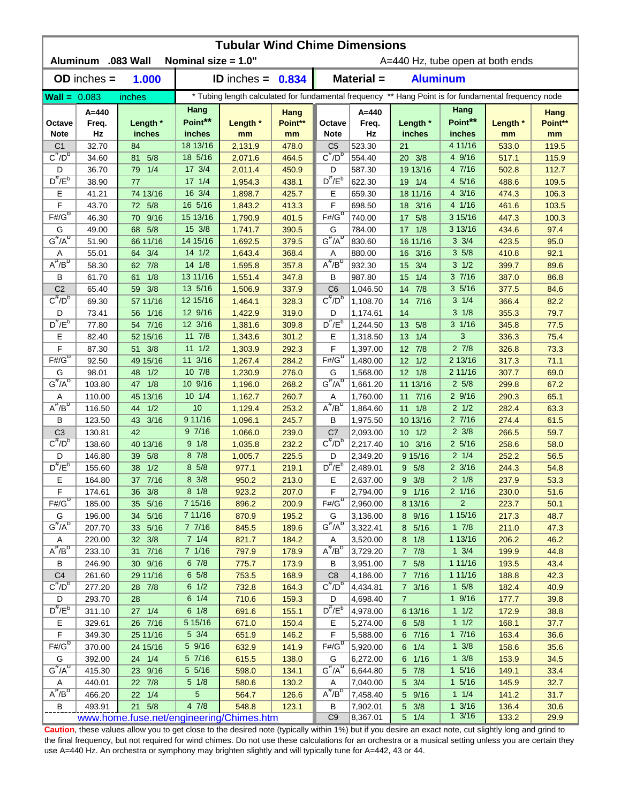|                            | <b>Tubular Wind Chime Dimensions</b><br>Aluminum .083 Wall<br>Nominal size = 1.0"<br>A=440 Hz, tube open at both ends |                                          |                     |                                                                                                      |                |                           |                      |                  |                                    |                |              |  |  |  |
|----------------------------|-----------------------------------------------------------------------------------------------------------------------|------------------------------------------|---------------------|------------------------------------------------------------------------------------------------------|----------------|---------------------------|----------------------|------------------|------------------------------------|----------------|--------------|--|--|--|
|                            | $OD$ inches $=$                                                                                                       | 1.000                                    |                     | ID inches = $0.834$                                                                                  |                |                           | Material =           | <b>Aluminum</b>  |                                    |                |              |  |  |  |
| $\text{Wall} = 0.083$      |                                                                                                                       | inches                                   |                     | * Tubing length calculated for fundamental frequency ** Hang Point is for fundamental frequency node |                |                           |                      |                  |                                    |                |              |  |  |  |
|                            | A=440                                                                                                                 |                                          | Hang                |                                                                                                      | Hang           |                           | $A = 440$            |                  | Hang                               |                | Hang         |  |  |  |
| Octave                     | Freq.                                                                                                                 | Length *                                 | Point**             | Length *                                                                                             | Point**        | Octave                    | Freq.                | Length *         | Point**                            | Length *       | Point**      |  |  |  |
| <b>Note</b>                | Hz                                                                                                                    | inches                                   | inches              | mm                                                                                                   | mm             | <b>Note</b>               | Hz                   | inches           | inches                             | mm             | mm           |  |  |  |
| C <sub>1</sub>             | 32.70                                                                                                                 | 84                                       | 18 13/16            | 2,131.9                                                                                              | 478.0          | C <sub>5</sub>            | 523.30               | 21               | 4 11/16                            | 533.0          | 119.5        |  |  |  |
| $C^{\#}/D^b$               | 34.60                                                                                                                 | 5/8<br>81                                | 18 5/16             | 2,071.6                                                                                              | 464.5          | $C^{\#}/D^D$              | 554.40               | 20 3/8           | 4 9/16                             | 517.1          | 115.9        |  |  |  |
| D                          | 36.70                                                                                                                 | 1/4<br>79.                               | 17 3/4              | 2,011.4                                                                                              | 450.9          | D                         | 587.30               | 19 13/16         | 4 7/16                             | 502.8          | 112.7        |  |  |  |
| $D^{\#}/E^b$               | 38.90                                                                                                                 | 77                                       | $17 \t1/4$          | 1,954.3                                                                                              | 438.1          | $D^{\prime\prime}/E^b$    | 622.30               | 19 1/4           | 4 5/16                             | 488.6          | 109.5        |  |  |  |
| Ε                          | 41.21                                                                                                                 | 74 13/16                                 | 16 3/4              | 1,898.7                                                                                              | 425.7          | Е                         | 659.30               | 18 11/16         | 4 3/16                             | 474.3          | 106.3        |  |  |  |
| F                          | 43.70                                                                                                                 | 72 5/8                                   | 16 5/16             | 1,843.2                                                                                              | 413.3          | F                         | 698.50               | 18 3/16          | 4 1/16                             | 461.6          | 103.5        |  |  |  |
| $F# / G^D$                 | 46.30                                                                                                                 | 9/16<br>70                               | 15 13/16            | 1,790.9                                                                                              | 401.5          | $F#/\overline{G}^D$       | 740.00               | 5/8<br>17        | 3 15/16                            | 447.3          | 100.3        |  |  |  |
| G<br>$G^{\#}/A^D$          | 49.00                                                                                                                 | 5/8<br>68                                | 15 3/8              | 1,741.7                                                                                              | 390.5          | G                         | 784.00               | 1/8<br>17        | 3 13/16                            | 434.6          | 97.4         |  |  |  |
|                            | 51.90                                                                                                                 | 66 11/16                                 | 14 15/16            | 1,692.5                                                                                              | 379.5          | $G^H/A^D$                 | 830.60               | 16 11/16         | $3 \frac{3}{4}$                    | 423.5          | 95.0         |  |  |  |
| Α<br>$A^{\#}/B^{\circ}$    | 55.01                                                                                                                 | 3/4<br>64                                | $14 \frac{1}{2}$    | 1,643.4                                                                                              | 368.4          | Α                         | 880.00               | 3/16<br>16       | 35/8                               | 410.8          | 92.1         |  |  |  |
|                            | 58.30                                                                                                                 | 7/8<br>62                                | 14 1/8              | 1,595.8                                                                                              | 357.8          | $A^H/B^D$                 | 932.30               | 3/4<br>15        | $3 \frac{1}{2}$                    | 399.7          | 89.6         |  |  |  |
| В<br>C <sub>2</sub>        | 61.70                                                                                                                 | 1/8<br>61                                | 13 11/16<br>13 5/16 | 1,551.4                                                                                              | 347.8          | В<br>C <sub>6</sub>       | 987.80<br>1,046.50   | 1/4<br>15        | 37/16<br>35/16                     | 387.0          | 86.8         |  |  |  |
| $C^{\#}/D^D$               | 65.40                                                                                                                 | 59 3/8                                   | 12 15/16            | 1,506.9                                                                                              | 337.9          | $C^{\prime\prime}/D^D$    |                      | 7/8<br>14        | $3 \t1/4$                          | 377.5          | 84.6         |  |  |  |
| D                          | 69.30<br>73.41                                                                                                        | 57 11/16<br>1/16<br>56                   | 12 9/16             | 1,464.1<br>1,422.9                                                                                   | 328.3<br>319.0 | D                         | 1,108.70<br>1,174.61 | 7/16<br>14<br>14 | $3 \frac{1}{8}$                    | 366.4<br>355.3 | 82.2<br>79.7 |  |  |  |
| $D^{\pi}/E^b$              | 77.80                                                                                                                 | 54 7/16                                  | 12 3/16             | 1,381.6                                                                                              | 309.8          | $D^{\pi}/E^b$             | 1,244.50             | 5/8<br>13        | $3 \frac{1}{16}$                   | 345.8          | 77.5         |  |  |  |
| Е                          | 82.40                                                                                                                 | 52 15/16                                 | 11 7/8              | 1,343.6                                                                                              | 301.2          | Е                         | 1,318.50             | 13<br>1/4        | 3                                  | 336.3          | 75.4         |  |  |  |
| F                          | 87.30                                                                                                                 | 3/8<br>51                                | $11 \t1/2$          | 1,303.9                                                                                              | 292.3          | F                         | 1,397.00             | 12 7/8           | $2 \frac{7}{8}$                    | 326.8          | 73.3         |  |  |  |
| $F# / G^D$                 | 92.50                                                                                                                 | 49 15/16                                 | 11 3/16             | 1,267.4                                                                                              | 284.2          | $F#/\overline{G}^D$       | 1,480.00             | $12 \t1/2$       | 2 13/16                            | 317.3          | 71.1         |  |  |  |
| G                          | 98.01                                                                                                                 | 1/2<br>48                                | 10 7/8              | 1,230.9                                                                                              | 276.0          | G                         | 1,568.00             | $12 \t1/8$       | 2 11/16                            | 307.7          | 69.0         |  |  |  |
| $G^{\#}/A^D$               | 103.80                                                                                                                | 1/8<br>47                                | 10 9/16             | 1,196.0                                                                                              | 268.2          | $G^{\#}/A^D$              | 1,661.20             | 11 13/16         | $2\,5/8$                           | 299.8          | 67.2         |  |  |  |
| Α                          | 110.00                                                                                                                | 45 13/16                                 | 101/4               | 1,162.7                                                                                              | 260.7          | Α                         | 1,760.00             | 11 7/16          | 29/16                              | 290.3          | 65.1         |  |  |  |
| $A^{\#}/B^{\sigma}$        | 116.50                                                                                                                | 1/2<br>44                                | 10                  | 1,129.4                                                                                              | 253.2          | $A^{\#}/B^D$              | 1,864.60             | $11 \t1/8$       | $2 \frac{1}{2}$                    | 282.4          | 63.3         |  |  |  |
| B                          | 123.50                                                                                                                | 3/16<br>43                               | 9 11/16             | 1,096.1                                                                                              | 245.7          | В                         | 1,975.50             | 10 13/16         | 27/16                              | 274.4          | 61.5         |  |  |  |
| C <sub>3</sub>             | 130.81                                                                                                                | 42                                       | 97/16               | 1,066.0                                                                                              | 239.0          | C <sub>7</sub>            | 2,093.00             | $10 \t1/2$       | $2 \frac{3}{8}$                    | 266.5          | 59.7         |  |  |  |
| $C^{\#}/D^b$               | 138.60                                                                                                                | 40 13/16                                 | 9 1/8               | 1,035.8                                                                                              | 232.2          | $C^{\#}/D^D$              | 2,217.40             | 10 3/16          | $2\;5/16$                          | 258.6          | 58.0         |  |  |  |
| D                          | 146.80                                                                                                                | 39 5/8                                   | 8 7/8               | 1,005.7                                                                                              | 225.5          | D                         | 2,349.20             | 9 15/16          | $2 \frac{1}{4}$                    | 252.2          | 56.5         |  |  |  |
| $D^{\#}/E^b$               | 155.60                                                                                                                | 1/2<br>38                                | 8 5/8               | 977.1                                                                                                | 219.1          | $D^{\#}/E^b$              | 2,489.01             | 9 5/8            | $2 \frac{3}{16}$                   | 244.3          | 54.8         |  |  |  |
| Е                          | 164.80                                                                                                                | 37 7/16                                  | 8 3/8               | 950.2                                                                                                | 213.0          | Е                         | 2,637.00             | $9 \frac{3}{8}$  | $2 \frac{1}{8}$                    | 237.9          | 53.3         |  |  |  |
| F                          | 174.61                                                                                                                | 36 3/8                                   | $8 \t1/8$           | 923.2                                                                                                | <b>207.0</b>   | F                         | 2,794.00             | 9 1/16           | $2 \frac{1}{16}$                   | 230.0          | 51.6         |  |  |  |
| $F#/\overline{G}^{\sigma}$ | 185.00                                                                                                                | 35 5/16                                  | 7 15/16             | 896.2                                                                                                | 200.9          | $F#/G^D$                  | 2,960.00             | 8 13/16          | $\overline{c}$                     | 223.7          | 50.1         |  |  |  |
| G                          | 196.00                                                                                                                | 34 5/16                                  | 7 11/16             | 870.9                                                                                                | 195.2          | G                         | 3,136.00             | 8 9/16           | 1 15/16                            | 217.3          | 48.7         |  |  |  |
| $G^{\#}/A^D$               | 207.70                                                                                                                | 33 5/16                                  | 7 7/16              | 845.5                                                                                                | 189.6          | $G^{\#}/A^D$              | 3,322.41             | 8 5/16           | $1 \t7/8$                          | 211.0          | 47.3         |  |  |  |
| A                          | 220.00                                                                                                                | 32 3/8                                   | 7 1/4               | 821.7                                                                                                | 184.2          | Α                         | 3,520.00             | $8 \t1/8$        | 1 13/16                            | 206.2          | 46.2         |  |  |  |
| $A^{\#}/B^D$               | 233.10                                                                                                                | 31 7/16                                  | 7 1/16              | 797.9                                                                                                | 178.9          | $A^H/B^D$                 | 3,729.20             | $7 \t7/8$        | $1 \frac{3}{4}$                    | 199.9          | 44.8         |  |  |  |
| В                          | 246.90                                                                                                                | 30 9/16                                  | 67/8                | 775.7                                                                                                | 173.9          | В                         | 3,951.00             | $7\quad5/8$      | 1 11/16                            | 193.5          | 43.4         |  |  |  |
| C <sub>4</sub>             | 261.60                                                                                                                | 29 11/16                                 | $6\;5/8$            | 753.5                                                                                                | 168.9          | C <sub>8</sub>            | 4,186.00             | 7 7/16           | 1 11/16                            | 188.8          | 42.3         |  |  |  |
| $C^{\frac{\pi}{}}/D^b$     | 277.20                                                                                                                | 28 7/8                                   | $6 \frac{1}{2}$     | 732.8                                                                                                | 164.3          | $C^{\#}/D^{\overline{D}}$ | 4,434.81             | $7 \frac{3}{16}$ | $1 \t5/8$                          | 182.4          | 40.9         |  |  |  |
| D                          | 293.70                                                                                                                | 28                                       | $6 \t1/4$           | 710.6                                                                                                | 159.3          | D                         | 4,698.40             | $\overline{7}$   | 19/16                              | 177.7          | 39.8         |  |  |  |
| $D^{\#}/E^b$               | 311.10                                                                                                                | 27 1/4                                   | $6 \t1/8$           | 691.6                                                                                                | 155.1          | $D^{\pi}/E^b$             | 4,978.00             | 6 13/16          | 11/2                               | 172.9          | 38.8         |  |  |  |
| Е                          | 329.61                                                                                                                | 26 7/16                                  | 5 15/16             | 671.0                                                                                                | 150.4          | Е                         | 5,274.00             | $6\quad 5/8$     | 11/2                               | 168.1          | 37.7         |  |  |  |
| $\mathsf F$<br>$F# / G^D$  | 349.30                                                                                                                | 25 11/16                                 | $5 \frac{3}{4}$     | 651.9                                                                                                | 146.2          | F<br>$F# / G^D$           | 5,588.00             | 6 7/16           | 17/16                              | 163.4          | 36.6         |  |  |  |
|                            | 370.00                                                                                                                | 24 15/16                                 | 5 9/16<br>5 7/16    | 632.9                                                                                                | 141.9          | G                         | 5,920.00             | $6 \t1/4$        | $1 \frac{3}{8}$<br>$1 \frac{3}{8}$ | 158.6          | 35.6         |  |  |  |
| G<br>$G^{\#}/A^D$          | 392.00<br>415.30                                                                                                      | 24 1/4<br>23 9/16                        | 5 5/16              | 615.5                                                                                                | 138.0<br>134.1 | $G^{\#}/A^D$              | 6,272.00<br>6,644.80 | 6 1/16<br>5 7/8  | $1 \frac{5}{16}$                   | 153.9          | 34.5<br>33.4 |  |  |  |
|                            |                                                                                                                       |                                          | $5 \frac{1}{8}$     | 598.0                                                                                                |                |                           |                      |                  | $1 \frac{5}{16}$                   | 149.1          |              |  |  |  |
| Α<br>$A^{\#}/B^D$          | 440.01<br>466.20                                                                                                      | 22 7/8<br>22 1/4                         | $5\phantom{.0}$     | 580.6<br>564.7                                                                                       | 130.2<br>126.6 | A<br>$A^H/B^D$            | 7,040.00<br>7,458.40 | 5 3/4<br>5 9/16  | $1 \t1/4$                          | 145.9<br>141.2 | 32.7<br>31.7 |  |  |  |
| В                          | 493.91                                                                                                                | 21 5/8                                   | 47/8                | 548.8                                                                                                | 123.1          | В                         | 7,902.01             | 5 3/8            | $1 \frac{3}{16}$                   | 136.4          | 30.6         |  |  |  |
|                            |                                                                                                                       | www.home.fuse.net/engineering/Chimes.htm |                     |                                                                                                      |                | C <sub>9</sub>            | 8,367.01             | $5 \t1/4$        | $1 \frac{3}{16}$                   | 133.2          | 29.9         |  |  |  |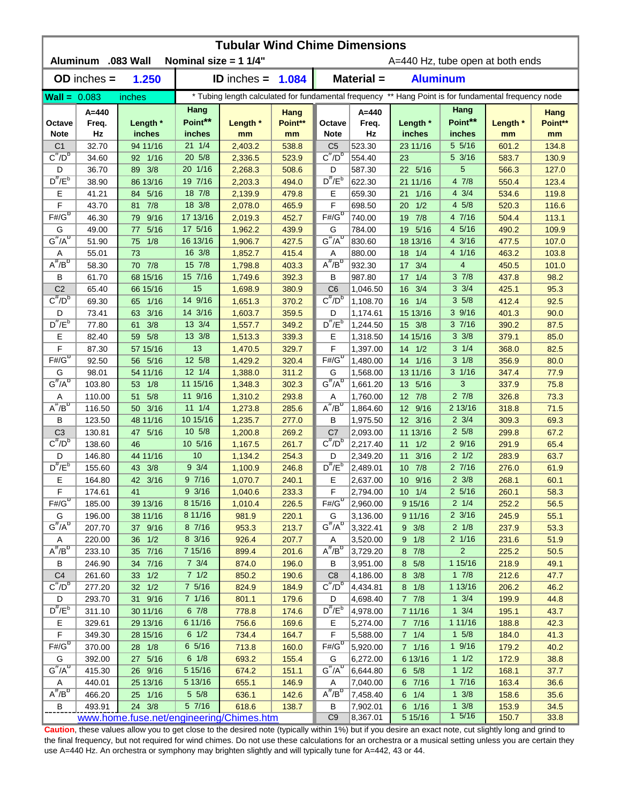| <b>Tubular Wind Chime Dimensions</b><br>Aluminum .083 Wall<br>Nominal size = $11/4$ "<br>A=440 Hz, tube open at both ends |                    |                                          |                     |                                                                                                      |                 |                           |                      |                        |                                     |                |                 |  |  |
|---------------------------------------------------------------------------------------------------------------------------|--------------------|------------------------------------------|---------------------|------------------------------------------------------------------------------------------------------|-----------------|---------------------------|----------------------|------------------------|-------------------------------------|----------------|-----------------|--|--|
|                                                                                                                           |                    |                                          |                     |                                                                                                      |                 |                           |                      |                        |                                     |                |                 |  |  |
|                                                                                                                           | $OD$ inches $=$    | 1.250                                    |                     | ID inches $=$                                                                                        | 1.084           |                           | Material =           | <b>Aluminum</b>        |                                     |                |                 |  |  |
| <b>Wall = <math>0.083</math></b>                                                                                          |                    | inches                                   |                     | * Tubing length calculated for fundamental frequency ** Hang Point is for fundamental frequency node |                 |                           |                      |                        |                                     |                |                 |  |  |
| Octave                                                                                                                    | $A = 440$<br>Freq. | Length *                                 | Hang<br>Point**     | Length *                                                                                             | Hang<br>Point** | Octave                    | $A = 440$<br>Freq.   | Length *               | Hang<br>Point**                     | Length *       | Hang<br>Point** |  |  |
| <b>Note</b>                                                                                                               | Hz                 | inches                                   | inches              | mm                                                                                                   | mm              | <b>Note</b>               | Hz                   | inches                 | inches                              | mm             | mm              |  |  |
| C <sub>1</sub>                                                                                                            | 32.70              | 94 11/16                                 | $21 \t1/4$          | 2.403.2                                                                                              | 538.8           | C <sub>5</sub>            | 523.30               | 23 11/16               | $5\;5/16$                           | 601.2          | 134.8           |  |  |
| $C^{\#}/D^b$                                                                                                              | 34.60              | 92 1/16                                  | 20 5/8              | 2,336.5                                                                                              | 523.9           | $C^{\pi}/D^b$             | 554.40               | 23                     | $5 \frac{3}{16}$                    | 583.7          | 130.9           |  |  |
| D                                                                                                                         | 36.70              | 89 3/8                                   | 20 1/16             | 2,268.3                                                                                              | 508.6           | D                         | 587.30               | 22 5/16                | 5                                   | 566.3          | 127.0           |  |  |
| $D^{\#}/E^b$                                                                                                              | 38.90              | 86 13/16                                 | 19 7/16             | 2,203.3                                                                                              | 494.0           | $D^{\#}/E^b$              | 622.30               | 21 11/16               | 4 7/8                               | 550.4          | 123.4           |  |  |
| Ε                                                                                                                         | 41.21              | 84 5/16                                  | 18 7/8              | 2,139.9                                                                                              | 479.8           | Е                         | 659.30               | 21 1/16                | $4 \frac{3}{4}$                     | 534.6          | 119.8           |  |  |
| F                                                                                                                         | 43.70              | 7/8<br>81                                | 18 3/8              | 2,078.0                                                                                              | 465.9           | F                         | 698.50               | 1/2<br>20              | 4 5/8                               | 520.3          | 116.6           |  |  |
| $F# / G^D$                                                                                                                | 46.30              | 9/16<br>79                               | 17 13/16            | 2,019.3                                                                                              | 452.7           | $F#/\overline{G}^D$       | 740.00               | 7/8<br>19              | 4 7/16                              | 504.4          | 113.1           |  |  |
| G<br>$G^{\#}/A^D$                                                                                                         | 49.00              | 5/16<br>77                               | 17 5/16<br>16 13/16 | 1,962.2                                                                                              | 439.9           | G<br>$G^H/A^D$            | 784.00               | 5/16<br>19             | 4 5/16                              | 490.2          | 109.9           |  |  |
|                                                                                                                           | 51.90              | 1/8<br>75                                | 16 3/8              | 1,906.7                                                                                              | 427.5           |                           | 830.60               | 18 13/16               | 4 3/16<br>4 1/16                    | 477.5          | 107.0           |  |  |
| Α<br>$A^H/B^D$                                                                                                            | 55.01<br>58.30     | 73<br>70 7/8                             | 15 7/8              | 1,852.7<br>1,798.8                                                                                   | 415.4<br>403.3  | Α<br>$A^H/B^D$            | 880.00<br>932.30     | 1/4<br>18<br>3/4<br>17 | $\overline{4}$                      | 463.2<br>450.5 | 103.8<br>101.0  |  |  |
| В                                                                                                                         | 61.70              | 68 15/16                                 | 15 7/16             | 1,749.6                                                                                              | 392.3           | В                         | 987.80               | 1/4<br>17              | 37/8                                | 437.8          | 98.2            |  |  |
| C <sub>2</sub>                                                                                                            | 65.40              | 66 15/16                                 | 15                  | 1,698.9                                                                                              | 380.9           | C <sub>6</sub>            | 1,046.50             | 3/4<br>16              | $3 \frac{3}{4}$                     | 425.1          | 95.3            |  |  |
| $C^{\#}/D^D$                                                                                                              | 69.30              | 65 1/16                                  | 14 9/16             | 1,651.3                                                                                              | 370.2           | $C^{\prime\prime}/D^D$    | 1,108.70             | $16 \quad 1/4$         | 35/8                                | 412.4          | 92.5            |  |  |
| D                                                                                                                         | 73.41              | 63<br>3/16                               | 14 3/16             | 1,603.7                                                                                              | 359.5           | D                         | 1,174.61             | 15 13/16               | 39/16                               | 401.3          | 90.0            |  |  |
| $D^{\pi}/E^b$                                                                                                             | 77.80              | 3/8<br>61                                | 13 3/4              | 1,557.7                                                                                              | 349.2           | $D^{\#}/E^b$              | 1,244.50             | 15 3/8                 | 37/16                               | 390.2          | 87.5            |  |  |
| E                                                                                                                         | 82.40              | 5/8<br>59                                | 13 3/8              | 1,513.3                                                                                              | 339.3           | Е                         | 1,318.50             | 14 15/16               | $3 \frac{3}{8}$                     | 379.1          | 85.0            |  |  |
| F                                                                                                                         | 87.30              | 57 15/16                                 | 13                  | 1,470.5                                                                                              | 329.7           | F                         | 1,397.00             | $14 \frac{1}{2}$       | $3 \frac{1}{4}$                     | 368.0          | 82.5            |  |  |
| $F# / G^D$                                                                                                                | 92.50              | 56 5/16                                  | 12 5/8              | 1,429.2                                                                                              | 320.4           | $F#/\overline{G}^D$       | 1,480.00             | 14 1/16                | $3 \frac{1}{8}$                     | 356.9          | 80.0            |  |  |
| G                                                                                                                         | 98.01              | 54 11/16                                 | $12 \t1/4$          | 1,388.0                                                                                              | 311.2           | G                         | 1,568.00             | 13 11/16               | $3 \frac{1}{16}$                    | 347.4          | 77.9            |  |  |
| $G^{\#}/A^D$                                                                                                              | 103.80             | 1/8<br>53                                | 11 15/16            | 1,348.3                                                                                              | 302.3           | $G^{\#}/A^D$              | 1,661.20             | 13 5/16                | 3                                   | 337.9          | 75.8            |  |  |
| Α                                                                                                                         | 110.00             | 5/8<br>51                                | 11 9/16             | 1,310.2                                                                                              | 293.8           | Α                         | 1,760.00             | 12 7/8                 | $2 \frac{7}{8}$                     | 326.8          | 73.3            |  |  |
| $A^H/B^D$                                                                                                                 | 116.50             | 50 3/16                                  | $11 \t1/4$          | 1,273.8                                                                                              | 285.6           | $A^H/B^U$                 | 1,864.60             | 12 9/16                | 2 13/16                             | 318.8          | 71.5            |  |  |
| В                                                                                                                         | 123.50             | 48 11/16                                 | 10 15/16            | 1,235.7                                                                                              | 277.0           | В                         | 1,975.50             | 12 3/16                | $2 \frac{3}{4}$                     | 309.3          | 69.3            |  |  |
| C <sub>3</sub>                                                                                                            | 130.81             | 47 5/16                                  | $10 \frac{5}{8}$    | 1,200.8                                                                                              | 269.2           | C7                        | 2,093.00             | 11 13/16               | $2\,5/8$                            | 299.8          | 67.2            |  |  |
| $C^{\#}/D^b$                                                                                                              | 138.60             | 46                                       | 10 5/16             | 1,167.5                                                                                              | 261.7           | $C^{\prime\prime}/D^b$    | 2,217.40             | $11 \t1/2$             | 29/16                               | 291.9          | 65.4            |  |  |
| D                                                                                                                         | 146.80             | 44 11/16                                 | 10                  | 1,134.2                                                                                              | 254.3           | D                         | 2,349.20             | 11 3/16                | $2 \frac{1}{2}$                     | 283.9          | 63.7            |  |  |
| $D^{\#}/E^b$                                                                                                              | 155.60             | 43 3/8                                   | $9 \frac{3}{4}$     | 1,100.9                                                                                              | 246.8           | $D^{\#}/E^b$              | 2,489.01             | 10 7/8                 | 27/16                               | 276.0          | 61.9            |  |  |
| Е                                                                                                                         | 164.80             | 42 3/16                                  | 9 7/16              | 1,070.7                                                                                              | 240.1           | Е                         | 2,637.00             | 10 9/16                | $2 \frac{3}{8}$                     | 268.1          | 60.1            |  |  |
| F                                                                                                                         | 174.61             | 41                                       | $9 \frac{3}{16}$    | 1,040.6                                                                                              | 233.3           | F                         | 2,794.00             | $10 \t1/4$             | $2\,5/16$                           | 260.1          | 58.3            |  |  |
| $F# / G^D$                                                                                                                | 185.00             | 39 13/16                                 | 8 15/16             | 1,010.4                                                                                              | 226.5           | $F#/G^D$                  | 2,960.00             | 9 15/16                | $2 \frac{1}{4}$                     | 252.2          | 56.5            |  |  |
| G<br>$G^{\#}/A^D$                                                                                                         | 196.00             | 38 11/16                                 | 8 11/16<br>8 7/16   | 981.9                                                                                                | 220.1           | G<br>$G^H/A^D$            | 3,136.00             | 9 11/16                | $2 \frac{3}{16}$<br>$2 \frac{1}{8}$ | 245.9          | 55.1            |  |  |
| A                                                                                                                         | 207.70<br>220.00   | 37 9/16<br>36 1/2                        | 8 3/16              | 953.3<br>926.4                                                                                       | 213.7<br>207.7  | A                         | 3,322.41<br>3,520.00 | $9 \t3/8$<br>9 1/8     | 2 1/16                              | 237.9<br>231.6 | 53.3<br>51.9    |  |  |
| $A^{\#}/B^D$                                                                                                              | 233.10             | 35 7/16                                  | 7 15/16             | 899.4                                                                                                | 201.6           | $A^{\#}/B^D$              | 3,729.20             | 8 7/8                  | $\overline{a}$                      | 225.2          | 50.5            |  |  |
| В                                                                                                                         | 246.90             | 34 7/16                                  | $7 \frac{3}{4}$     | 874.0                                                                                                | 196.0           | В                         | 3,951.00             | 8 5/8                  | 1 15/16                             | 218.9          | 49.1            |  |  |
| C <sub>4</sub>                                                                                                            | 261.60             | 33 1/2                                   | $7 1/2$             | 850.2                                                                                                | 190.6           | C <sub>8</sub>            | 4,186.00             | 8 3/8                  | $1 \t7/8$                           | 212.6          | 47.7            |  |  |
| $C^{\frac{\pi}{}}/D^b$                                                                                                    | 277.20             | 32 1/2                                   | 7 5/16              | 824.9                                                                                                | 184.9           | $C^{\#}/D^b$              | 4,434.81             | 8 1/8                  | 1 13/16                             | 206.2          | 46.2            |  |  |
| D                                                                                                                         | 293.70             | 31 9/16                                  | 7 1/16              | 801.1                                                                                                | 179.6           | D                         | 4,698.40             | $7 \t7/8$              | $1 \frac{3}{4}$                     | 199.9          | 44.8            |  |  |
| $D^{\#}/E^b$                                                                                                              | 311.10             | 30 11/16                                 | 67/8                | 778.8                                                                                                | 174.6           | $D^{\#}/E^b$              | 4,978.00             | 7 11/16                | $1 \frac{3}{4}$                     | 195.1          | 43.7            |  |  |
| Ε                                                                                                                         | 329.61             | 29 13/16                                 | 6 11/16             | 756.6                                                                                                | 169.6           | Е                         | 5,274.00             | 7 7/16                 | 1 11/16                             | 188.8          | 42.3            |  |  |
| $\mathsf F$                                                                                                               | 349.30             | 28 15/16                                 | $6 \t1/2$           | 734.4                                                                                                | 164.7           | F                         | 5,588.00             | 7 1/4                  | $1 \t5/8$                           | 184.0          | 41.3            |  |  |
| $F# / G^D$                                                                                                                | 370.00             | 28 1/8                                   | 6 5/16              | 713.8                                                                                                | 160.0           | $F# / G^D$                | 5,920.00             | 7 1/16                 | 19/16                               | 179.2          | 40.2            |  |  |
| G                                                                                                                         | 392.00             | 27 5/16                                  | $6 \frac{1}{8}$     | 693.2                                                                                                | 155.4           | G                         | 6,272.00             | 6 13/16                | 11/2                                | 172.9          | 38.8            |  |  |
| $G^{\#}/A^D$                                                                                                              | 415.30             | 26 9/16                                  | 5 15/16             | 674.2                                                                                                | 151.1           | $G^{\#}/A^{\overline{O}}$ | 6,644.80             | $6\quad 5/8$           | 11/2                                | 168.1          | 37.7            |  |  |
| A                                                                                                                         | 440.01             | 25 13/16                                 | 5 13/16             | 655.1                                                                                                | 146.9           | A                         | 7,040.00             | 6 7/16                 | 17/16                               | 163.4          | 36.6            |  |  |
| $A^H/B^D$                                                                                                                 | 466.20             | 25 1/16                                  | $5 \frac{5}{8}$     | 636.1                                                                                                | 142.6           | $A^H/B^D$                 | 7,458.40             | $6 \t1/4$              | $1 \frac{3}{8}$                     | 158.6          | 35.6            |  |  |
| В                                                                                                                         | 493.91             | 24 3/8                                   | 5 7/16              | 618.6                                                                                                | 138.7           | В                         | 7,902.01             | 6 1/16                 | $1 \frac{3}{8}$                     | 153.9          | 34.5            |  |  |
|                                                                                                                           |                    | www.home.fuse.net/engineering/Chimes.htm |                     |                                                                                                      |                 | C <sub>9</sub>            | 8,367.01             | 5 15/16                | 15/16                               | 150.7          | 33.8            |  |  |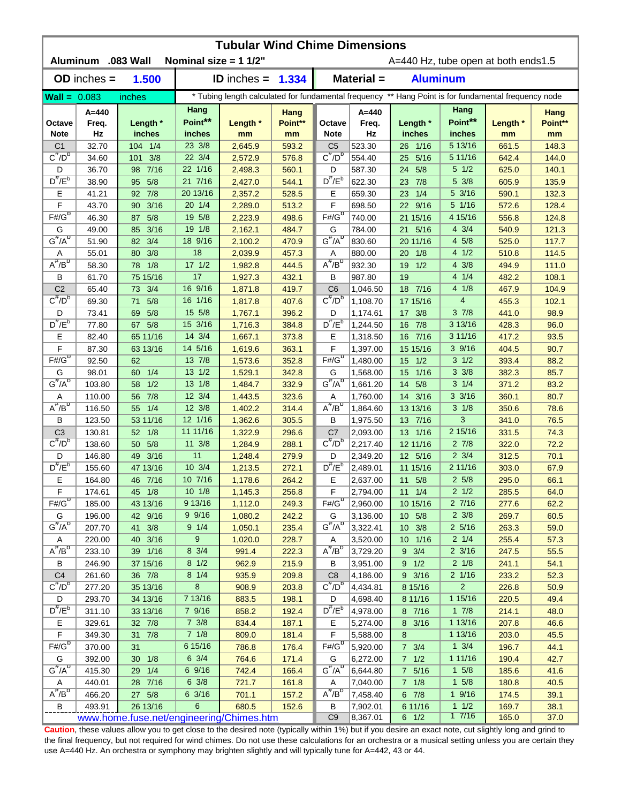| Aluminum .083 Wall<br>Nominal size = $11/2$ "<br>A=440 Hz, tube open at both ends1.5<br>Material =<br>1.500<br><b>Aluminum</b><br>$OD$ inches $=$<br><b>ID</b> inches $=$<br>1.334<br>* Tubing length calculated for fundamental frequency ** Hang Point is for fundamental frequency node<br><b>Wall = <math>0.083</math></b><br>inches<br>Hang<br>Hang<br>$A = 440$<br>$A = 440$<br>Hang<br>Hang<br>Point**<br>Point**<br>Length *<br>Point**<br>Length *<br>Point**<br>Length *<br>Freq.<br>Freq.<br>Length *<br>Octave<br>Octave<br><b>Note</b><br>Hz<br>inches<br>inches<br>Hz<br>inches<br>inches<br><b>Note</b><br>mm<br>mm<br>mm<br>mm<br>23 3/8<br>5 13/16<br>32.70<br>104 1/4<br>593.2<br>523.30<br>26 1/16<br>C <sub>1</sub><br>2,645.9<br>C <sub>5</sub><br>661.5<br>148.3<br>$C^{\overline{n}}/D^b$<br>$C^{\#}/D^D$<br>3/8<br>22 3/4<br>2,572.9<br>576.8<br>554.40<br>25 5/16<br>5 11/16<br>34.60<br>101<br>642.4<br>144.0<br>22 1/16<br>$5 \frac{1}{2}$<br>7/16<br>24 5/8<br>D<br>36.70<br>98<br>2,498.3<br>560.1<br>D<br>587.30<br>625.0<br>140.1<br>$D^{\#}/E^b$<br>$D^{\prime\prime}/E^b$<br>5 3/8<br>5/8<br>21 7/16<br>622.30<br>7/8<br>2,427.0<br>544.1<br>605.9<br>135.9<br>38.90<br>95 <sub>o</sub><br>23<br>5 3/16<br>92 7/8<br>20 13/16<br>Ε<br>Ε<br>1/4<br>2,357.2<br>528.5<br>659.30<br>590.1<br>132.3<br>41.21<br>23<br>F<br>5 1/16<br>20 1/4<br>F<br>3/16<br>513.2<br>9/16<br>572.6<br>128.4<br>43.70<br>2,289.0<br>698.50<br>22<br>90<br>$F# / G^D$<br>$F# / G^D$<br>19 5/8<br>4 15/16<br>5/8<br>2,223.9<br>498.6<br>740.00<br>21 15/16<br>124.8<br>46.30<br>87<br>556.8<br>19 1/8<br>$4 \frac{3}{4}$<br>3/16<br>484.7<br>G<br>5/16<br>540.9<br>121.3<br>G<br>49.00<br>85<br>2,162.1<br>784.00<br>21<br>$G^{\#}/A^D$<br>$G^H/A^D$<br>18 9/16<br>4 5/8<br>3/4<br>830.60<br>20 11/16<br>51.90<br>82<br>2,100.2<br>470.9<br>525.0<br>117.7<br>3/8<br>18<br>4 1/2<br>1/8<br>114.5<br>55.01<br>80<br>2,039.9<br>457.3<br>880.00<br>20<br>510.8<br>Α<br>Α<br>$A^H/B^D$<br>$A^H/B^D$<br>$17 \frac{1}{2}$<br>$4 \frac{3}{8}$<br>78 1/8<br>444.5<br>932.30<br>1/2<br>111.0<br>58.30<br>1,982.8<br>19<br>494.9<br>17<br>4 1/4<br>75 15/16<br>432.1<br>987.80<br>19<br>482.2<br>108.1<br>В<br>61.70<br>1,927.3<br>В<br>3/4<br>16 9/16<br>C <sub>2</sub><br>C <sub>6</sub><br>18 7/16<br>4 1/8<br>65.40<br>73<br>1,871.8<br>419.7<br>1,046.50<br>467.9<br>104.9<br>$C^{\#}/D^D$<br>$C^{\prime\prime}/D^D$<br>16 1/16<br>4<br>5/8<br>407.6<br>1,108.70<br>17 15/16<br>69.30<br>71<br>1,817.8<br>455.3<br>102.1<br>15 5/8<br>37/8<br>5/8<br>396.2<br>17 3/8<br>D<br>73.41<br>69<br>1,767.1<br>D<br>1,174.61<br>441.0<br>98.9<br>$D^{\pi}/E^b$<br>$D^{\pi}/E^b$<br>15 3/16<br>3 13/16<br>67 5/8<br>384.8<br>7/8<br>96.0<br>77.80<br>1,716.3<br>1,244.50<br>16<br>428.3<br>14 3/4<br>3 11/16<br>Е<br>Е<br>7/16<br>93.5<br>82.40<br>65 11/16<br>1,667.1<br>373.8<br>1,318.50<br>16<br>417.2<br>F<br>F<br>39/16<br>14 5/16<br>15 15/16<br>90.7<br>87.30<br>63 13/16<br>1,619.6<br>363.1<br>1,397.00<br>404.5<br>$F# / G^D$<br>$F# / G^D$<br>13 7/8<br>$3 \frac{1}{2}$<br>92.50<br>352.8<br>1,480.00<br>393.4<br>88.2<br>62<br>1,573.6<br>15<br>1/2<br>$3 \frac{3}{8}$<br>1/4<br>13 1/2<br>G<br>98.01<br>1,529.1<br>342.8<br>G<br>15<br>1/16<br>382.3<br>85.7<br>60<br>1,568.00<br>$G^{\#}/A^D$<br>$G^{\#}/A^D$<br>$3 \t1/4$<br>103.80<br>1/2<br>13 1/8<br>332.9<br>14<br>5/8<br>371.2<br>83.2<br>58<br>1,484.7<br>1,661.20<br>12 3/4<br>$3 \frac{3}{16}$<br>7/8<br>110.00<br>323.6<br>14 3/16<br>80.7<br>Α<br>56<br>1,443.5<br>Α<br>1,760.00<br>360.1<br>$A^{\#}/B^D$<br>$A^H/B^D$<br>1/4<br>12 3/8<br>116.50<br>314.4<br>13 13/16<br>$3 \frac{1}{8}$<br>78.6<br>55<br>1,402.2<br>1,864.60<br>350.6<br>3<br>123.50<br>53 11/16<br>12 1/16<br>1,362.6<br>305.5<br>B<br>13 7/16<br>76.5<br>в<br>1,975.50<br>341.0<br>2 15/16<br>11 11/16<br>C <sub>3</sub><br>130.81<br>52 1/8<br>296.6<br>C <sub>7</sub><br>2,093.00<br>13 1/16<br>331.5<br>74.3<br>1,322.9<br>$C^{\#}/D^D$<br>$C^{\prime\prime}/D^b$<br>138.60<br>5/8<br>$11 \frac{3}{8}$<br>288.1<br>2,217.40<br>12 11/16<br>$2 \frac{7}{8}$<br>72.2<br>50 <sub>o</sub><br>1,284.9<br>322.0<br>11<br>$2 \frac{3}{4}$<br>49 3/16<br>D<br>146.80<br>1,248.4<br>279.9<br>D<br>2.349.20<br>12 5/16<br>312.5<br>70.1<br>$D^{\#}/E^b$<br>$D^{\#}/E^b$<br>10 3/4<br>2 11/16<br>155.60<br>47 13/16<br>1,213.5<br>272.1<br>2,489.01<br>11 15/16<br>303.0<br>67.9<br>Е<br>10 7/16<br>Е<br>25/8<br>46 7/16<br>1,178.6<br>264.2<br>2,637.00<br>11 5/8<br>295.0<br>66.1<br>164.80<br>$10 \t1/8$<br>F<br>174.61<br>45 1/8<br>1,145.3<br>256.8<br>F<br>2,794.00<br>$11 \t1/4$<br>2 1/2<br>285.5<br>64.0<br>$F# / G^D$<br>$F#/G^D$<br>9 13/16<br>27/16<br>185.00<br>43 13/16<br>1,112.0<br>2,960.00<br>10 15/16<br>62.2<br>249.3<br>277.6<br>$9 \frac{9}{16}$<br>242.2<br>$2 \frac{3}{8}$<br>G<br>196.00<br>42 9/16<br>1,080.2<br>3,136.00<br>10 5/8<br>269.7<br>60.5<br>G<br>$G^{\#}/A^D$<br>$G^H/A^D$<br>$9 \t1/4$<br>$2\frac{5}{16}$<br>207.70<br>41 3/8<br>1,050.1<br>235.4<br>3,322.41<br>$10 \t3/8$<br>263.3<br>59.0<br>40 3/16<br>9<br>$2 \frac{1}{4}$<br>220.00<br>1,020.0<br>228.7<br>3,520.00<br>10 1/16<br>255.4<br>57.3<br>A<br>A<br>$A^{\#}/B^D$<br>$A^{\overline{n}}/B^D$<br>8 3/4<br>$2 \frac{3}{16}$<br>233.10<br>39 1/16<br>$9 \t3/4$<br>55.5<br>991.4<br>222.3<br>3,729.20<br>247.5<br>$8 \frac{1}{2}$<br>$2 \frac{1}{8}$<br>9 1/2<br>54.1<br>В<br>246.90<br>37 15/16<br>962.9<br>215.9<br>3,951.00<br>241.1<br>В<br>C <sub>4</sub><br>36 7/8<br>$8 \t1/4$<br>$9 \t3/16$<br>$2 \frac{1}{16}$<br>261.60<br>935.9<br>209.8<br>C <sub>8</sub><br>4,186.00<br>233.2<br>52.3<br>$C^{\frac{\pi}{}}/D^b$<br>$C^{\pi}/D^b$<br>8<br>$\overline{2}$<br>4,434.81<br>277.20<br>35 13/16<br>908.9<br>203.8<br>8 15/16<br>226.8<br>50.9<br>7 13/16<br>1 15/16<br>49.4<br>D<br>293.70<br>34 13/16<br>883.5<br>198.1<br>4,698.40<br>8 11/16<br>220.5<br>D<br>$D^{\frac{\pi}{r}}/E^b$<br>$D^{\#}/E^b$<br>7 9/16<br>$1 \t7/8$<br>311.10<br>33 13/16<br>858.2<br>192.4<br> 4,978.00<br>8 7/16<br>214.1<br>48.0<br>$7 \frac{3}{8}$<br>1 13/16<br>Е<br>329.61<br>32 7/8<br>834.4<br>187.1<br>Е<br>5,274.00<br>8 3/16<br>207.8<br>46.6<br>$7 \t1/8$<br>F<br>F<br>1 13/16<br>45.5<br>349.30<br>31 7/8<br>809.0<br>181.4<br>5,588.00<br>8<br>203.0<br>$F# / G^D$<br>$F# / G^D$<br>370.00<br>6 15/16<br>5,920.00<br>$7 \t3/4$<br>$1 \frac{3}{4}$<br>44.1<br>31<br>786.8<br>176.4<br>196.7<br>$6 \frac{3}{4}$<br>1 11/16<br>G<br>392.00<br>30 1/8<br>764.6<br>171.4<br>G<br>$7$ $1/2$<br>42.7<br>6,272.00<br>190.4<br>$G^{\#}/A^D$<br>$G^H/A^D$<br>29 1/4<br>6 9/16<br>7 5/16<br>$1 \t5/8$<br>41.6<br>415.30<br>742.4<br>166.4<br>6,644.80<br>185.6<br>$6 \frac{3}{8}$<br>$1 \t5/8$<br>440.01<br>7 1/8<br>40.5<br>28 7/16<br>721.7<br>161.8<br>7,040.00<br>180.8<br>Α<br>Α<br>$A^{\#}/B^D$<br>$A^{\#}/B^{\sigma}$<br>6 3/16<br>19/16<br>27 5/8<br>$6$ $7/8$<br>39.1<br>466.20<br>701.1<br>157.2<br>7,458.40<br>174.5<br>493.91<br>26 13/16<br>6<br>680.5<br>11/2<br>38.1<br>В<br>152.6<br>B<br>7,902.01<br>6 11/16<br>169.7<br>www.home.fuse.net/engineering/Chimes.htm | <b>Tubular Wind Chime Dimensions</b> |  |  |  |  |  |                |          |           |       |       |      |  |  |
|------------------------------------------------------------------------------------------------------------------------------------------------------------------------------------------------------------------------------------------------------------------------------------------------------------------------------------------------------------------------------------------------------------------------------------------------------------------------------------------------------------------------------------------------------------------------------------------------------------------------------------------------------------------------------------------------------------------------------------------------------------------------------------------------------------------------------------------------------------------------------------------------------------------------------------------------------------------------------------------------------------------------------------------------------------------------------------------------------------------------------------------------------------------------------------------------------------------------------------------------------------------------------------------------------------------------------------------------------------------------------------------------------------------------------------------------------------------------------------------------------------------------------------------------------------------------------------------------------------------------------------------------------------------------------------------------------------------------------------------------------------------------------------------------------------------------------------------------------------------------------------------------------------------------------------------------------------------------------------------------------------------------------------------------------------------------------------------------------------------------------------------------------------------------------------------------------------------------------------------------------------------------------------------------------------------------------------------------------------------------------------------------------------------------------------------------------------------------------------------------------------------------------------------------------------------------------------------------------------------------------------------------------------------------------------------------------------------------------------------------------------------------------------------------------------------------------------------------------------------------------------------------------------------------------------------------------------------------------------------------------------------------------------------------------------------------------------------------------------------------------------------------------------------------------------------------------------------------------------------------------------------------------------------------------------------------------------------------------------------------------------------------------------------------------------------------------------------------------------------------------------------------------------------------------------------------------------------------------------------------------------------------------------------------------------------------------------------------------------------------------------------------------------------------------------------------------------------------------------------------------------------------------------------------------------------------------------------------------------------------------------------------------------------------------------------------------------------------------------------------------------------------------------------------------------------------------------------------------------------------------------------------------------------------------------------------------------------------------------------------------------------------------------------------------------------------------------------------------------------------------------------------------------------------------------------------------------------------------------------------------------------------------------------------------------------------------------------------------------------------------------------------------------------------------------------------------------------------------------------------------------------------------------------------------------------------------------------------------------------------------------------------------------------------------------------------------------------------------------------------------------------------------------------------------------------------------------------------------------------------------------------------------------------------------------------------------------------------------------------------------------------------------------------------------------------------------------------------------------------------------------------------------------------------------------------------------------------------------------------------------------------------------------------------------------------------------------------------------------------------------------------------------------------------------------------------------------------------------------------------------------------------------------------------------------------------------------------------------------------------------------------------------------------------------------------------------------------------------------------------------------------------------------------------------------------------------------------------------------------------------------------------------------------------------------------------------------------------------------------------------------------------------------------------------------------------------------------------------------------------------------------------------------------------------------------------------------------------------------------------------------------------------------------------------------------------------------------------------------------------------------------------------------------------------------------------------------------------------------------------------------------------------------------------------------------------------------------------------------------------------------------------------------------------------------------------------------------------------------|--------------------------------------|--|--|--|--|--|----------------|----------|-----------|-------|-------|------|--|--|
|                                                                                                                                                                                                                                                                                                                                                                                                                                                                                                                                                                                                                                                                                                                                                                                                                                                                                                                                                                                                                                                                                                                                                                                                                                                                                                                                                                                                                                                                                                                                                                                                                                                                                                                                                                                                                                                                                                                                                                                                                                                                                                                                                                                                                                                                                                                                                                                                                                                                                                                                                                                                                                                                                                                                                                                                                                                                                                                                                                                                                                                                                                                                                                                                                                                                                                                                                                                                                                                                                                                                                                                                                                                                                                                                                                                                                                                                                                                                                                                                                                                                                                                                                                                                                                                                                                                                                                                                                                                                                                                                                                                                                                                                                                                                                                                                                                                                                                                                                                                                                                                                                                                                                                                                                                                                                                                                                                                                                                                                                                                                                                                                                                                                                                                                                                                                                                                                                                                                                                                                                                                                                                                                                                                                                                                                                                                                                                                                                                                                                                                                                                                                                                                                                                                                                                                                                                                                                                                                                                                                                                                                                                            |                                      |  |  |  |  |  |                |          |           |       |       |      |  |  |
|                                                                                                                                                                                                                                                                                                                                                                                                                                                                                                                                                                                                                                                                                                                                                                                                                                                                                                                                                                                                                                                                                                                                                                                                                                                                                                                                                                                                                                                                                                                                                                                                                                                                                                                                                                                                                                                                                                                                                                                                                                                                                                                                                                                                                                                                                                                                                                                                                                                                                                                                                                                                                                                                                                                                                                                                                                                                                                                                                                                                                                                                                                                                                                                                                                                                                                                                                                                                                                                                                                                                                                                                                                                                                                                                                                                                                                                                                                                                                                                                                                                                                                                                                                                                                                                                                                                                                                                                                                                                                                                                                                                                                                                                                                                                                                                                                                                                                                                                                                                                                                                                                                                                                                                                                                                                                                                                                                                                                                                                                                                                                                                                                                                                                                                                                                                                                                                                                                                                                                                                                                                                                                                                                                                                                                                                                                                                                                                                                                                                                                                                                                                                                                                                                                                                                                                                                                                                                                                                                                                                                                                                                                            |                                      |  |  |  |  |  |                |          |           |       |       |      |  |  |
|                                                                                                                                                                                                                                                                                                                                                                                                                                                                                                                                                                                                                                                                                                                                                                                                                                                                                                                                                                                                                                                                                                                                                                                                                                                                                                                                                                                                                                                                                                                                                                                                                                                                                                                                                                                                                                                                                                                                                                                                                                                                                                                                                                                                                                                                                                                                                                                                                                                                                                                                                                                                                                                                                                                                                                                                                                                                                                                                                                                                                                                                                                                                                                                                                                                                                                                                                                                                                                                                                                                                                                                                                                                                                                                                                                                                                                                                                                                                                                                                                                                                                                                                                                                                                                                                                                                                                                                                                                                                                                                                                                                                                                                                                                                                                                                                                                                                                                                                                                                                                                                                                                                                                                                                                                                                                                                                                                                                                                                                                                                                                                                                                                                                                                                                                                                                                                                                                                                                                                                                                                                                                                                                                                                                                                                                                                                                                                                                                                                                                                                                                                                                                                                                                                                                                                                                                                                                                                                                                                                                                                                                                                            |                                      |  |  |  |  |  |                |          |           |       |       |      |  |  |
|                                                                                                                                                                                                                                                                                                                                                                                                                                                                                                                                                                                                                                                                                                                                                                                                                                                                                                                                                                                                                                                                                                                                                                                                                                                                                                                                                                                                                                                                                                                                                                                                                                                                                                                                                                                                                                                                                                                                                                                                                                                                                                                                                                                                                                                                                                                                                                                                                                                                                                                                                                                                                                                                                                                                                                                                                                                                                                                                                                                                                                                                                                                                                                                                                                                                                                                                                                                                                                                                                                                                                                                                                                                                                                                                                                                                                                                                                                                                                                                                                                                                                                                                                                                                                                                                                                                                                                                                                                                                                                                                                                                                                                                                                                                                                                                                                                                                                                                                                                                                                                                                                                                                                                                                                                                                                                                                                                                                                                                                                                                                                                                                                                                                                                                                                                                                                                                                                                                                                                                                                                                                                                                                                                                                                                                                                                                                                                                                                                                                                                                                                                                                                                                                                                                                                                                                                                                                                                                                                                                                                                                                                                            |                                      |  |  |  |  |  |                |          |           |       |       |      |  |  |
|                                                                                                                                                                                                                                                                                                                                                                                                                                                                                                                                                                                                                                                                                                                                                                                                                                                                                                                                                                                                                                                                                                                                                                                                                                                                                                                                                                                                                                                                                                                                                                                                                                                                                                                                                                                                                                                                                                                                                                                                                                                                                                                                                                                                                                                                                                                                                                                                                                                                                                                                                                                                                                                                                                                                                                                                                                                                                                                                                                                                                                                                                                                                                                                                                                                                                                                                                                                                                                                                                                                                                                                                                                                                                                                                                                                                                                                                                                                                                                                                                                                                                                                                                                                                                                                                                                                                                                                                                                                                                                                                                                                                                                                                                                                                                                                                                                                                                                                                                                                                                                                                                                                                                                                                                                                                                                                                                                                                                                                                                                                                                                                                                                                                                                                                                                                                                                                                                                                                                                                                                                                                                                                                                                                                                                                                                                                                                                                                                                                                                                                                                                                                                                                                                                                                                                                                                                                                                                                                                                                                                                                                                                            |                                      |  |  |  |  |  |                |          |           |       |       |      |  |  |
|                                                                                                                                                                                                                                                                                                                                                                                                                                                                                                                                                                                                                                                                                                                                                                                                                                                                                                                                                                                                                                                                                                                                                                                                                                                                                                                                                                                                                                                                                                                                                                                                                                                                                                                                                                                                                                                                                                                                                                                                                                                                                                                                                                                                                                                                                                                                                                                                                                                                                                                                                                                                                                                                                                                                                                                                                                                                                                                                                                                                                                                                                                                                                                                                                                                                                                                                                                                                                                                                                                                                                                                                                                                                                                                                                                                                                                                                                                                                                                                                                                                                                                                                                                                                                                                                                                                                                                                                                                                                                                                                                                                                                                                                                                                                                                                                                                                                                                                                                                                                                                                                                                                                                                                                                                                                                                                                                                                                                                                                                                                                                                                                                                                                                                                                                                                                                                                                                                                                                                                                                                                                                                                                                                                                                                                                                                                                                                                                                                                                                                                                                                                                                                                                                                                                                                                                                                                                                                                                                                                                                                                                                                            |                                      |  |  |  |  |  |                |          |           |       |       |      |  |  |
|                                                                                                                                                                                                                                                                                                                                                                                                                                                                                                                                                                                                                                                                                                                                                                                                                                                                                                                                                                                                                                                                                                                                                                                                                                                                                                                                                                                                                                                                                                                                                                                                                                                                                                                                                                                                                                                                                                                                                                                                                                                                                                                                                                                                                                                                                                                                                                                                                                                                                                                                                                                                                                                                                                                                                                                                                                                                                                                                                                                                                                                                                                                                                                                                                                                                                                                                                                                                                                                                                                                                                                                                                                                                                                                                                                                                                                                                                                                                                                                                                                                                                                                                                                                                                                                                                                                                                                                                                                                                                                                                                                                                                                                                                                                                                                                                                                                                                                                                                                                                                                                                                                                                                                                                                                                                                                                                                                                                                                                                                                                                                                                                                                                                                                                                                                                                                                                                                                                                                                                                                                                                                                                                                                                                                                                                                                                                                                                                                                                                                                                                                                                                                                                                                                                                                                                                                                                                                                                                                                                                                                                                                                            |                                      |  |  |  |  |  |                |          |           |       |       |      |  |  |
|                                                                                                                                                                                                                                                                                                                                                                                                                                                                                                                                                                                                                                                                                                                                                                                                                                                                                                                                                                                                                                                                                                                                                                                                                                                                                                                                                                                                                                                                                                                                                                                                                                                                                                                                                                                                                                                                                                                                                                                                                                                                                                                                                                                                                                                                                                                                                                                                                                                                                                                                                                                                                                                                                                                                                                                                                                                                                                                                                                                                                                                                                                                                                                                                                                                                                                                                                                                                                                                                                                                                                                                                                                                                                                                                                                                                                                                                                                                                                                                                                                                                                                                                                                                                                                                                                                                                                                                                                                                                                                                                                                                                                                                                                                                                                                                                                                                                                                                                                                                                                                                                                                                                                                                                                                                                                                                                                                                                                                                                                                                                                                                                                                                                                                                                                                                                                                                                                                                                                                                                                                                                                                                                                                                                                                                                                                                                                                                                                                                                                                                                                                                                                                                                                                                                                                                                                                                                                                                                                                                                                                                                                                            |                                      |  |  |  |  |  |                |          |           |       |       |      |  |  |
|                                                                                                                                                                                                                                                                                                                                                                                                                                                                                                                                                                                                                                                                                                                                                                                                                                                                                                                                                                                                                                                                                                                                                                                                                                                                                                                                                                                                                                                                                                                                                                                                                                                                                                                                                                                                                                                                                                                                                                                                                                                                                                                                                                                                                                                                                                                                                                                                                                                                                                                                                                                                                                                                                                                                                                                                                                                                                                                                                                                                                                                                                                                                                                                                                                                                                                                                                                                                                                                                                                                                                                                                                                                                                                                                                                                                                                                                                                                                                                                                                                                                                                                                                                                                                                                                                                                                                                                                                                                                                                                                                                                                                                                                                                                                                                                                                                                                                                                                                                                                                                                                                                                                                                                                                                                                                                                                                                                                                                                                                                                                                                                                                                                                                                                                                                                                                                                                                                                                                                                                                                                                                                                                                                                                                                                                                                                                                                                                                                                                                                                                                                                                                                                                                                                                                                                                                                                                                                                                                                                                                                                                                                            |                                      |  |  |  |  |  |                |          |           |       |       |      |  |  |
|                                                                                                                                                                                                                                                                                                                                                                                                                                                                                                                                                                                                                                                                                                                                                                                                                                                                                                                                                                                                                                                                                                                                                                                                                                                                                                                                                                                                                                                                                                                                                                                                                                                                                                                                                                                                                                                                                                                                                                                                                                                                                                                                                                                                                                                                                                                                                                                                                                                                                                                                                                                                                                                                                                                                                                                                                                                                                                                                                                                                                                                                                                                                                                                                                                                                                                                                                                                                                                                                                                                                                                                                                                                                                                                                                                                                                                                                                                                                                                                                                                                                                                                                                                                                                                                                                                                                                                                                                                                                                                                                                                                                                                                                                                                                                                                                                                                                                                                                                                                                                                                                                                                                                                                                                                                                                                                                                                                                                                                                                                                                                                                                                                                                                                                                                                                                                                                                                                                                                                                                                                                                                                                                                                                                                                                                                                                                                                                                                                                                                                                                                                                                                                                                                                                                                                                                                                                                                                                                                                                                                                                                                                            |                                      |  |  |  |  |  |                |          |           |       |       |      |  |  |
|                                                                                                                                                                                                                                                                                                                                                                                                                                                                                                                                                                                                                                                                                                                                                                                                                                                                                                                                                                                                                                                                                                                                                                                                                                                                                                                                                                                                                                                                                                                                                                                                                                                                                                                                                                                                                                                                                                                                                                                                                                                                                                                                                                                                                                                                                                                                                                                                                                                                                                                                                                                                                                                                                                                                                                                                                                                                                                                                                                                                                                                                                                                                                                                                                                                                                                                                                                                                                                                                                                                                                                                                                                                                                                                                                                                                                                                                                                                                                                                                                                                                                                                                                                                                                                                                                                                                                                                                                                                                                                                                                                                                                                                                                                                                                                                                                                                                                                                                                                                                                                                                                                                                                                                                                                                                                                                                                                                                                                                                                                                                                                                                                                                                                                                                                                                                                                                                                                                                                                                                                                                                                                                                                                                                                                                                                                                                                                                                                                                                                                                                                                                                                                                                                                                                                                                                                                                                                                                                                                                                                                                                                                            |                                      |  |  |  |  |  |                |          |           |       |       |      |  |  |
|                                                                                                                                                                                                                                                                                                                                                                                                                                                                                                                                                                                                                                                                                                                                                                                                                                                                                                                                                                                                                                                                                                                                                                                                                                                                                                                                                                                                                                                                                                                                                                                                                                                                                                                                                                                                                                                                                                                                                                                                                                                                                                                                                                                                                                                                                                                                                                                                                                                                                                                                                                                                                                                                                                                                                                                                                                                                                                                                                                                                                                                                                                                                                                                                                                                                                                                                                                                                                                                                                                                                                                                                                                                                                                                                                                                                                                                                                                                                                                                                                                                                                                                                                                                                                                                                                                                                                                                                                                                                                                                                                                                                                                                                                                                                                                                                                                                                                                                                                                                                                                                                                                                                                                                                                                                                                                                                                                                                                                                                                                                                                                                                                                                                                                                                                                                                                                                                                                                                                                                                                                                                                                                                                                                                                                                                                                                                                                                                                                                                                                                                                                                                                                                                                                                                                                                                                                                                                                                                                                                                                                                                                                            |                                      |  |  |  |  |  |                |          |           |       |       |      |  |  |
|                                                                                                                                                                                                                                                                                                                                                                                                                                                                                                                                                                                                                                                                                                                                                                                                                                                                                                                                                                                                                                                                                                                                                                                                                                                                                                                                                                                                                                                                                                                                                                                                                                                                                                                                                                                                                                                                                                                                                                                                                                                                                                                                                                                                                                                                                                                                                                                                                                                                                                                                                                                                                                                                                                                                                                                                                                                                                                                                                                                                                                                                                                                                                                                                                                                                                                                                                                                                                                                                                                                                                                                                                                                                                                                                                                                                                                                                                                                                                                                                                                                                                                                                                                                                                                                                                                                                                                                                                                                                                                                                                                                                                                                                                                                                                                                                                                                                                                                                                                                                                                                                                                                                                                                                                                                                                                                                                                                                                                                                                                                                                                                                                                                                                                                                                                                                                                                                                                                                                                                                                                                                                                                                                                                                                                                                                                                                                                                                                                                                                                                                                                                                                                                                                                                                                                                                                                                                                                                                                                                                                                                                                                            |                                      |  |  |  |  |  |                |          |           |       |       |      |  |  |
|                                                                                                                                                                                                                                                                                                                                                                                                                                                                                                                                                                                                                                                                                                                                                                                                                                                                                                                                                                                                                                                                                                                                                                                                                                                                                                                                                                                                                                                                                                                                                                                                                                                                                                                                                                                                                                                                                                                                                                                                                                                                                                                                                                                                                                                                                                                                                                                                                                                                                                                                                                                                                                                                                                                                                                                                                                                                                                                                                                                                                                                                                                                                                                                                                                                                                                                                                                                                                                                                                                                                                                                                                                                                                                                                                                                                                                                                                                                                                                                                                                                                                                                                                                                                                                                                                                                                                                                                                                                                                                                                                                                                                                                                                                                                                                                                                                                                                                                                                                                                                                                                                                                                                                                                                                                                                                                                                                                                                                                                                                                                                                                                                                                                                                                                                                                                                                                                                                                                                                                                                                                                                                                                                                                                                                                                                                                                                                                                                                                                                                                                                                                                                                                                                                                                                                                                                                                                                                                                                                                                                                                                                                            |                                      |  |  |  |  |  |                |          |           |       |       |      |  |  |
|                                                                                                                                                                                                                                                                                                                                                                                                                                                                                                                                                                                                                                                                                                                                                                                                                                                                                                                                                                                                                                                                                                                                                                                                                                                                                                                                                                                                                                                                                                                                                                                                                                                                                                                                                                                                                                                                                                                                                                                                                                                                                                                                                                                                                                                                                                                                                                                                                                                                                                                                                                                                                                                                                                                                                                                                                                                                                                                                                                                                                                                                                                                                                                                                                                                                                                                                                                                                                                                                                                                                                                                                                                                                                                                                                                                                                                                                                                                                                                                                                                                                                                                                                                                                                                                                                                                                                                                                                                                                                                                                                                                                                                                                                                                                                                                                                                                                                                                                                                                                                                                                                                                                                                                                                                                                                                                                                                                                                                                                                                                                                                                                                                                                                                                                                                                                                                                                                                                                                                                                                                                                                                                                                                                                                                                                                                                                                                                                                                                                                                                                                                                                                                                                                                                                                                                                                                                                                                                                                                                                                                                                                                            |                                      |  |  |  |  |  |                |          |           |       |       |      |  |  |
|                                                                                                                                                                                                                                                                                                                                                                                                                                                                                                                                                                                                                                                                                                                                                                                                                                                                                                                                                                                                                                                                                                                                                                                                                                                                                                                                                                                                                                                                                                                                                                                                                                                                                                                                                                                                                                                                                                                                                                                                                                                                                                                                                                                                                                                                                                                                                                                                                                                                                                                                                                                                                                                                                                                                                                                                                                                                                                                                                                                                                                                                                                                                                                                                                                                                                                                                                                                                                                                                                                                                                                                                                                                                                                                                                                                                                                                                                                                                                                                                                                                                                                                                                                                                                                                                                                                                                                                                                                                                                                                                                                                                                                                                                                                                                                                                                                                                                                                                                                                                                                                                                                                                                                                                                                                                                                                                                                                                                                                                                                                                                                                                                                                                                                                                                                                                                                                                                                                                                                                                                                                                                                                                                                                                                                                                                                                                                                                                                                                                                                                                                                                                                                                                                                                                                                                                                                                                                                                                                                                                                                                                                                            |                                      |  |  |  |  |  |                |          |           |       |       |      |  |  |
|                                                                                                                                                                                                                                                                                                                                                                                                                                                                                                                                                                                                                                                                                                                                                                                                                                                                                                                                                                                                                                                                                                                                                                                                                                                                                                                                                                                                                                                                                                                                                                                                                                                                                                                                                                                                                                                                                                                                                                                                                                                                                                                                                                                                                                                                                                                                                                                                                                                                                                                                                                                                                                                                                                                                                                                                                                                                                                                                                                                                                                                                                                                                                                                                                                                                                                                                                                                                                                                                                                                                                                                                                                                                                                                                                                                                                                                                                                                                                                                                                                                                                                                                                                                                                                                                                                                                                                                                                                                                                                                                                                                                                                                                                                                                                                                                                                                                                                                                                                                                                                                                                                                                                                                                                                                                                                                                                                                                                                                                                                                                                                                                                                                                                                                                                                                                                                                                                                                                                                                                                                                                                                                                                                                                                                                                                                                                                                                                                                                                                                                                                                                                                                                                                                                                                                                                                                                                                                                                                                                                                                                                                                            |                                      |  |  |  |  |  |                |          |           |       |       |      |  |  |
|                                                                                                                                                                                                                                                                                                                                                                                                                                                                                                                                                                                                                                                                                                                                                                                                                                                                                                                                                                                                                                                                                                                                                                                                                                                                                                                                                                                                                                                                                                                                                                                                                                                                                                                                                                                                                                                                                                                                                                                                                                                                                                                                                                                                                                                                                                                                                                                                                                                                                                                                                                                                                                                                                                                                                                                                                                                                                                                                                                                                                                                                                                                                                                                                                                                                                                                                                                                                                                                                                                                                                                                                                                                                                                                                                                                                                                                                                                                                                                                                                                                                                                                                                                                                                                                                                                                                                                                                                                                                                                                                                                                                                                                                                                                                                                                                                                                                                                                                                                                                                                                                                                                                                                                                                                                                                                                                                                                                                                                                                                                                                                                                                                                                                                                                                                                                                                                                                                                                                                                                                                                                                                                                                                                                                                                                                                                                                                                                                                                                                                                                                                                                                                                                                                                                                                                                                                                                                                                                                                                                                                                                                                            |                                      |  |  |  |  |  |                |          |           |       |       |      |  |  |
|                                                                                                                                                                                                                                                                                                                                                                                                                                                                                                                                                                                                                                                                                                                                                                                                                                                                                                                                                                                                                                                                                                                                                                                                                                                                                                                                                                                                                                                                                                                                                                                                                                                                                                                                                                                                                                                                                                                                                                                                                                                                                                                                                                                                                                                                                                                                                                                                                                                                                                                                                                                                                                                                                                                                                                                                                                                                                                                                                                                                                                                                                                                                                                                                                                                                                                                                                                                                                                                                                                                                                                                                                                                                                                                                                                                                                                                                                                                                                                                                                                                                                                                                                                                                                                                                                                                                                                                                                                                                                                                                                                                                                                                                                                                                                                                                                                                                                                                                                                                                                                                                                                                                                                                                                                                                                                                                                                                                                                                                                                                                                                                                                                                                                                                                                                                                                                                                                                                                                                                                                                                                                                                                                                                                                                                                                                                                                                                                                                                                                                                                                                                                                                                                                                                                                                                                                                                                                                                                                                                                                                                                                                            |                                      |  |  |  |  |  |                |          |           |       |       |      |  |  |
|                                                                                                                                                                                                                                                                                                                                                                                                                                                                                                                                                                                                                                                                                                                                                                                                                                                                                                                                                                                                                                                                                                                                                                                                                                                                                                                                                                                                                                                                                                                                                                                                                                                                                                                                                                                                                                                                                                                                                                                                                                                                                                                                                                                                                                                                                                                                                                                                                                                                                                                                                                                                                                                                                                                                                                                                                                                                                                                                                                                                                                                                                                                                                                                                                                                                                                                                                                                                                                                                                                                                                                                                                                                                                                                                                                                                                                                                                                                                                                                                                                                                                                                                                                                                                                                                                                                                                                                                                                                                                                                                                                                                                                                                                                                                                                                                                                                                                                                                                                                                                                                                                                                                                                                                                                                                                                                                                                                                                                                                                                                                                                                                                                                                                                                                                                                                                                                                                                                                                                                                                                                                                                                                                                                                                                                                                                                                                                                                                                                                                                                                                                                                                                                                                                                                                                                                                                                                                                                                                                                                                                                                                                            |                                      |  |  |  |  |  |                |          |           |       |       |      |  |  |
|                                                                                                                                                                                                                                                                                                                                                                                                                                                                                                                                                                                                                                                                                                                                                                                                                                                                                                                                                                                                                                                                                                                                                                                                                                                                                                                                                                                                                                                                                                                                                                                                                                                                                                                                                                                                                                                                                                                                                                                                                                                                                                                                                                                                                                                                                                                                                                                                                                                                                                                                                                                                                                                                                                                                                                                                                                                                                                                                                                                                                                                                                                                                                                                                                                                                                                                                                                                                                                                                                                                                                                                                                                                                                                                                                                                                                                                                                                                                                                                                                                                                                                                                                                                                                                                                                                                                                                                                                                                                                                                                                                                                                                                                                                                                                                                                                                                                                                                                                                                                                                                                                                                                                                                                                                                                                                                                                                                                                                                                                                                                                                                                                                                                                                                                                                                                                                                                                                                                                                                                                                                                                                                                                                                                                                                                                                                                                                                                                                                                                                                                                                                                                                                                                                                                                                                                                                                                                                                                                                                                                                                                                                            |                                      |  |  |  |  |  |                |          |           |       |       |      |  |  |
|                                                                                                                                                                                                                                                                                                                                                                                                                                                                                                                                                                                                                                                                                                                                                                                                                                                                                                                                                                                                                                                                                                                                                                                                                                                                                                                                                                                                                                                                                                                                                                                                                                                                                                                                                                                                                                                                                                                                                                                                                                                                                                                                                                                                                                                                                                                                                                                                                                                                                                                                                                                                                                                                                                                                                                                                                                                                                                                                                                                                                                                                                                                                                                                                                                                                                                                                                                                                                                                                                                                                                                                                                                                                                                                                                                                                                                                                                                                                                                                                                                                                                                                                                                                                                                                                                                                                                                                                                                                                                                                                                                                                                                                                                                                                                                                                                                                                                                                                                                                                                                                                                                                                                                                                                                                                                                                                                                                                                                                                                                                                                                                                                                                                                                                                                                                                                                                                                                                                                                                                                                                                                                                                                                                                                                                                                                                                                                                                                                                                                                                                                                                                                                                                                                                                                                                                                                                                                                                                                                                                                                                                                                            |                                      |  |  |  |  |  |                |          |           |       |       |      |  |  |
|                                                                                                                                                                                                                                                                                                                                                                                                                                                                                                                                                                                                                                                                                                                                                                                                                                                                                                                                                                                                                                                                                                                                                                                                                                                                                                                                                                                                                                                                                                                                                                                                                                                                                                                                                                                                                                                                                                                                                                                                                                                                                                                                                                                                                                                                                                                                                                                                                                                                                                                                                                                                                                                                                                                                                                                                                                                                                                                                                                                                                                                                                                                                                                                                                                                                                                                                                                                                                                                                                                                                                                                                                                                                                                                                                                                                                                                                                                                                                                                                                                                                                                                                                                                                                                                                                                                                                                                                                                                                                                                                                                                                                                                                                                                                                                                                                                                                                                                                                                                                                                                                                                                                                                                                                                                                                                                                                                                                                                                                                                                                                                                                                                                                                                                                                                                                                                                                                                                                                                                                                                                                                                                                                                                                                                                                                                                                                                                                                                                                                                                                                                                                                                                                                                                                                                                                                                                                                                                                                                                                                                                                                                            |                                      |  |  |  |  |  |                |          |           |       |       |      |  |  |
|                                                                                                                                                                                                                                                                                                                                                                                                                                                                                                                                                                                                                                                                                                                                                                                                                                                                                                                                                                                                                                                                                                                                                                                                                                                                                                                                                                                                                                                                                                                                                                                                                                                                                                                                                                                                                                                                                                                                                                                                                                                                                                                                                                                                                                                                                                                                                                                                                                                                                                                                                                                                                                                                                                                                                                                                                                                                                                                                                                                                                                                                                                                                                                                                                                                                                                                                                                                                                                                                                                                                                                                                                                                                                                                                                                                                                                                                                                                                                                                                                                                                                                                                                                                                                                                                                                                                                                                                                                                                                                                                                                                                                                                                                                                                                                                                                                                                                                                                                                                                                                                                                                                                                                                                                                                                                                                                                                                                                                                                                                                                                                                                                                                                                                                                                                                                                                                                                                                                                                                                                                                                                                                                                                                                                                                                                                                                                                                                                                                                                                                                                                                                                                                                                                                                                                                                                                                                                                                                                                                                                                                                                                            |                                      |  |  |  |  |  |                |          |           |       |       |      |  |  |
|                                                                                                                                                                                                                                                                                                                                                                                                                                                                                                                                                                                                                                                                                                                                                                                                                                                                                                                                                                                                                                                                                                                                                                                                                                                                                                                                                                                                                                                                                                                                                                                                                                                                                                                                                                                                                                                                                                                                                                                                                                                                                                                                                                                                                                                                                                                                                                                                                                                                                                                                                                                                                                                                                                                                                                                                                                                                                                                                                                                                                                                                                                                                                                                                                                                                                                                                                                                                                                                                                                                                                                                                                                                                                                                                                                                                                                                                                                                                                                                                                                                                                                                                                                                                                                                                                                                                                                                                                                                                                                                                                                                                                                                                                                                                                                                                                                                                                                                                                                                                                                                                                                                                                                                                                                                                                                                                                                                                                                                                                                                                                                                                                                                                                                                                                                                                                                                                                                                                                                                                                                                                                                                                                                                                                                                                                                                                                                                                                                                                                                                                                                                                                                                                                                                                                                                                                                                                                                                                                                                                                                                                                                            |                                      |  |  |  |  |  |                |          |           |       |       |      |  |  |
|                                                                                                                                                                                                                                                                                                                                                                                                                                                                                                                                                                                                                                                                                                                                                                                                                                                                                                                                                                                                                                                                                                                                                                                                                                                                                                                                                                                                                                                                                                                                                                                                                                                                                                                                                                                                                                                                                                                                                                                                                                                                                                                                                                                                                                                                                                                                                                                                                                                                                                                                                                                                                                                                                                                                                                                                                                                                                                                                                                                                                                                                                                                                                                                                                                                                                                                                                                                                                                                                                                                                                                                                                                                                                                                                                                                                                                                                                                                                                                                                                                                                                                                                                                                                                                                                                                                                                                                                                                                                                                                                                                                                                                                                                                                                                                                                                                                                                                                                                                                                                                                                                                                                                                                                                                                                                                                                                                                                                                                                                                                                                                                                                                                                                                                                                                                                                                                                                                                                                                                                                                                                                                                                                                                                                                                                                                                                                                                                                                                                                                                                                                                                                                                                                                                                                                                                                                                                                                                                                                                                                                                                                                            |                                      |  |  |  |  |  |                |          |           |       |       |      |  |  |
|                                                                                                                                                                                                                                                                                                                                                                                                                                                                                                                                                                                                                                                                                                                                                                                                                                                                                                                                                                                                                                                                                                                                                                                                                                                                                                                                                                                                                                                                                                                                                                                                                                                                                                                                                                                                                                                                                                                                                                                                                                                                                                                                                                                                                                                                                                                                                                                                                                                                                                                                                                                                                                                                                                                                                                                                                                                                                                                                                                                                                                                                                                                                                                                                                                                                                                                                                                                                                                                                                                                                                                                                                                                                                                                                                                                                                                                                                                                                                                                                                                                                                                                                                                                                                                                                                                                                                                                                                                                                                                                                                                                                                                                                                                                                                                                                                                                                                                                                                                                                                                                                                                                                                                                                                                                                                                                                                                                                                                                                                                                                                                                                                                                                                                                                                                                                                                                                                                                                                                                                                                                                                                                                                                                                                                                                                                                                                                                                                                                                                                                                                                                                                                                                                                                                                                                                                                                                                                                                                                                                                                                                                                            |                                      |  |  |  |  |  |                |          |           |       |       |      |  |  |
|                                                                                                                                                                                                                                                                                                                                                                                                                                                                                                                                                                                                                                                                                                                                                                                                                                                                                                                                                                                                                                                                                                                                                                                                                                                                                                                                                                                                                                                                                                                                                                                                                                                                                                                                                                                                                                                                                                                                                                                                                                                                                                                                                                                                                                                                                                                                                                                                                                                                                                                                                                                                                                                                                                                                                                                                                                                                                                                                                                                                                                                                                                                                                                                                                                                                                                                                                                                                                                                                                                                                                                                                                                                                                                                                                                                                                                                                                                                                                                                                                                                                                                                                                                                                                                                                                                                                                                                                                                                                                                                                                                                                                                                                                                                                                                                                                                                                                                                                                                                                                                                                                                                                                                                                                                                                                                                                                                                                                                                                                                                                                                                                                                                                                                                                                                                                                                                                                                                                                                                                                                                                                                                                                                                                                                                                                                                                                                                                                                                                                                                                                                                                                                                                                                                                                                                                                                                                                                                                                                                                                                                                                                            |                                      |  |  |  |  |  |                |          |           |       |       |      |  |  |
|                                                                                                                                                                                                                                                                                                                                                                                                                                                                                                                                                                                                                                                                                                                                                                                                                                                                                                                                                                                                                                                                                                                                                                                                                                                                                                                                                                                                                                                                                                                                                                                                                                                                                                                                                                                                                                                                                                                                                                                                                                                                                                                                                                                                                                                                                                                                                                                                                                                                                                                                                                                                                                                                                                                                                                                                                                                                                                                                                                                                                                                                                                                                                                                                                                                                                                                                                                                                                                                                                                                                                                                                                                                                                                                                                                                                                                                                                                                                                                                                                                                                                                                                                                                                                                                                                                                                                                                                                                                                                                                                                                                                                                                                                                                                                                                                                                                                                                                                                                                                                                                                                                                                                                                                                                                                                                                                                                                                                                                                                                                                                                                                                                                                                                                                                                                                                                                                                                                                                                                                                                                                                                                                                                                                                                                                                                                                                                                                                                                                                                                                                                                                                                                                                                                                                                                                                                                                                                                                                                                                                                                                                                            |                                      |  |  |  |  |  |                |          |           |       |       |      |  |  |
|                                                                                                                                                                                                                                                                                                                                                                                                                                                                                                                                                                                                                                                                                                                                                                                                                                                                                                                                                                                                                                                                                                                                                                                                                                                                                                                                                                                                                                                                                                                                                                                                                                                                                                                                                                                                                                                                                                                                                                                                                                                                                                                                                                                                                                                                                                                                                                                                                                                                                                                                                                                                                                                                                                                                                                                                                                                                                                                                                                                                                                                                                                                                                                                                                                                                                                                                                                                                                                                                                                                                                                                                                                                                                                                                                                                                                                                                                                                                                                                                                                                                                                                                                                                                                                                                                                                                                                                                                                                                                                                                                                                                                                                                                                                                                                                                                                                                                                                                                                                                                                                                                                                                                                                                                                                                                                                                                                                                                                                                                                                                                                                                                                                                                                                                                                                                                                                                                                                                                                                                                                                                                                                                                                                                                                                                                                                                                                                                                                                                                                                                                                                                                                                                                                                                                                                                                                                                                                                                                                                                                                                                                                            |                                      |  |  |  |  |  |                |          |           |       |       |      |  |  |
|                                                                                                                                                                                                                                                                                                                                                                                                                                                                                                                                                                                                                                                                                                                                                                                                                                                                                                                                                                                                                                                                                                                                                                                                                                                                                                                                                                                                                                                                                                                                                                                                                                                                                                                                                                                                                                                                                                                                                                                                                                                                                                                                                                                                                                                                                                                                                                                                                                                                                                                                                                                                                                                                                                                                                                                                                                                                                                                                                                                                                                                                                                                                                                                                                                                                                                                                                                                                                                                                                                                                                                                                                                                                                                                                                                                                                                                                                                                                                                                                                                                                                                                                                                                                                                                                                                                                                                                                                                                                                                                                                                                                                                                                                                                                                                                                                                                                                                                                                                                                                                                                                                                                                                                                                                                                                                                                                                                                                                                                                                                                                                                                                                                                                                                                                                                                                                                                                                                                                                                                                                                                                                                                                                                                                                                                                                                                                                                                                                                                                                                                                                                                                                                                                                                                                                                                                                                                                                                                                                                                                                                                                                            |                                      |  |  |  |  |  |                |          |           |       |       |      |  |  |
|                                                                                                                                                                                                                                                                                                                                                                                                                                                                                                                                                                                                                                                                                                                                                                                                                                                                                                                                                                                                                                                                                                                                                                                                                                                                                                                                                                                                                                                                                                                                                                                                                                                                                                                                                                                                                                                                                                                                                                                                                                                                                                                                                                                                                                                                                                                                                                                                                                                                                                                                                                                                                                                                                                                                                                                                                                                                                                                                                                                                                                                                                                                                                                                                                                                                                                                                                                                                                                                                                                                                                                                                                                                                                                                                                                                                                                                                                                                                                                                                                                                                                                                                                                                                                                                                                                                                                                                                                                                                                                                                                                                                                                                                                                                                                                                                                                                                                                                                                                                                                                                                                                                                                                                                                                                                                                                                                                                                                                                                                                                                                                                                                                                                                                                                                                                                                                                                                                                                                                                                                                                                                                                                                                                                                                                                                                                                                                                                                                                                                                                                                                                                                                                                                                                                                                                                                                                                                                                                                                                                                                                                                                            |                                      |  |  |  |  |  |                |          |           |       |       |      |  |  |
|                                                                                                                                                                                                                                                                                                                                                                                                                                                                                                                                                                                                                                                                                                                                                                                                                                                                                                                                                                                                                                                                                                                                                                                                                                                                                                                                                                                                                                                                                                                                                                                                                                                                                                                                                                                                                                                                                                                                                                                                                                                                                                                                                                                                                                                                                                                                                                                                                                                                                                                                                                                                                                                                                                                                                                                                                                                                                                                                                                                                                                                                                                                                                                                                                                                                                                                                                                                                                                                                                                                                                                                                                                                                                                                                                                                                                                                                                                                                                                                                                                                                                                                                                                                                                                                                                                                                                                                                                                                                                                                                                                                                                                                                                                                                                                                                                                                                                                                                                                                                                                                                                                                                                                                                                                                                                                                                                                                                                                                                                                                                                                                                                                                                                                                                                                                                                                                                                                                                                                                                                                                                                                                                                                                                                                                                                                                                                                                                                                                                                                                                                                                                                                                                                                                                                                                                                                                                                                                                                                                                                                                                                                            |                                      |  |  |  |  |  |                |          |           |       |       |      |  |  |
|                                                                                                                                                                                                                                                                                                                                                                                                                                                                                                                                                                                                                                                                                                                                                                                                                                                                                                                                                                                                                                                                                                                                                                                                                                                                                                                                                                                                                                                                                                                                                                                                                                                                                                                                                                                                                                                                                                                                                                                                                                                                                                                                                                                                                                                                                                                                                                                                                                                                                                                                                                                                                                                                                                                                                                                                                                                                                                                                                                                                                                                                                                                                                                                                                                                                                                                                                                                                                                                                                                                                                                                                                                                                                                                                                                                                                                                                                                                                                                                                                                                                                                                                                                                                                                                                                                                                                                                                                                                                                                                                                                                                                                                                                                                                                                                                                                                                                                                                                                                                                                                                                                                                                                                                                                                                                                                                                                                                                                                                                                                                                                                                                                                                                                                                                                                                                                                                                                                                                                                                                                                                                                                                                                                                                                                                                                                                                                                                                                                                                                                                                                                                                                                                                                                                                                                                                                                                                                                                                                                                                                                                                                            |                                      |  |  |  |  |  |                |          |           |       |       |      |  |  |
|                                                                                                                                                                                                                                                                                                                                                                                                                                                                                                                                                                                                                                                                                                                                                                                                                                                                                                                                                                                                                                                                                                                                                                                                                                                                                                                                                                                                                                                                                                                                                                                                                                                                                                                                                                                                                                                                                                                                                                                                                                                                                                                                                                                                                                                                                                                                                                                                                                                                                                                                                                                                                                                                                                                                                                                                                                                                                                                                                                                                                                                                                                                                                                                                                                                                                                                                                                                                                                                                                                                                                                                                                                                                                                                                                                                                                                                                                                                                                                                                                                                                                                                                                                                                                                                                                                                                                                                                                                                                                                                                                                                                                                                                                                                                                                                                                                                                                                                                                                                                                                                                                                                                                                                                                                                                                                                                                                                                                                                                                                                                                                                                                                                                                                                                                                                                                                                                                                                                                                                                                                                                                                                                                                                                                                                                                                                                                                                                                                                                                                                                                                                                                                                                                                                                                                                                                                                                                                                                                                                                                                                                                                            |                                      |  |  |  |  |  |                |          |           |       |       |      |  |  |
|                                                                                                                                                                                                                                                                                                                                                                                                                                                                                                                                                                                                                                                                                                                                                                                                                                                                                                                                                                                                                                                                                                                                                                                                                                                                                                                                                                                                                                                                                                                                                                                                                                                                                                                                                                                                                                                                                                                                                                                                                                                                                                                                                                                                                                                                                                                                                                                                                                                                                                                                                                                                                                                                                                                                                                                                                                                                                                                                                                                                                                                                                                                                                                                                                                                                                                                                                                                                                                                                                                                                                                                                                                                                                                                                                                                                                                                                                                                                                                                                                                                                                                                                                                                                                                                                                                                                                                                                                                                                                                                                                                                                                                                                                                                                                                                                                                                                                                                                                                                                                                                                                                                                                                                                                                                                                                                                                                                                                                                                                                                                                                                                                                                                                                                                                                                                                                                                                                                                                                                                                                                                                                                                                                                                                                                                                                                                                                                                                                                                                                                                                                                                                                                                                                                                                                                                                                                                                                                                                                                                                                                                                                            |                                      |  |  |  |  |  |                |          |           |       |       |      |  |  |
|                                                                                                                                                                                                                                                                                                                                                                                                                                                                                                                                                                                                                                                                                                                                                                                                                                                                                                                                                                                                                                                                                                                                                                                                                                                                                                                                                                                                                                                                                                                                                                                                                                                                                                                                                                                                                                                                                                                                                                                                                                                                                                                                                                                                                                                                                                                                                                                                                                                                                                                                                                                                                                                                                                                                                                                                                                                                                                                                                                                                                                                                                                                                                                                                                                                                                                                                                                                                                                                                                                                                                                                                                                                                                                                                                                                                                                                                                                                                                                                                                                                                                                                                                                                                                                                                                                                                                                                                                                                                                                                                                                                                                                                                                                                                                                                                                                                                                                                                                                                                                                                                                                                                                                                                                                                                                                                                                                                                                                                                                                                                                                                                                                                                                                                                                                                                                                                                                                                                                                                                                                                                                                                                                                                                                                                                                                                                                                                                                                                                                                                                                                                                                                                                                                                                                                                                                                                                                                                                                                                                                                                                                                            |                                      |  |  |  |  |  |                |          |           |       |       |      |  |  |
|                                                                                                                                                                                                                                                                                                                                                                                                                                                                                                                                                                                                                                                                                                                                                                                                                                                                                                                                                                                                                                                                                                                                                                                                                                                                                                                                                                                                                                                                                                                                                                                                                                                                                                                                                                                                                                                                                                                                                                                                                                                                                                                                                                                                                                                                                                                                                                                                                                                                                                                                                                                                                                                                                                                                                                                                                                                                                                                                                                                                                                                                                                                                                                                                                                                                                                                                                                                                                                                                                                                                                                                                                                                                                                                                                                                                                                                                                                                                                                                                                                                                                                                                                                                                                                                                                                                                                                                                                                                                                                                                                                                                                                                                                                                                                                                                                                                                                                                                                                                                                                                                                                                                                                                                                                                                                                                                                                                                                                                                                                                                                                                                                                                                                                                                                                                                                                                                                                                                                                                                                                                                                                                                                                                                                                                                                                                                                                                                                                                                                                                                                                                                                                                                                                                                                                                                                                                                                                                                                                                                                                                                                                            |                                      |  |  |  |  |  |                |          |           |       |       |      |  |  |
|                                                                                                                                                                                                                                                                                                                                                                                                                                                                                                                                                                                                                                                                                                                                                                                                                                                                                                                                                                                                                                                                                                                                                                                                                                                                                                                                                                                                                                                                                                                                                                                                                                                                                                                                                                                                                                                                                                                                                                                                                                                                                                                                                                                                                                                                                                                                                                                                                                                                                                                                                                                                                                                                                                                                                                                                                                                                                                                                                                                                                                                                                                                                                                                                                                                                                                                                                                                                                                                                                                                                                                                                                                                                                                                                                                                                                                                                                                                                                                                                                                                                                                                                                                                                                                                                                                                                                                                                                                                                                                                                                                                                                                                                                                                                                                                                                                                                                                                                                                                                                                                                                                                                                                                                                                                                                                                                                                                                                                                                                                                                                                                                                                                                                                                                                                                                                                                                                                                                                                                                                                                                                                                                                                                                                                                                                                                                                                                                                                                                                                                                                                                                                                                                                                                                                                                                                                                                                                                                                                                                                                                                                                            |                                      |  |  |  |  |  |                |          |           |       |       |      |  |  |
|                                                                                                                                                                                                                                                                                                                                                                                                                                                                                                                                                                                                                                                                                                                                                                                                                                                                                                                                                                                                                                                                                                                                                                                                                                                                                                                                                                                                                                                                                                                                                                                                                                                                                                                                                                                                                                                                                                                                                                                                                                                                                                                                                                                                                                                                                                                                                                                                                                                                                                                                                                                                                                                                                                                                                                                                                                                                                                                                                                                                                                                                                                                                                                                                                                                                                                                                                                                                                                                                                                                                                                                                                                                                                                                                                                                                                                                                                                                                                                                                                                                                                                                                                                                                                                                                                                                                                                                                                                                                                                                                                                                                                                                                                                                                                                                                                                                                                                                                                                                                                                                                                                                                                                                                                                                                                                                                                                                                                                                                                                                                                                                                                                                                                                                                                                                                                                                                                                                                                                                                                                                                                                                                                                                                                                                                                                                                                                                                                                                                                                                                                                                                                                                                                                                                                                                                                                                                                                                                                                                                                                                                                                            |                                      |  |  |  |  |  |                |          |           |       |       |      |  |  |
|                                                                                                                                                                                                                                                                                                                                                                                                                                                                                                                                                                                                                                                                                                                                                                                                                                                                                                                                                                                                                                                                                                                                                                                                                                                                                                                                                                                                                                                                                                                                                                                                                                                                                                                                                                                                                                                                                                                                                                                                                                                                                                                                                                                                                                                                                                                                                                                                                                                                                                                                                                                                                                                                                                                                                                                                                                                                                                                                                                                                                                                                                                                                                                                                                                                                                                                                                                                                                                                                                                                                                                                                                                                                                                                                                                                                                                                                                                                                                                                                                                                                                                                                                                                                                                                                                                                                                                                                                                                                                                                                                                                                                                                                                                                                                                                                                                                                                                                                                                                                                                                                                                                                                                                                                                                                                                                                                                                                                                                                                                                                                                                                                                                                                                                                                                                                                                                                                                                                                                                                                                                                                                                                                                                                                                                                                                                                                                                                                                                                                                                                                                                                                                                                                                                                                                                                                                                                                                                                                                                                                                                                                                            |                                      |  |  |  |  |  |                |          |           |       |       |      |  |  |
|                                                                                                                                                                                                                                                                                                                                                                                                                                                                                                                                                                                                                                                                                                                                                                                                                                                                                                                                                                                                                                                                                                                                                                                                                                                                                                                                                                                                                                                                                                                                                                                                                                                                                                                                                                                                                                                                                                                                                                                                                                                                                                                                                                                                                                                                                                                                                                                                                                                                                                                                                                                                                                                                                                                                                                                                                                                                                                                                                                                                                                                                                                                                                                                                                                                                                                                                                                                                                                                                                                                                                                                                                                                                                                                                                                                                                                                                                                                                                                                                                                                                                                                                                                                                                                                                                                                                                                                                                                                                                                                                                                                                                                                                                                                                                                                                                                                                                                                                                                                                                                                                                                                                                                                                                                                                                                                                                                                                                                                                                                                                                                                                                                                                                                                                                                                                                                                                                                                                                                                                                                                                                                                                                                                                                                                                                                                                                                                                                                                                                                                                                                                                                                                                                                                                                                                                                                                                                                                                                                                                                                                                                                            |                                      |  |  |  |  |  |                |          |           |       |       |      |  |  |
|                                                                                                                                                                                                                                                                                                                                                                                                                                                                                                                                                                                                                                                                                                                                                                                                                                                                                                                                                                                                                                                                                                                                                                                                                                                                                                                                                                                                                                                                                                                                                                                                                                                                                                                                                                                                                                                                                                                                                                                                                                                                                                                                                                                                                                                                                                                                                                                                                                                                                                                                                                                                                                                                                                                                                                                                                                                                                                                                                                                                                                                                                                                                                                                                                                                                                                                                                                                                                                                                                                                                                                                                                                                                                                                                                                                                                                                                                                                                                                                                                                                                                                                                                                                                                                                                                                                                                                                                                                                                                                                                                                                                                                                                                                                                                                                                                                                                                                                                                                                                                                                                                                                                                                                                                                                                                                                                                                                                                                                                                                                                                                                                                                                                                                                                                                                                                                                                                                                                                                                                                                                                                                                                                                                                                                                                                                                                                                                                                                                                                                                                                                                                                                                                                                                                                                                                                                                                                                                                                                                                                                                                                                            |                                      |  |  |  |  |  |                |          |           |       |       |      |  |  |
|                                                                                                                                                                                                                                                                                                                                                                                                                                                                                                                                                                                                                                                                                                                                                                                                                                                                                                                                                                                                                                                                                                                                                                                                                                                                                                                                                                                                                                                                                                                                                                                                                                                                                                                                                                                                                                                                                                                                                                                                                                                                                                                                                                                                                                                                                                                                                                                                                                                                                                                                                                                                                                                                                                                                                                                                                                                                                                                                                                                                                                                                                                                                                                                                                                                                                                                                                                                                                                                                                                                                                                                                                                                                                                                                                                                                                                                                                                                                                                                                                                                                                                                                                                                                                                                                                                                                                                                                                                                                                                                                                                                                                                                                                                                                                                                                                                                                                                                                                                                                                                                                                                                                                                                                                                                                                                                                                                                                                                                                                                                                                                                                                                                                                                                                                                                                                                                                                                                                                                                                                                                                                                                                                                                                                                                                                                                                                                                                                                                                                                                                                                                                                                                                                                                                                                                                                                                                                                                                                                                                                                                                                                            |                                      |  |  |  |  |  |                |          |           |       |       |      |  |  |
|                                                                                                                                                                                                                                                                                                                                                                                                                                                                                                                                                                                                                                                                                                                                                                                                                                                                                                                                                                                                                                                                                                                                                                                                                                                                                                                                                                                                                                                                                                                                                                                                                                                                                                                                                                                                                                                                                                                                                                                                                                                                                                                                                                                                                                                                                                                                                                                                                                                                                                                                                                                                                                                                                                                                                                                                                                                                                                                                                                                                                                                                                                                                                                                                                                                                                                                                                                                                                                                                                                                                                                                                                                                                                                                                                                                                                                                                                                                                                                                                                                                                                                                                                                                                                                                                                                                                                                                                                                                                                                                                                                                                                                                                                                                                                                                                                                                                                                                                                                                                                                                                                                                                                                                                                                                                                                                                                                                                                                                                                                                                                                                                                                                                                                                                                                                                                                                                                                                                                                                                                                                                                                                                                                                                                                                                                                                                                                                                                                                                                                                                                                                                                                                                                                                                                                                                                                                                                                                                                                                                                                                                                                            |                                      |  |  |  |  |  |                |          |           |       |       |      |  |  |
|                                                                                                                                                                                                                                                                                                                                                                                                                                                                                                                                                                                                                                                                                                                                                                                                                                                                                                                                                                                                                                                                                                                                                                                                                                                                                                                                                                                                                                                                                                                                                                                                                                                                                                                                                                                                                                                                                                                                                                                                                                                                                                                                                                                                                                                                                                                                                                                                                                                                                                                                                                                                                                                                                                                                                                                                                                                                                                                                                                                                                                                                                                                                                                                                                                                                                                                                                                                                                                                                                                                                                                                                                                                                                                                                                                                                                                                                                                                                                                                                                                                                                                                                                                                                                                                                                                                                                                                                                                                                                                                                                                                                                                                                                                                                                                                                                                                                                                                                                                                                                                                                                                                                                                                                                                                                                                                                                                                                                                                                                                                                                                                                                                                                                                                                                                                                                                                                                                                                                                                                                                                                                                                                                                                                                                                                                                                                                                                                                                                                                                                                                                                                                                                                                                                                                                                                                                                                                                                                                                                                                                                                                                            |                                      |  |  |  |  |  |                |          |           |       |       |      |  |  |
|                                                                                                                                                                                                                                                                                                                                                                                                                                                                                                                                                                                                                                                                                                                                                                                                                                                                                                                                                                                                                                                                                                                                                                                                                                                                                                                                                                                                                                                                                                                                                                                                                                                                                                                                                                                                                                                                                                                                                                                                                                                                                                                                                                                                                                                                                                                                                                                                                                                                                                                                                                                                                                                                                                                                                                                                                                                                                                                                                                                                                                                                                                                                                                                                                                                                                                                                                                                                                                                                                                                                                                                                                                                                                                                                                                                                                                                                                                                                                                                                                                                                                                                                                                                                                                                                                                                                                                                                                                                                                                                                                                                                                                                                                                                                                                                                                                                                                                                                                                                                                                                                                                                                                                                                                                                                                                                                                                                                                                                                                                                                                                                                                                                                                                                                                                                                                                                                                                                                                                                                                                                                                                                                                                                                                                                                                                                                                                                                                                                                                                                                                                                                                                                                                                                                                                                                                                                                                                                                                                                                                                                                                                            |                                      |  |  |  |  |  |                |          |           |       |       |      |  |  |
|                                                                                                                                                                                                                                                                                                                                                                                                                                                                                                                                                                                                                                                                                                                                                                                                                                                                                                                                                                                                                                                                                                                                                                                                                                                                                                                                                                                                                                                                                                                                                                                                                                                                                                                                                                                                                                                                                                                                                                                                                                                                                                                                                                                                                                                                                                                                                                                                                                                                                                                                                                                                                                                                                                                                                                                                                                                                                                                                                                                                                                                                                                                                                                                                                                                                                                                                                                                                                                                                                                                                                                                                                                                                                                                                                                                                                                                                                                                                                                                                                                                                                                                                                                                                                                                                                                                                                                                                                                                                                                                                                                                                                                                                                                                                                                                                                                                                                                                                                                                                                                                                                                                                                                                                                                                                                                                                                                                                                                                                                                                                                                                                                                                                                                                                                                                                                                                                                                                                                                                                                                                                                                                                                                                                                                                                                                                                                                                                                                                                                                                                                                                                                                                                                                                                                                                                                                                                                                                                                                                                                                                                                                            |                                      |  |  |  |  |  |                |          |           |       |       |      |  |  |
|                                                                                                                                                                                                                                                                                                                                                                                                                                                                                                                                                                                                                                                                                                                                                                                                                                                                                                                                                                                                                                                                                                                                                                                                                                                                                                                                                                                                                                                                                                                                                                                                                                                                                                                                                                                                                                                                                                                                                                                                                                                                                                                                                                                                                                                                                                                                                                                                                                                                                                                                                                                                                                                                                                                                                                                                                                                                                                                                                                                                                                                                                                                                                                                                                                                                                                                                                                                                                                                                                                                                                                                                                                                                                                                                                                                                                                                                                                                                                                                                                                                                                                                                                                                                                                                                                                                                                                                                                                                                                                                                                                                                                                                                                                                                                                                                                                                                                                                                                                                                                                                                                                                                                                                                                                                                                                                                                                                                                                                                                                                                                                                                                                                                                                                                                                                                                                                                                                                                                                                                                                                                                                                                                                                                                                                                                                                                                                                                                                                                                                                                                                                                                                                                                                                                                                                                                                                                                                                                                                                                                                                                                                            |                                      |  |  |  |  |  |                |          |           |       |       |      |  |  |
|                                                                                                                                                                                                                                                                                                                                                                                                                                                                                                                                                                                                                                                                                                                                                                                                                                                                                                                                                                                                                                                                                                                                                                                                                                                                                                                                                                                                                                                                                                                                                                                                                                                                                                                                                                                                                                                                                                                                                                                                                                                                                                                                                                                                                                                                                                                                                                                                                                                                                                                                                                                                                                                                                                                                                                                                                                                                                                                                                                                                                                                                                                                                                                                                                                                                                                                                                                                                                                                                                                                                                                                                                                                                                                                                                                                                                                                                                                                                                                                                                                                                                                                                                                                                                                                                                                                                                                                                                                                                                                                                                                                                                                                                                                                                                                                                                                                                                                                                                                                                                                                                                                                                                                                                                                                                                                                                                                                                                                                                                                                                                                                                                                                                                                                                                                                                                                                                                                                                                                                                                                                                                                                                                                                                                                                                                                                                                                                                                                                                                                                                                                                                                                                                                                                                                                                                                                                                                                                                                                                                                                                                                                            |                                      |  |  |  |  |  |                |          |           |       |       |      |  |  |
|                                                                                                                                                                                                                                                                                                                                                                                                                                                                                                                                                                                                                                                                                                                                                                                                                                                                                                                                                                                                                                                                                                                                                                                                                                                                                                                                                                                                                                                                                                                                                                                                                                                                                                                                                                                                                                                                                                                                                                                                                                                                                                                                                                                                                                                                                                                                                                                                                                                                                                                                                                                                                                                                                                                                                                                                                                                                                                                                                                                                                                                                                                                                                                                                                                                                                                                                                                                                                                                                                                                                                                                                                                                                                                                                                                                                                                                                                                                                                                                                                                                                                                                                                                                                                                                                                                                                                                                                                                                                                                                                                                                                                                                                                                                                                                                                                                                                                                                                                                                                                                                                                                                                                                                                                                                                                                                                                                                                                                                                                                                                                                                                                                                                                                                                                                                                                                                                                                                                                                                                                                                                                                                                                                                                                                                                                                                                                                                                                                                                                                                                                                                                                                                                                                                                                                                                                                                                                                                                                                                                                                                                                                            |                                      |  |  |  |  |  |                |          |           |       |       |      |  |  |
|                                                                                                                                                                                                                                                                                                                                                                                                                                                                                                                                                                                                                                                                                                                                                                                                                                                                                                                                                                                                                                                                                                                                                                                                                                                                                                                                                                                                                                                                                                                                                                                                                                                                                                                                                                                                                                                                                                                                                                                                                                                                                                                                                                                                                                                                                                                                                                                                                                                                                                                                                                                                                                                                                                                                                                                                                                                                                                                                                                                                                                                                                                                                                                                                                                                                                                                                                                                                                                                                                                                                                                                                                                                                                                                                                                                                                                                                                                                                                                                                                                                                                                                                                                                                                                                                                                                                                                                                                                                                                                                                                                                                                                                                                                                                                                                                                                                                                                                                                                                                                                                                                                                                                                                                                                                                                                                                                                                                                                                                                                                                                                                                                                                                                                                                                                                                                                                                                                                                                                                                                                                                                                                                                                                                                                                                                                                                                                                                                                                                                                                                                                                                                                                                                                                                                                                                                                                                                                                                                                                                                                                                                                            |                                      |  |  |  |  |  | C <sub>9</sub> | 8,367.01 | $6 \t1/2$ | 17/16 | 165.0 | 37.0 |  |  |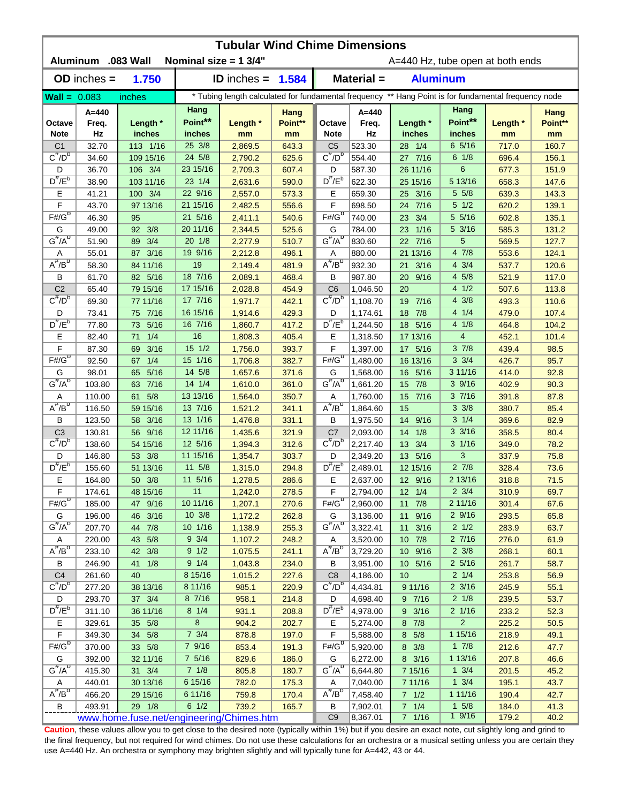|                                          | <b>Tubular Wind Chime Dimensions</b><br>Aluminum .083 Wall<br>Nominal size = 1 3/4"<br>A=440 Hz, tube open at both ends |                                          |                     |                                                                                                      |                 |                                          |                      |                     |                    |                |                 |  |  |  |
|------------------------------------------|-------------------------------------------------------------------------------------------------------------------------|------------------------------------------|---------------------|------------------------------------------------------------------------------------------------------|-----------------|------------------------------------------|----------------------|---------------------|--------------------|----------------|-----------------|--|--|--|
|                                          | $OD$ inches $=$                                                                                                         | 1.750                                    |                     | <b>ID</b> inches $=$                                                                                 | 1.584           |                                          | Material =           | <b>Aluminum</b>     |                    |                |                 |  |  |  |
|                                          |                                                                                                                         |                                          |                     |                                                                                                      |                 |                                          |                      |                     |                    |                |                 |  |  |  |
| <b>Wall = <math>0.083</math></b>         |                                                                                                                         | inches                                   |                     | * Tubing length calculated for fundamental frequency ** Hang Point is for fundamental frequency node |                 |                                          |                      |                     |                    |                |                 |  |  |  |
| Octave                                   | $A = 440$<br>Freq.                                                                                                      | Length *                                 | Hang<br>Point**     | Length *                                                                                             | Hang<br>Point** | Octave                                   | $A = 440$<br>Freq.   | Length *            | Hang<br>Point**    | Length *       | Hang<br>Point** |  |  |  |
| <b>Note</b>                              | Hz                                                                                                                      | inches                                   | inches              | mm                                                                                                   | mm              | <b>Note</b>                              | Hz                   | inches              | inches             | mm             | mm              |  |  |  |
| C <sub>1</sub>                           | 32.70                                                                                                                   | 113 1/16                                 | 25 3/8              | 2,869.5                                                                                              | 643.3           | C <sub>5</sub>                           | 523.30               | 28 1/4              | 65/16              | 717.0          | 160.7           |  |  |  |
| $C^{\#}/D^b$                             | 34.60                                                                                                                   | 109 15/16                                | 24 5/8              | 2,790.2                                                                                              | 625.6           | $C^{\pi}/D^b$                            | 554.40               | 27 7/16             | $6 \frac{1}{8}$    | 696.4          | 156.1           |  |  |  |
| D                                        | 36.70                                                                                                                   | 106 3/4                                  | 23 15/16            | 2,709.3                                                                                              | 607.4           | D                                        | 587.30               | 26 11/16            | $6\phantom{1}6$    | 677.3          | 151.9           |  |  |  |
| $D^{\#}/E^b$                             | 38.90                                                                                                                   | 103 11/16                                | 23 1/4              | 2,631.6                                                                                              | 590.0           | $D^{\#}/E^b$                             | 622.30               | 25 15/16            | 5 13/16            | 658.3          | 147.6           |  |  |  |
| Е                                        | 41.21                                                                                                                   | 100 3/4                                  | 22 9/16             | 2,557.0                                                                                              | 573.3           | Е                                        | 659.30               | 25 3/16             | 5 5/8              | 639.3          | 143.3           |  |  |  |
| F                                        | 43.70                                                                                                                   | 97 13/16                                 | 21 15/16            | 2,482.5                                                                                              | 556.6           | F                                        | 698.50               | 24 7/16             | $5 \frac{1}{2}$    | 620.2          | 139.1           |  |  |  |
| $F# / G^D$                               | 46.30                                                                                                                   | 95                                       | 21 5/16             | 2,411.1                                                                                              | 540.6           | $F#/\overline{G}^D$                      | 740.00               | 23 3/4              | 5 5/16             | 602.8          | 135.1           |  |  |  |
| G                                        | 49.00                                                                                                                   | 92 3/8                                   | 20 11/16            | 2,344.5                                                                                              | 525.6           | G                                        | 784.00               | 1/16<br>23          | 5 3/16             | 585.3          | 131.2           |  |  |  |
| $G^{\#}/A^D$                             | 51.90                                                                                                                   | 89 3/4                                   | 201/8               | 2,277.9                                                                                              | 510.7           | $G^{\overline{n}}/A^D$                   | 830.60               | 22 7/16             | 5                  | 569.5          | 127.7           |  |  |  |
| Α                                        | 55.01                                                                                                                   | 87 3/16                                  | 19 9/16             | 2,212.8                                                                                              | 496.1           | Α                                        | 880.00               | 21 13/16            | 47/8               | 553.6          | 124.1           |  |  |  |
| $A^H/B^D$                                | 58.30                                                                                                                   | 84 11/16                                 | 19                  | 2,149.4                                                                                              | 481.9           | $A^H/B^D$                                | 932.30               | 3/16<br>21          | $4 \frac{3}{4}$    | 537.7          | 120.6           |  |  |  |
| В                                        | 61.70                                                                                                                   | 82 5/16                                  | 18 7/16             | 2,089.1                                                                                              | 468.4           | В                                        | 987.80               | 9/16<br>20          | 4 5/8              | 521.9          | 117.0           |  |  |  |
| C <sub>2</sub><br>$C^{\prime\prime}/D^D$ | 65.40                                                                                                                   | 79 15/16                                 | 17 15/16            | 2,028.8                                                                                              | 454.9           | C <sub>6</sub><br>$C^{\prime\prime}/D^D$ | 1,046.50             | 20                  | 4 1/2              | 507.6          | 113.8           |  |  |  |
|                                          | 69.30                                                                                                                   | 77 11/16                                 | 17 7/16             | 1,971.7                                                                                              | 442.1           |                                          | 1,108.70             | 7/16<br>19          | $4 \frac{3}{8}$    | 493.3          | 110.6           |  |  |  |
| D<br>$D^{\frac{\pi}{}}/E^b$              | 73.41                                                                                                                   | 75 7/16                                  | 16 15/16<br>16 7/16 | 1,914.6                                                                                              | 429.3           | D<br>$D^{\pi}/E^b$                       | 1,174.61             | 7/8<br>18           | $4 \t1/4$<br>41/8  | 479.0          | 107.4           |  |  |  |
|                                          | 77.80                                                                                                                   | 5/16<br>73<br>1/4                        | 16                  | 1,860.7                                                                                              | 417.2           | Е                                        | 1,244.50             | 18 5/16             | $\overline{4}$     | 464.8          | 104.2           |  |  |  |
| Е<br>F                                   | 82.40<br>87.30                                                                                                          | 71<br>3/16<br>69                         | $15 \frac{1}{2}$    | 1,808.3<br>1,756.0                                                                                   | 405.4<br>393.7  | F                                        | 1,318.50<br>1,397.00 | 17 13/16<br>17 5/16 | 37/8               | 452.1<br>439.4 | 101.4<br>98.5   |  |  |  |
| $F# / G^D$                               | 92.50                                                                                                                   | 1/4<br>67                                | 15 1/16             | 1,706.8                                                                                              | 382.7           | $F#/\overline{G}^D$                      | 1,480.00             | 16 13/16            | $3 \frac{3}{4}$    | 426.7          | 95.7            |  |  |  |
| G                                        | 98.01                                                                                                                   | 5/16<br>65                               | 14 5/8              | 1,657.6                                                                                              | 371.6           | G                                        | 1,568.00             | 16 5/16             | 3 11/16            | 414.0          | 92.8            |  |  |  |
| $G^{\#}/A^D$                             | 103.80                                                                                                                  | 7/16<br>63                               | $14 \frac{1}{4}$    | 1,610.0                                                                                              | 361.0           | $G^{\overline{n}}/A^D$                   | 1,661.20             | 15 7/8              | 39/16              | 402.9          | 90.3            |  |  |  |
| Α                                        | 110.00                                                                                                                  | 5/8<br>61                                | 13 13/16            | 1,564.0                                                                                              | 350.7           | Α                                        | 1,760.00             | 15 7/16             | 37/16              | 391.8          | 87.8            |  |  |  |
| $A^{\#}/B^{\sigma}$                      | 116.50                                                                                                                  | 59 15/16                                 | 13 7/16             | 1,521.2                                                                                              | 341.1           | $A^H/B^U$                                | 1,864.60             | 15                  | $3 \frac{3}{8}$    | 380.7          | 85.4            |  |  |  |
| В                                        | 123.50                                                                                                                  | 58 3/16                                  | 13 1/16             | 1,476.8                                                                                              | 331.1           | В                                        | 1,975.50             | 14 9/16             | $3 \frac{1}{4}$    | 369.6          | 82.9            |  |  |  |
| C <sub>3</sub>                           | 130.81                                                                                                                  | 56 9/16                                  | 12 11/16            | 1,435.6                                                                                              | 321.9           | C <sub>7</sub>                           | 2,093.00             | 14 1/8              | $3 \frac{3}{16}$   | 358.5          | 80.4            |  |  |  |
| $C^{\prime\prime}/D^b$                   | 138.60                                                                                                                  | 54 15/16                                 | 12 5/16             | 1,394.3                                                                                              | 312.6           | $C^{\prime\prime}/D^{\prime\prime}$      | 2,217.40             | 13 3/4              | $3 \frac{1}{16}$   | 349.0          | 78.2            |  |  |  |
| D                                        | 146.80                                                                                                                  | 53 3/8                                   | 11 15/16            | 1,354.7                                                                                              | 303.7           | D                                        | 2,349.20             | 13 5/16             | 3                  | 337.9          | 75.8            |  |  |  |
| $D^{\#}/E^b$                             | 155.60                                                                                                                  | 51 13/16                                 | 11 5/8              | 1,315.0                                                                                              | 294.8           | $D^{\#}/E^b$                             | 2,489.01             | 12 15/16            | $2 \frac{7}{8}$    | 328.4          | 73.6            |  |  |  |
| E                                        | 164.80                                                                                                                  | 50 3/8                                   | 11 5/16             | 1,278.5                                                                                              | 286.6           | Е                                        | 2,637.00             | 12 9/16             | 2 13/16            | 318.8          | 71.5            |  |  |  |
| F                                        | 174.61                                                                                                                  | 48 15/16                                 | 11                  | 1,242.0                                                                                              | 278.5           | F                                        | 2,794.00             | $12 \t1/4$          | $2 \frac{3}{4}$    | 310.9          | 69.7            |  |  |  |
| $F# / G^D$                               | 185.00                                                                                                                  | 47 9/16                                  | 10 11/16            | 1,207.1                                                                                              | 270.6           | $F#/G^D$                                 | 2,960.00             | $11 \t 7/8$         | 211/16             | 301.4          | 67.6            |  |  |  |
| G                                        | 196.00                                                                                                                  | 46 3/16                                  | 10 3/8              | 1,172.2                                                                                              | 262.8           | G                                        | 3,136.00             | 11 9/16             | 29/16              | 293.5          | 65.8            |  |  |  |
| $G^{\#}/A^D$                             | 207.70                                                                                                                  | 44 7/8                                   | 10 1/16             | 1,138.9                                                                                              | 255.3           | $G''/A^D$                                | 3,322.41             | 11 3/16             | $2 \frac{1}{2}$    | 283.9          | 63.7            |  |  |  |
| A                                        | 220.00                                                                                                                  | 43 5/8                                   | $9 \frac{3}{4}$     | 1,107.2                                                                                              | 248.2           | A                                        | 3,520.00             | 10 7/8              | 27/16              | 276.0          | 61.9            |  |  |  |
| $A^{\#}/B^D$                             | 233.10                                                                                                                  | 42 3/8                                   | 9 1/2               | 1,075.5                                                                                              | 241.1           | $A^{\#}/B^D$                             | 3,729.20             | 10 9/16             | $2 \frac{3}{8}$    | 268.1          | 60.1            |  |  |  |
| В                                        | 246.90                                                                                                                  | 41 1/8                                   | $9 \t1/4$           | 1,043.8                                                                                              | 234.0           | В                                        | 3,951.00             | 10 5/16             | $2\;5/16$          | 261.7          | 58.7            |  |  |  |
| C <sub>4</sub>                           | 261.60                                                                                                                  | 40                                       | 8 15/16             | 1,015.2                                                                                              | 227.6           | C <sub>8</sub>                           | 4,186.00             | 10                  | $2 \frac{1}{4}$    | 253.8          | 56.9            |  |  |  |
| $C^{\frac{\pi}{}}/D^b$                   | 277.20                                                                                                                  | 38 13/16                                 | 8 11/16             | 985.1                                                                                                | 220.9           | $C^{\frac{\pi}{}}/D^b$                   | 4,434.81             | 9 11/16             | $2 \frac{3}{16}$   | 245.9          | 55.1            |  |  |  |
| D                                        | 293.70                                                                                                                  | 37    3/4                                | 8 7/16              | 958.1                                                                                                | 214.8           | D                                        | 4,698.40             | 9 7/16              | $2 \frac{1}{8}$    | 239.5          | 53.7            |  |  |  |
| $D^{\frac{\pi}{r}}/E^b$                  | 311.10                                                                                                                  | 36 11/16                                 | $8 \t1/4$           | 931.1                                                                                                | 208.8           | $D^{\#}/E^b$                             | 4,978.00             | 9 3/16              | 2 1/16             | 233.2          | 52.3            |  |  |  |
| Е                                        | 329.61                                                                                                                  | 35 5/8                                   | $\bf 8$             | 904.2                                                                                                | 202.7           | Е                                        | 5,274.00             | 8 7/8               | $\overline{2}$     | 225.2          | 50.5            |  |  |  |
| F                                        | 349.30                                                                                                                  | 34 5/8                                   | $7 \frac{3}{4}$     | 878.8                                                                                                | 197.0           | F                                        | 5,588.00             | 8 5/8               | 1 15/16            | 218.9          | 49.1            |  |  |  |
| $F#/\overline{G}^D$                      | 370.00                                                                                                                  | 33 5/8                                   | 7 9/16              | 853.4                                                                                                | 191.3           | $F# / G^D$                               | 5,920.00             | 8 3/8               | 17/8               | 212.6          | 47.7            |  |  |  |
| G                                        | 392.00                                                                                                                  | 32 11/16                                 | 7 5/16              | 829.6                                                                                                | 186.0           | G                                        | 6,272.00             | 8 3/16              | 1 13/16            | 207.8          | 46.6            |  |  |  |
| $G^{\#}/A^D$                             | 415.30                                                                                                                  | $31 \t3/4$                               | 71/8                | 805.8                                                                                                | 180.7           | $G^H/A^D$                                | 6,644.80             | 7 15/16             | $1 \frac{3}{4}$    | 201.5          | 45.2            |  |  |  |
| A                                        | 440.01                                                                                                                  | 30 13/16                                 | 6 15/16             | 782.0                                                                                                | 175.3           | A                                        | 7,040.00             | 7 11/16             | $1 \frac{3}{4}$    | 195.1          | 43.7            |  |  |  |
| $A^H/B^D$                                | 466.20                                                                                                                  | 29 15/16                                 | 6 11/16             | 759.8                                                                                                | 170.4           | $A^H/B^D$                                | 7,458.40             | $7$ $1/2$           | 1 11/16            | 190.4          | 42.7            |  |  |  |
| В                                        | 493.91                                                                                                                  | 29 1/8                                   | $6 \frac{1}{2}$     | 739.2                                                                                                | 165.7           | В<br>C <sub>9</sub>                      | 7,902.01             | $7 1/4$<br>7 1/16   | $1 \t5/8$<br>19/16 | 184.0          | 41.3            |  |  |  |
|                                          |                                                                                                                         | www.home.fuse.net/engineering/Chimes.htm |                     |                                                                                                      |                 |                                          | 8,367.01             |                     |                    | 179.2          | 40.2            |  |  |  |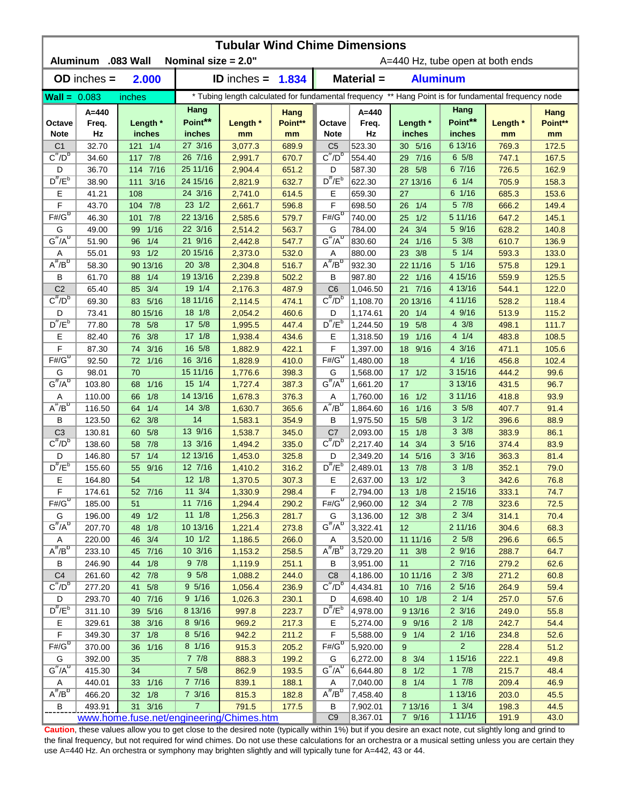| Material =<br>$OD$ inches $=$<br><b>Aluminum</b><br>2.000<br><b>ID</b> inches $=$<br>1.834<br>* Tubing length calculated for fundamental frequency ** Hang Point is for fundamental frequency node<br>$Wall = 0.083$<br>inches<br>Hang<br>Hang<br>$A=440$<br>A=440<br>Hang<br>Hang<br>Point**<br>Point**<br>Length *<br>Point**<br>Length *<br>Point**<br>Length *<br>Freq.<br>Length *<br>Octave<br>Freq.<br>Octave<br>Hz<br>inches<br>Hz<br>inches<br><b>Note</b><br>inches<br><b>Note</b><br>inches<br>mm<br>mm<br>mm<br>mm<br>27 3/16<br>6 13/16<br>121 1/4<br>523.30<br>30 5/16<br>C <sub>1</sub><br>32.70<br>3,077.3<br>689.9<br>C <sub>5</sub><br>769.3<br>172.5<br>$C^{\#}/D^b$<br>$C^{\#}/D^D$<br>26 7/16<br>$6\;5/8$<br>117 7/8<br>670.7<br>554.40<br>29 7/16<br>34.60<br>2,991.7<br>747.1<br>167.5<br>6 7/16<br>25 11/16<br>7/16<br>28 5/8<br>D<br>36.70<br>114<br>2,904.4<br>651.2<br>D<br>587.30<br>726.5<br>162.9<br>$D^{\#}/E^b$<br>$D^{\#}/E^b$<br>3/16<br>24 15/16<br>632.7<br>622.30<br>27 13/16<br>$6 \t1/4$<br>705.9<br>158.3<br>38.90<br>111<br>2,821.9<br>6 1/16<br>24 3/16<br>Е<br>41.21<br>108<br>614.5<br>Е<br>659.30<br>685.3<br>153.6<br>2,741.0<br>27<br>F<br>5 7/8<br>7/8<br>23 1/2<br>F<br>43.70<br>1/4<br>149.4<br>104<br>2,661.7<br>596.8<br>698.50<br>26<br>666.2<br>$F# / G^D$<br>$F#/\overline{G}^D$<br>7/8<br>22 13/16<br>1/2<br>5 11/16<br>46.30<br>101<br>2,585.6<br>579.7<br>740.00<br>25<br>647.2<br>145.1<br>22 3/16<br>5 9/16<br>$1/16$<br>24 3/4<br>G<br>49.00<br>99<br>2,514.2<br>563.7<br>G<br>784.00<br>628.2<br>140.8<br>$G^{\#}/A^D$<br>$G''/A^D$<br>21 9/16<br>5 3/8<br>1/4<br>547.7<br>830.60<br>24 1/16<br>51.90<br>96<br>2,442.8<br>610.7<br>136.9<br>93 1/2<br>$5 \t1/4$<br>55.01<br>20 15/16<br>532.0<br>23 3/8<br>593.3<br>2,373.0<br>880.00<br>133.0<br>Α<br>Α<br>$A^{\#}/B^D$<br>$A^{\#}/B^D$<br>20 3/8<br>5 1/16<br>90 13/16<br>516.7<br>932.30<br>22 11/16<br>58.30<br>2,304.8<br>575.8<br>129.1<br>19 13/16<br>4 15/16<br>1/4<br>502.2<br>987.80<br>22 1/16<br>В<br>61.70<br>88<br>2,239.8<br>В<br>559.9<br>125.5<br>3/4<br>C <sub>2</sub><br>19 1/4<br>C <sub>6</sub><br>21 7/16<br>4 13/16<br>65.40<br>85<br>2,176.3<br>487.9<br>1,046.50<br>544.1<br>122.0<br>$C^{\#}/D^D$<br>$C^{\prime\prime}/D^D$<br>18 11/16<br>4 11/16<br>83 5/16<br>1,108.70<br>69.30<br>2,114.5<br>474.1<br>20 13/16<br>528.2<br>118.4<br>4 9/16<br>18 1/8<br>D<br>73.41<br>80 15/16<br>2,054.2<br>460.6<br>D<br>1,174.61<br>1/4<br>513.9<br>115.2<br>20<br>$D^{\pi}/E^b$<br>$D^{\pi}/E^b$<br>$4 \frac{3}{8}$<br>17 5/8<br>447.4<br>5/8<br>77.80<br>78 5/8<br>1,995.5<br>1,244.50<br>19<br>498.1<br>111.7<br>4 1/4<br>$17 \frac{1}{8}$<br>Е<br>3/8<br>1,938.4<br>434.6<br>Е<br>1/16<br>483.8<br>108.5<br>82.40<br>76<br>1,318.50<br>19<br>16 5/8<br>F<br>4 3/16<br>F<br>3/16<br>1,882.9<br>422.1<br>9/16<br>105.6<br>87.30<br>74<br>1,397.00<br>18<br>471.1<br>$F# / G^D$<br>$F#/\overline{G}^D$<br>16 3/16<br>4 1/16<br>92.50<br>1/16<br>410.0<br>1,480.00<br>18<br>102.4<br>72<br>1,828.9<br>456.8<br>15 11/16<br>3 15/16<br>70<br>G<br>$17 \t1/2$<br>444.2<br>99.6<br>G<br>98.01<br>1,776.6<br>398.3<br>1,568.00<br>$G^{\#}/A^D$<br>$G^{\#}/A^D$<br>15 1/4<br>3 13/16<br>103.80<br>1/16<br>1,727.4<br>387.3<br>17<br>431.5<br>96.7<br>68<br>1,661.20<br>14 13/16<br>311/16<br>110.00<br>1/8<br>376.3<br>$16 \t1/2$<br>418.8<br>93.9<br>66<br>1,678.3<br>Α<br>1,760.00<br>Α<br>$A^{\#}/B^D$<br>$A^H/B^D$<br>35/8<br>116.50<br>1/4<br>14 3/8<br>365.6<br>1,864.60<br>16 1/16<br>91.4<br>64<br>1,630.7<br>407.7<br>3/8<br>14<br>$3 \frac{1}{2}$<br>B<br>В<br>15 5/8<br>123.50<br>62<br>1,583.1<br>354.9<br>1,975.50<br>396.6<br>88.9<br>13 9/16<br>$3 \frac{3}{8}$<br>C <sub>3</sub><br>130.81<br>5/8<br>C <sub>7</sub><br>86.1<br>60<br>1,538.7<br>345.0<br>2,093.00<br>15<br>1/8<br>383.9<br>$C^{\#}/D^b$<br>$C^{\prime\prime}/D^{\prime\prime}$<br>58 7/8<br>335.0<br>2,217.40<br>14 3/4<br>35/16<br>138.60<br>13 3/16<br>1,494.2<br>374.4<br>83.9<br>12 13/16<br>$3 \frac{3}{16}$<br>1/4<br>14 5/16<br>D<br>146.80<br>57<br>1,453.0<br>325.8<br>D<br>2,349.20<br>363.3<br>81.4<br>$D^{\#}/E^b$<br>$D^{\prime\prime}/E^b$<br>12 7/16<br>$3 \frac{1}{8}$<br>316.2<br>13 7/8<br>155.60<br>9/16<br>1,410.2<br>2,489.01<br>352.1<br>79.0<br>55<br>Е<br>$12 \frac{1}{8}$<br>307.3<br>Е<br>3<br>76.8<br>164.80<br>54<br>1,370.5<br>2,637.00<br>$13 \t1/2$<br>342.6<br>$11 \t3/4$<br>215/16<br>52 7/16<br>13 1/8<br>F<br>174.61<br>1,330.9<br>298.4<br>F<br>2,794.00<br>333.1<br>74.7<br>$F#/\overline{G}^{\sigma}$<br>$F#/G^D$<br>11 7/16<br>$2 \frac{7}{8}$<br>185.00<br>1,294.4<br>290.2<br>2,960.00<br>12 3/4<br>72.5<br>51<br>323.6<br>49 1/2<br>$11 \t1/8$<br>$2 \frac{3}{4}$<br>G<br>196.00<br>1,256.3<br>281.7<br>3,136.00<br>12 3/8<br>314.1<br>70.4<br>G<br>$G^{\#}/A^D$<br>$\overline{G^{\#}/A^D}$<br>10 13/16<br>2 11/16<br>48 1/8<br>207.70<br>1,221.4<br>273.8<br>3,322.41<br>12<br>304.6<br>68.3<br>46 3/4<br>$10 \frac{1}{2}$<br>$2\,5/8$<br>220.00<br>266.0<br>3,520.00<br>11 11/16<br>296.6<br>66.5<br>Α<br>1,186.5<br>Α<br>$A^{\#}/B^D$<br>$A^{\#}/B^D$<br>10 3/16<br>29/16<br>45 7/16<br>233.10<br>1,153.2<br>258.5<br>3,729.20<br>$11 \t3/8$<br>288.7<br>64.7<br>97/8<br>27/16<br>44 1/8<br>11<br>В<br>246.90<br>1,119.9<br>251.1<br>3,951.00<br>279.2<br>62.6<br>В<br>C <sub>4</sub><br>42 7/8<br>$9\,5/8$<br>$2 \frac{3}{8}$<br>261.60<br>1,088.2<br>244.0<br>C <sub>8</sub><br>4,186.00<br>10 11/16<br>271.2<br>60.8<br>$C^{\frac{\pi}{}}/D^b$<br>$C^{\pi}/D^b$<br>9 5/16<br>$2\;5/16$<br>5/8<br>4,434.81<br>277.20<br>41<br>1,056.4<br>236.9<br>10 7/16<br>264.9<br>59.4<br>9 1/16<br>$2 \frac{1}{4}$<br>40 7/16<br>D<br>293.70<br>1,026.3<br>230.1<br>4,698.40<br>$10 \t1/8$<br>257.0<br>57.6<br>D<br>$D^{\#}/E^b$<br>$D^{\#}/E^b$<br>8 13/16<br>$2 \frac{3}{16}$<br>311.10<br>39 5/16<br>997.8<br>223.7<br> 4,978.00<br>9 13/16<br>249.0<br>55.8<br>8 9/16<br>$2 \frac{1}{8}$<br>54.4<br>Е<br>329.61<br>38 3/16<br>969.2<br>217.3<br>Е<br>5,274.00<br>9 9/16<br>242.7<br>8 5/16<br>$\mathsf F$<br>F<br>2 1/16<br>349.30<br>211.2<br>234.8<br>52.6<br>1/8<br>942.2<br>5,588.00<br>$9 \t1/4$<br>37<br>$F#/\overline{G}^D$<br>$F# / G^D$<br>$\overline{2}$<br>370.00<br>8 1/16<br>205.2<br>5,920.00<br>51.2<br>1/16<br>915.3<br>9<br>228.4<br>36<br>$7 \t7/8$<br>1 15/16<br>G<br>392.00<br>199.2<br>G<br>8 3/4<br>49.8<br>35<br>888.3<br>6,272.00<br>222.1<br>$G^{\#}/A^D$<br>$G^H/A^D$<br>$7\frac{5}{8}$<br>$1 \t7/8$<br>48.4<br>415.30<br>34<br>862.9<br>193.5<br>6,644.80<br>$8 \t1/2$<br>215.7<br>7 7/16<br>$1 \t7/8$<br>46.9<br>440.01<br>33 1/16<br>839.1<br>188.1<br>7,040.00<br>$8 \t1/4$<br>209.4<br>Α<br>Α<br>$A^{\#}/B^D$<br>$A^H/B^D$<br>$7 \frac{3}{16}$<br>1 13/16<br>32 1/8<br>7,458.40<br>45.5<br>466.20<br>815.3<br>182.8<br>8<br>203.0<br>$1 \t3/4$<br>493.91<br>31 3/16<br>$\overline{7}$<br>7 13/16<br>44.5<br>В<br>791.5<br>177.5<br>В<br>7,902.01<br>198.3<br>www.home.fuse.net/engineering/Chimes.htm | <b>Tubular Wind Chime Dimensions</b><br>Aluminum .083 Wall<br>Nominal size = 2.0"<br>A=440 Hz, tube open at both ends |  |  |  |  |                |          |        |        |       |      |  |  |  |
|----------------------------------------------------------------------------------------------------------------------------------------------------------------------------------------------------------------------------------------------------------------------------------------------------------------------------------------------------------------------------------------------------------------------------------------------------------------------------------------------------------------------------------------------------------------------------------------------------------------------------------------------------------------------------------------------------------------------------------------------------------------------------------------------------------------------------------------------------------------------------------------------------------------------------------------------------------------------------------------------------------------------------------------------------------------------------------------------------------------------------------------------------------------------------------------------------------------------------------------------------------------------------------------------------------------------------------------------------------------------------------------------------------------------------------------------------------------------------------------------------------------------------------------------------------------------------------------------------------------------------------------------------------------------------------------------------------------------------------------------------------------------------------------------------------------------------------------------------------------------------------------------------------------------------------------------------------------------------------------------------------------------------------------------------------------------------------------------------------------------------------------------------------------------------------------------------------------------------------------------------------------------------------------------------------------------------------------------------------------------------------------------------------------------------------------------------------------------------------------------------------------------------------------------------------------------------------------------------------------------------------------------------------------------------------------------------------------------------------------------------------------------------------------------------------------------------------------------------------------------------------------------------------------------------------------------------------------------------------------------------------------------------------------------------------------------------------------------------------------------------------------------------------------------------------------------------------------------------------------------------------------------------------------------------------------------------------------------------------------------------------------------------------------------------------------------------------------------------------------------------------------------------------------------------------------------------------------------------------------------------------------------------------------------------------------------------------------------------------------------------------------------------------------------------------------------------------------------------------------------------------------------------------------------------------------------------------------------------------------------------------------------------------------------------------------------------------------------------------------------------------------------------------------------------------------------------------------------------------------------------------------------------------------------------------------------------------------------------------------------------------------------------------------------------------------------------------------------------------------------------------------------------------------------------------------------------------------------------------------------------------------------------------------------------------------------------------------------------------------------------------------------------------------------------------------------------------------------------------------------------------------------------------------------------------------------------------------------------------------------------------------------------------------------------------------------------------------------------------------------------------------------------------------------------------------------------------------------------------------------------------------------------------------------------------------------------------------------------------------------------------------------------------------------------------------------------------------------------------------------------------------------------------------------------------------------------------------------------------------------------------------------------------------------------------------------------------------------------------------------------------------------------------------------------------------------------------------------------------------------------------------------------------------------------------------------------------------------------------------------------------------------------------------------------------------------------------------------------------------------------------------------------------------------------------------------------------------------------------------------------------------------------------------------------------------------------------------------------------------------------------------------------------------------------------------------------------------------------------------------------------------------------------------------------------------------------------------------------------------------------------------------------------------------------------------------------------------------------------------------------------------------------------------------------------------------------------------------------------------------------------------------------------------------------------------------------------------------------------------|-----------------------------------------------------------------------------------------------------------------------|--|--|--|--|----------------|----------|--------|--------|-------|------|--|--|--|
|                                                                                                                                                                                                                                                                                                                                                                                                                                                                                                                                                                                                                                                                                                                                                                                                                                                                                                                                                                                                                                                                                                                                                                                                                                                                                                                                                                                                                                                                                                                                                                                                                                                                                                                                                                                                                                                                                                                                                                                                                                                                                                                                                                                                                                                                                                                                                                                                                                                                                                                                                                                                                                                                                                                                                                                                                                                                                                                                                                                                                                                                                                                                                                                                                                                                                                                                                                                                                                                                                                                                                                                                                                                                                                                                                                                                                                                                                                                                                                                                                                                                                                                                                                                                                                                                                                                                                                                                                                                                                                                                                                                                                                                                                                                                                                                                                                                                                                                                                                                                                                                                                                                                                                                                                                                                                                                                                                                                                                                                                                                                                                                                                                                                                                                                                                                                                                                                                                                                                                                                                                                                                                                                                                                                                                                                                                                                                                                                                                                                                                                                                                                                                                                                                                                                                                                                                                                                                                                                                                                        |                                                                                                                       |  |  |  |  |                |          |        |        |       |      |  |  |  |
|                                                                                                                                                                                                                                                                                                                                                                                                                                                                                                                                                                                                                                                                                                                                                                                                                                                                                                                                                                                                                                                                                                                                                                                                                                                                                                                                                                                                                                                                                                                                                                                                                                                                                                                                                                                                                                                                                                                                                                                                                                                                                                                                                                                                                                                                                                                                                                                                                                                                                                                                                                                                                                                                                                                                                                                                                                                                                                                                                                                                                                                                                                                                                                                                                                                                                                                                                                                                                                                                                                                                                                                                                                                                                                                                                                                                                                                                                                                                                                                                                                                                                                                                                                                                                                                                                                                                                                                                                                                                                                                                                                                                                                                                                                                                                                                                                                                                                                                                                                                                                                                                                                                                                                                                                                                                                                                                                                                                                                                                                                                                                                                                                                                                                                                                                                                                                                                                                                                                                                                                                                                                                                                                                                                                                                                                                                                                                                                                                                                                                                                                                                                                                                                                                                                                                                                                                                                                                                                                                                                        |                                                                                                                       |  |  |  |  |                |          |        |        |       |      |  |  |  |
|                                                                                                                                                                                                                                                                                                                                                                                                                                                                                                                                                                                                                                                                                                                                                                                                                                                                                                                                                                                                                                                                                                                                                                                                                                                                                                                                                                                                                                                                                                                                                                                                                                                                                                                                                                                                                                                                                                                                                                                                                                                                                                                                                                                                                                                                                                                                                                                                                                                                                                                                                                                                                                                                                                                                                                                                                                                                                                                                                                                                                                                                                                                                                                                                                                                                                                                                                                                                                                                                                                                                                                                                                                                                                                                                                                                                                                                                                                                                                                                                                                                                                                                                                                                                                                                                                                                                                                                                                                                                                                                                                                                                                                                                                                                                                                                                                                                                                                                                                                                                                                                                                                                                                                                                                                                                                                                                                                                                                                                                                                                                                                                                                                                                                                                                                                                                                                                                                                                                                                                                                                                                                                                                                                                                                                                                                                                                                                                                                                                                                                                                                                                                                                                                                                                                                                                                                                                                                                                                                                                        |                                                                                                                       |  |  |  |  |                |          |        |        |       |      |  |  |  |
|                                                                                                                                                                                                                                                                                                                                                                                                                                                                                                                                                                                                                                                                                                                                                                                                                                                                                                                                                                                                                                                                                                                                                                                                                                                                                                                                                                                                                                                                                                                                                                                                                                                                                                                                                                                                                                                                                                                                                                                                                                                                                                                                                                                                                                                                                                                                                                                                                                                                                                                                                                                                                                                                                                                                                                                                                                                                                                                                                                                                                                                                                                                                                                                                                                                                                                                                                                                                                                                                                                                                                                                                                                                                                                                                                                                                                                                                                                                                                                                                                                                                                                                                                                                                                                                                                                                                                                                                                                                                                                                                                                                                                                                                                                                                                                                                                                                                                                                                                                                                                                                                                                                                                                                                                                                                                                                                                                                                                                                                                                                                                                                                                                                                                                                                                                                                                                                                                                                                                                                                                                                                                                                                                                                                                                                                                                                                                                                                                                                                                                                                                                                                                                                                                                                                                                                                                                                                                                                                                                                        |                                                                                                                       |  |  |  |  |                |          |        |        |       |      |  |  |  |
|                                                                                                                                                                                                                                                                                                                                                                                                                                                                                                                                                                                                                                                                                                                                                                                                                                                                                                                                                                                                                                                                                                                                                                                                                                                                                                                                                                                                                                                                                                                                                                                                                                                                                                                                                                                                                                                                                                                                                                                                                                                                                                                                                                                                                                                                                                                                                                                                                                                                                                                                                                                                                                                                                                                                                                                                                                                                                                                                                                                                                                                                                                                                                                                                                                                                                                                                                                                                                                                                                                                                                                                                                                                                                                                                                                                                                                                                                                                                                                                                                                                                                                                                                                                                                                                                                                                                                                                                                                                                                                                                                                                                                                                                                                                                                                                                                                                                                                                                                                                                                                                                                                                                                                                                                                                                                                                                                                                                                                                                                                                                                                                                                                                                                                                                                                                                                                                                                                                                                                                                                                                                                                                                                                                                                                                                                                                                                                                                                                                                                                                                                                                                                                                                                                                                                                                                                                                                                                                                                                                        |                                                                                                                       |  |  |  |  |                |          |        |        |       |      |  |  |  |
|                                                                                                                                                                                                                                                                                                                                                                                                                                                                                                                                                                                                                                                                                                                                                                                                                                                                                                                                                                                                                                                                                                                                                                                                                                                                                                                                                                                                                                                                                                                                                                                                                                                                                                                                                                                                                                                                                                                                                                                                                                                                                                                                                                                                                                                                                                                                                                                                                                                                                                                                                                                                                                                                                                                                                                                                                                                                                                                                                                                                                                                                                                                                                                                                                                                                                                                                                                                                                                                                                                                                                                                                                                                                                                                                                                                                                                                                                                                                                                                                                                                                                                                                                                                                                                                                                                                                                                                                                                                                                                                                                                                                                                                                                                                                                                                                                                                                                                                                                                                                                                                                                                                                                                                                                                                                                                                                                                                                                                                                                                                                                                                                                                                                                                                                                                                                                                                                                                                                                                                                                                                                                                                                                                                                                                                                                                                                                                                                                                                                                                                                                                                                                                                                                                                                                                                                                                                                                                                                                                                        |                                                                                                                       |  |  |  |  |                |          |        |        |       |      |  |  |  |
|                                                                                                                                                                                                                                                                                                                                                                                                                                                                                                                                                                                                                                                                                                                                                                                                                                                                                                                                                                                                                                                                                                                                                                                                                                                                                                                                                                                                                                                                                                                                                                                                                                                                                                                                                                                                                                                                                                                                                                                                                                                                                                                                                                                                                                                                                                                                                                                                                                                                                                                                                                                                                                                                                                                                                                                                                                                                                                                                                                                                                                                                                                                                                                                                                                                                                                                                                                                                                                                                                                                                                                                                                                                                                                                                                                                                                                                                                                                                                                                                                                                                                                                                                                                                                                                                                                                                                                                                                                                                                                                                                                                                                                                                                                                                                                                                                                                                                                                                                                                                                                                                                                                                                                                                                                                                                                                                                                                                                                                                                                                                                                                                                                                                                                                                                                                                                                                                                                                                                                                                                                                                                                                                                                                                                                                                                                                                                                                                                                                                                                                                                                                                                                                                                                                                                                                                                                                                                                                                                                                        |                                                                                                                       |  |  |  |  |                |          |        |        |       |      |  |  |  |
|                                                                                                                                                                                                                                                                                                                                                                                                                                                                                                                                                                                                                                                                                                                                                                                                                                                                                                                                                                                                                                                                                                                                                                                                                                                                                                                                                                                                                                                                                                                                                                                                                                                                                                                                                                                                                                                                                                                                                                                                                                                                                                                                                                                                                                                                                                                                                                                                                                                                                                                                                                                                                                                                                                                                                                                                                                                                                                                                                                                                                                                                                                                                                                                                                                                                                                                                                                                                                                                                                                                                                                                                                                                                                                                                                                                                                                                                                                                                                                                                                                                                                                                                                                                                                                                                                                                                                                                                                                                                                                                                                                                                                                                                                                                                                                                                                                                                                                                                                                                                                                                                                                                                                                                                                                                                                                                                                                                                                                                                                                                                                                                                                                                                                                                                                                                                                                                                                                                                                                                                                                                                                                                                                                                                                                                                                                                                                                                                                                                                                                                                                                                                                                                                                                                                                                                                                                                                                                                                                                                        |                                                                                                                       |  |  |  |  |                |          |        |        |       |      |  |  |  |
|                                                                                                                                                                                                                                                                                                                                                                                                                                                                                                                                                                                                                                                                                                                                                                                                                                                                                                                                                                                                                                                                                                                                                                                                                                                                                                                                                                                                                                                                                                                                                                                                                                                                                                                                                                                                                                                                                                                                                                                                                                                                                                                                                                                                                                                                                                                                                                                                                                                                                                                                                                                                                                                                                                                                                                                                                                                                                                                                                                                                                                                                                                                                                                                                                                                                                                                                                                                                                                                                                                                                                                                                                                                                                                                                                                                                                                                                                                                                                                                                                                                                                                                                                                                                                                                                                                                                                                                                                                                                                                                                                                                                                                                                                                                                                                                                                                                                                                                                                                                                                                                                                                                                                                                                                                                                                                                                                                                                                                                                                                                                                                                                                                                                                                                                                                                                                                                                                                                                                                                                                                                                                                                                                                                                                                                                                                                                                                                                                                                                                                                                                                                                                                                                                                                                                                                                                                                                                                                                                                                        |                                                                                                                       |  |  |  |  |                |          |        |        |       |      |  |  |  |
|                                                                                                                                                                                                                                                                                                                                                                                                                                                                                                                                                                                                                                                                                                                                                                                                                                                                                                                                                                                                                                                                                                                                                                                                                                                                                                                                                                                                                                                                                                                                                                                                                                                                                                                                                                                                                                                                                                                                                                                                                                                                                                                                                                                                                                                                                                                                                                                                                                                                                                                                                                                                                                                                                                                                                                                                                                                                                                                                                                                                                                                                                                                                                                                                                                                                                                                                                                                                                                                                                                                                                                                                                                                                                                                                                                                                                                                                                                                                                                                                                                                                                                                                                                                                                                                                                                                                                                                                                                                                                                                                                                                                                                                                                                                                                                                                                                                                                                                                                                                                                                                                                                                                                                                                                                                                                                                                                                                                                                                                                                                                                                                                                                                                                                                                                                                                                                                                                                                                                                                                                                                                                                                                                                                                                                                                                                                                                                                                                                                                                                                                                                                                                                                                                                                                                                                                                                                                                                                                                                                        |                                                                                                                       |  |  |  |  |                |          |        |        |       |      |  |  |  |
|                                                                                                                                                                                                                                                                                                                                                                                                                                                                                                                                                                                                                                                                                                                                                                                                                                                                                                                                                                                                                                                                                                                                                                                                                                                                                                                                                                                                                                                                                                                                                                                                                                                                                                                                                                                                                                                                                                                                                                                                                                                                                                                                                                                                                                                                                                                                                                                                                                                                                                                                                                                                                                                                                                                                                                                                                                                                                                                                                                                                                                                                                                                                                                                                                                                                                                                                                                                                                                                                                                                                                                                                                                                                                                                                                                                                                                                                                                                                                                                                                                                                                                                                                                                                                                                                                                                                                                                                                                                                                                                                                                                                                                                                                                                                                                                                                                                                                                                                                                                                                                                                                                                                                                                                                                                                                                                                                                                                                                                                                                                                                                                                                                                                                                                                                                                                                                                                                                                                                                                                                                                                                                                                                                                                                                                                                                                                                                                                                                                                                                                                                                                                                                                                                                                                                                                                                                                                                                                                                                                        |                                                                                                                       |  |  |  |  |                |          |        |        |       |      |  |  |  |
|                                                                                                                                                                                                                                                                                                                                                                                                                                                                                                                                                                                                                                                                                                                                                                                                                                                                                                                                                                                                                                                                                                                                                                                                                                                                                                                                                                                                                                                                                                                                                                                                                                                                                                                                                                                                                                                                                                                                                                                                                                                                                                                                                                                                                                                                                                                                                                                                                                                                                                                                                                                                                                                                                                                                                                                                                                                                                                                                                                                                                                                                                                                                                                                                                                                                                                                                                                                                                                                                                                                                                                                                                                                                                                                                                                                                                                                                                                                                                                                                                                                                                                                                                                                                                                                                                                                                                                                                                                                                                                                                                                                                                                                                                                                                                                                                                                                                                                                                                                                                                                                                                                                                                                                                                                                                                                                                                                                                                                                                                                                                                                                                                                                                                                                                                                                                                                                                                                                                                                                                                                                                                                                                                                                                                                                                                                                                                                                                                                                                                                                                                                                                                                                                                                                                                                                                                                                                                                                                                                                        |                                                                                                                       |  |  |  |  |                |          |        |        |       |      |  |  |  |
|                                                                                                                                                                                                                                                                                                                                                                                                                                                                                                                                                                                                                                                                                                                                                                                                                                                                                                                                                                                                                                                                                                                                                                                                                                                                                                                                                                                                                                                                                                                                                                                                                                                                                                                                                                                                                                                                                                                                                                                                                                                                                                                                                                                                                                                                                                                                                                                                                                                                                                                                                                                                                                                                                                                                                                                                                                                                                                                                                                                                                                                                                                                                                                                                                                                                                                                                                                                                                                                                                                                                                                                                                                                                                                                                                                                                                                                                                                                                                                                                                                                                                                                                                                                                                                                                                                                                                                                                                                                                                                                                                                                                                                                                                                                                                                                                                                                                                                                                                                                                                                                                                                                                                                                                                                                                                                                                                                                                                                                                                                                                                                                                                                                                                                                                                                                                                                                                                                                                                                                                                                                                                                                                                                                                                                                                                                                                                                                                                                                                                                                                                                                                                                                                                                                                                                                                                                                                                                                                                                                        |                                                                                                                       |  |  |  |  |                |          |        |        |       |      |  |  |  |
|                                                                                                                                                                                                                                                                                                                                                                                                                                                                                                                                                                                                                                                                                                                                                                                                                                                                                                                                                                                                                                                                                                                                                                                                                                                                                                                                                                                                                                                                                                                                                                                                                                                                                                                                                                                                                                                                                                                                                                                                                                                                                                                                                                                                                                                                                                                                                                                                                                                                                                                                                                                                                                                                                                                                                                                                                                                                                                                                                                                                                                                                                                                                                                                                                                                                                                                                                                                                                                                                                                                                                                                                                                                                                                                                                                                                                                                                                                                                                                                                                                                                                                                                                                                                                                                                                                                                                                                                                                                                                                                                                                                                                                                                                                                                                                                                                                                                                                                                                                                                                                                                                                                                                                                                                                                                                                                                                                                                                                                                                                                                                                                                                                                                                                                                                                                                                                                                                                                                                                                                                                                                                                                                                                                                                                                                                                                                                                                                                                                                                                                                                                                                                                                                                                                                                                                                                                                                                                                                                                                        |                                                                                                                       |  |  |  |  |                |          |        |        |       |      |  |  |  |
|                                                                                                                                                                                                                                                                                                                                                                                                                                                                                                                                                                                                                                                                                                                                                                                                                                                                                                                                                                                                                                                                                                                                                                                                                                                                                                                                                                                                                                                                                                                                                                                                                                                                                                                                                                                                                                                                                                                                                                                                                                                                                                                                                                                                                                                                                                                                                                                                                                                                                                                                                                                                                                                                                                                                                                                                                                                                                                                                                                                                                                                                                                                                                                                                                                                                                                                                                                                                                                                                                                                                                                                                                                                                                                                                                                                                                                                                                                                                                                                                                                                                                                                                                                                                                                                                                                                                                                                                                                                                                                                                                                                                                                                                                                                                                                                                                                                                                                                                                                                                                                                                                                                                                                                                                                                                                                                                                                                                                                                                                                                                                                                                                                                                                                                                                                                                                                                                                                                                                                                                                                                                                                                                                                                                                                                                                                                                                                                                                                                                                                                                                                                                                                                                                                                                                                                                                                                                                                                                                                                        |                                                                                                                       |  |  |  |  |                |          |        |        |       |      |  |  |  |
|                                                                                                                                                                                                                                                                                                                                                                                                                                                                                                                                                                                                                                                                                                                                                                                                                                                                                                                                                                                                                                                                                                                                                                                                                                                                                                                                                                                                                                                                                                                                                                                                                                                                                                                                                                                                                                                                                                                                                                                                                                                                                                                                                                                                                                                                                                                                                                                                                                                                                                                                                                                                                                                                                                                                                                                                                                                                                                                                                                                                                                                                                                                                                                                                                                                                                                                                                                                                                                                                                                                                                                                                                                                                                                                                                                                                                                                                                                                                                                                                                                                                                                                                                                                                                                                                                                                                                                                                                                                                                                                                                                                                                                                                                                                                                                                                                                                                                                                                                                                                                                                                                                                                                                                                                                                                                                                                                                                                                                                                                                                                                                                                                                                                                                                                                                                                                                                                                                                                                                                                                                                                                                                                                                                                                                                                                                                                                                                                                                                                                                                                                                                                                                                                                                                                                                                                                                                                                                                                                                                        |                                                                                                                       |  |  |  |  |                |          |        |        |       |      |  |  |  |
|                                                                                                                                                                                                                                                                                                                                                                                                                                                                                                                                                                                                                                                                                                                                                                                                                                                                                                                                                                                                                                                                                                                                                                                                                                                                                                                                                                                                                                                                                                                                                                                                                                                                                                                                                                                                                                                                                                                                                                                                                                                                                                                                                                                                                                                                                                                                                                                                                                                                                                                                                                                                                                                                                                                                                                                                                                                                                                                                                                                                                                                                                                                                                                                                                                                                                                                                                                                                                                                                                                                                                                                                                                                                                                                                                                                                                                                                                                                                                                                                                                                                                                                                                                                                                                                                                                                                                                                                                                                                                                                                                                                                                                                                                                                                                                                                                                                                                                                                                                                                                                                                                                                                                                                                                                                                                                                                                                                                                                                                                                                                                                                                                                                                                                                                                                                                                                                                                                                                                                                                                                                                                                                                                                                                                                                                                                                                                                                                                                                                                                                                                                                                                                                                                                                                                                                                                                                                                                                                                                                        |                                                                                                                       |  |  |  |  |                |          |        |        |       |      |  |  |  |
|                                                                                                                                                                                                                                                                                                                                                                                                                                                                                                                                                                                                                                                                                                                                                                                                                                                                                                                                                                                                                                                                                                                                                                                                                                                                                                                                                                                                                                                                                                                                                                                                                                                                                                                                                                                                                                                                                                                                                                                                                                                                                                                                                                                                                                                                                                                                                                                                                                                                                                                                                                                                                                                                                                                                                                                                                                                                                                                                                                                                                                                                                                                                                                                                                                                                                                                                                                                                                                                                                                                                                                                                                                                                                                                                                                                                                                                                                                                                                                                                                                                                                                                                                                                                                                                                                                                                                                                                                                                                                                                                                                                                                                                                                                                                                                                                                                                                                                                                                                                                                                                                                                                                                                                                                                                                                                                                                                                                                                                                                                                                                                                                                                                                                                                                                                                                                                                                                                                                                                                                                                                                                                                                                                                                                                                                                                                                                                                                                                                                                                                                                                                                                                                                                                                                                                                                                                                                                                                                                                                        |                                                                                                                       |  |  |  |  |                |          |        |        |       |      |  |  |  |
|                                                                                                                                                                                                                                                                                                                                                                                                                                                                                                                                                                                                                                                                                                                                                                                                                                                                                                                                                                                                                                                                                                                                                                                                                                                                                                                                                                                                                                                                                                                                                                                                                                                                                                                                                                                                                                                                                                                                                                                                                                                                                                                                                                                                                                                                                                                                                                                                                                                                                                                                                                                                                                                                                                                                                                                                                                                                                                                                                                                                                                                                                                                                                                                                                                                                                                                                                                                                                                                                                                                                                                                                                                                                                                                                                                                                                                                                                                                                                                                                                                                                                                                                                                                                                                                                                                                                                                                                                                                                                                                                                                                                                                                                                                                                                                                                                                                                                                                                                                                                                                                                                                                                                                                                                                                                                                                                                                                                                                                                                                                                                                                                                                                                                                                                                                                                                                                                                                                                                                                                                                                                                                                                                                                                                                                                                                                                                                                                                                                                                                                                                                                                                                                                                                                                                                                                                                                                                                                                                                                        |                                                                                                                       |  |  |  |  |                |          |        |        |       |      |  |  |  |
|                                                                                                                                                                                                                                                                                                                                                                                                                                                                                                                                                                                                                                                                                                                                                                                                                                                                                                                                                                                                                                                                                                                                                                                                                                                                                                                                                                                                                                                                                                                                                                                                                                                                                                                                                                                                                                                                                                                                                                                                                                                                                                                                                                                                                                                                                                                                                                                                                                                                                                                                                                                                                                                                                                                                                                                                                                                                                                                                                                                                                                                                                                                                                                                                                                                                                                                                                                                                                                                                                                                                                                                                                                                                                                                                                                                                                                                                                                                                                                                                                                                                                                                                                                                                                                                                                                                                                                                                                                                                                                                                                                                                                                                                                                                                                                                                                                                                                                                                                                                                                                                                                                                                                                                                                                                                                                                                                                                                                                                                                                                                                                                                                                                                                                                                                                                                                                                                                                                                                                                                                                                                                                                                                                                                                                                                                                                                                                                                                                                                                                                                                                                                                                                                                                                                                                                                                                                                                                                                                                                        |                                                                                                                       |  |  |  |  |                |          |        |        |       |      |  |  |  |
|                                                                                                                                                                                                                                                                                                                                                                                                                                                                                                                                                                                                                                                                                                                                                                                                                                                                                                                                                                                                                                                                                                                                                                                                                                                                                                                                                                                                                                                                                                                                                                                                                                                                                                                                                                                                                                                                                                                                                                                                                                                                                                                                                                                                                                                                                                                                                                                                                                                                                                                                                                                                                                                                                                                                                                                                                                                                                                                                                                                                                                                                                                                                                                                                                                                                                                                                                                                                                                                                                                                                                                                                                                                                                                                                                                                                                                                                                                                                                                                                                                                                                                                                                                                                                                                                                                                                                                                                                                                                                                                                                                                                                                                                                                                                                                                                                                                                                                                                                                                                                                                                                                                                                                                                                                                                                                                                                                                                                                                                                                                                                                                                                                                                                                                                                                                                                                                                                                                                                                                                                                                                                                                                                                                                                                                                                                                                                                                                                                                                                                                                                                                                                                                                                                                                                                                                                                                                                                                                                                                        |                                                                                                                       |  |  |  |  |                |          |        |        |       |      |  |  |  |
|                                                                                                                                                                                                                                                                                                                                                                                                                                                                                                                                                                                                                                                                                                                                                                                                                                                                                                                                                                                                                                                                                                                                                                                                                                                                                                                                                                                                                                                                                                                                                                                                                                                                                                                                                                                                                                                                                                                                                                                                                                                                                                                                                                                                                                                                                                                                                                                                                                                                                                                                                                                                                                                                                                                                                                                                                                                                                                                                                                                                                                                                                                                                                                                                                                                                                                                                                                                                                                                                                                                                                                                                                                                                                                                                                                                                                                                                                                                                                                                                                                                                                                                                                                                                                                                                                                                                                                                                                                                                                                                                                                                                                                                                                                                                                                                                                                                                                                                                                                                                                                                                                                                                                                                                                                                                                                                                                                                                                                                                                                                                                                                                                                                                                                                                                                                                                                                                                                                                                                                                                                                                                                                                                                                                                                                                                                                                                                                                                                                                                                                                                                                                                                                                                                                                                                                                                                                                                                                                                                                        |                                                                                                                       |  |  |  |  |                |          |        |        |       |      |  |  |  |
|                                                                                                                                                                                                                                                                                                                                                                                                                                                                                                                                                                                                                                                                                                                                                                                                                                                                                                                                                                                                                                                                                                                                                                                                                                                                                                                                                                                                                                                                                                                                                                                                                                                                                                                                                                                                                                                                                                                                                                                                                                                                                                                                                                                                                                                                                                                                                                                                                                                                                                                                                                                                                                                                                                                                                                                                                                                                                                                                                                                                                                                                                                                                                                                                                                                                                                                                                                                                                                                                                                                                                                                                                                                                                                                                                                                                                                                                                                                                                                                                                                                                                                                                                                                                                                                                                                                                                                                                                                                                                                                                                                                                                                                                                                                                                                                                                                                                                                                                                                                                                                                                                                                                                                                                                                                                                                                                                                                                                                                                                                                                                                                                                                                                                                                                                                                                                                                                                                                                                                                                                                                                                                                                                                                                                                                                                                                                                                                                                                                                                                                                                                                                                                                                                                                                                                                                                                                                                                                                                                                        |                                                                                                                       |  |  |  |  |                |          |        |        |       |      |  |  |  |
|                                                                                                                                                                                                                                                                                                                                                                                                                                                                                                                                                                                                                                                                                                                                                                                                                                                                                                                                                                                                                                                                                                                                                                                                                                                                                                                                                                                                                                                                                                                                                                                                                                                                                                                                                                                                                                                                                                                                                                                                                                                                                                                                                                                                                                                                                                                                                                                                                                                                                                                                                                                                                                                                                                                                                                                                                                                                                                                                                                                                                                                                                                                                                                                                                                                                                                                                                                                                                                                                                                                                                                                                                                                                                                                                                                                                                                                                                                                                                                                                                                                                                                                                                                                                                                                                                                                                                                                                                                                                                                                                                                                                                                                                                                                                                                                                                                                                                                                                                                                                                                                                                                                                                                                                                                                                                                                                                                                                                                                                                                                                                                                                                                                                                                                                                                                                                                                                                                                                                                                                                                                                                                                                                                                                                                                                                                                                                                                                                                                                                                                                                                                                                                                                                                                                                                                                                                                                                                                                                                                        |                                                                                                                       |  |  |  |  |                |          |        |        |       |      |  |  |  |
|                                                                                                                                                                                                                                                                                                                                                                                                                                                                                                                                                                                                                                                                                                                                                                                                                                                                                                                                                                                                                                                                                                                                                                                                                                                                                                                                                                                                                                                                                                                                                                                                                                                                                                                                                                                                                                                                                                                                                                                                                                                                                                                                                                                                                                                                                                                                                                                                                                                                                                                                                                                                                                                                                                                                                                                                                                                                                                                                                                                                                                                                                                                                                                                                                                                                                                                                                                                                                                                                                                                                                                                                                                                                                                                                                                                                                                                                                                                                                                                                                                                                                                                                                                                                                                                                                                                                                                                                                                                                                                                                                                                                                                                                                                                                                                                                                                                                                                                                                                                                                                                                                                                                                                                                                                                                                                                                                                                                                                                                                                                                                                                                                                                                                                                                                                                                                                                                                                                                                                                                                                                                                                                                                                                                                                                                                                                                                                                                                                                                                                                                                                                                                                                                                                                                                                                                                                                                                                                                                                                        |                                                                                                                       |  |  |  |  |                |          |        |        |       |      |  |  |  |
|                                                                                                                                                                                                                                                                                                                                                                                                                                                                                                                                                                                                                                                                                                                                                                                                                                                                                                                                                                                                                                                                                                                                                                                                                                                                                                                                                                                                                                                                                                                                                                                                                                                                                                                                                                                                                                                                                                                                                                                                                                                                                                                                                                                                                                                                                                                                                                                                                                                                                                                                                                                                                                                                                                                                                                                                                                                                                                                                                                                                                                                                                                                                                                                                                                                                                                                                                                                                                                                                                                                                                                                                                                                                                                                                                                                                                                                                                                                                                                                                                                                                                                                                                                                                                                                                                                                                                                                                                                                                                                                                                                                                                                                                                                                                                                                                                                                                                                                                                                                                                                                                                                                                                                                                                                                                                                                                                                                                                                                                                                                                                                                                                                                                                                                                                                                                                                                                                                                                                                                                                                                                                                                                                                                                                                                                                                                                                                                                                                                                                                                                                                                                                                                                                                                                                                                                                                                                                                                                                                                        |                                                                                                                       |  |  |  |  |                |          |        |        |       |      |  |  |  |
|                                                                                                                                                                                                                                                                                                                                                                                                                                                                                                                                                                                                                                                                                                                                                                                                                                                                                                                                                                                                                                                                                                                                                                                                                                                                                                                                                                                                                                                                                                                                                                                                                                                                                                                                                                                                                                                                                                                                                                                                                                                                                                                                                                                                                                                                                                                                                                                                                                                                                                                                                                                                                                                                                                                                                                                                                                                                                                                                                                                                                                                                                                                                                                                                                                                                                                                                                                                                                                                                                                                                                                                                                                                                                                                                                                                                                                                                                                                                                                                                                                                                                                                                                                                                                                                                                                                                                                                                                                                                                                                                                                                                                                                                                                                                                                                                                                                                                                                                                                                                                                                                                                                                                                                                                                                                                                                                                                                                                                                                                                                                                                                                                                                                                                                                                                                                                                                                                                                                                                                                                                                                                                                                                                                                                                                                                                                                                                                                                                                                                                                                                                                                                                                                                                                                                                                                                                                                                                                                                                                        |                                                                                                                       |  |  |  |  |                |          |        |        |       |      |  |  |  |
|                                                                                                                                                                                                                                                                                                                                                                                                                                                                                                                                                                                                                                                                                                                                                                                                                                                                                                                                                                                                                                                                                                                                                                                                                                                                                                                                                                                                                                                                                                                                                                                                                                                                                                                                                                                                                                                                                                                                                                                                                                                                                                                                                                                                                                                                                                                                                                                                                                                                                                                                                                                                                                                                                                                                                                                                                                                                                                                                                                                                                                                                                                                                                                                                                                                                                                                                                                                                                                                                                                                                                                                                                                                                                                                                                                                                                                                                                                                                                                                                                                                                                                                                                                                                                                                                                                                                                                                                                                                                                                                                                                                                                                                                                                                                                                                                                                                                                                                                                                                                                                                                                                                                                                                                                                                                                                                                                                                                                                                                                                                                                                                                                                                                                                                                                                                                                                                                                                                                                                                                                                                                                                                                                                                                                                                                                                                                                                                                                                                                                                                                                                                                                                                                                                                                                                                                                                                                                                                                                                                        |                                                                                                                       |  |  |  |  |                |          |        |        |       |      |  |  |  |
|                                                                                                                                                                                                                                                                                                                                                                                                                                                                                                                                                                                                                                                                                                                                                                                                                                                                                                                                                                                                                                                                                                                                                                                                                                                                                                                                                                                                                                                                                                                                                                                                                                                                                                                                                                                                                                                                                                                                                                                                                                                                                                                                                                                                                                                                                                                                                                                                                                                                                                                                                                                                                                                                                                                                                                                                                                                                                                                                                                                                                                                                                                                                                                                                                                                                                                                                                                                                                                                                                                                                                                                                                                                                                                                                                                                                                                                                                                                                                                                                                                                                                                                                                                                                                                                                                                                                                                                                                                                                                                                                                                                                                                                                                                                                                                                                                                                                                                                                                                                                                                                                                                                                                                                                                                                                                                                                                                                                                                                                                                                                                                                                                                                                                                                                                                                                                                                                                                                                                                                                                                                                                                                                                                                                                                                                                                                                                                                                                                                                                                                                                                                                                                                                                                                                                                                                                                                                                                                                                                                        |                                                                                                                       |  |  |  |  |                |          |        |        |       |      |  |  |  |
|                                                                                                                                                                                                                                                                                                                                                                                                                                                                                                                                                                                                                                                                                                                                                                                                                                                                                                                                                                                                                                                                                                                                                                                                                                                                                                                                                                                                                                                                                                                                                                                                                                                                                                                                                                                                                                                                                                                                                                                                                                                                                                                                                                                                                                                                                                                                                                                                                                                                                                                                                                                                                                                                                                                                                                                                                                                                                                                                                                                                                                                                                                                                                                                                                                                                                                                                                                                                                                                                                                                                                                                                                                                                                                                                                                                                                                                                                                                                                                                                                                                                                                                                                                                                                                                                                                                                                                                                                                                                                                                                                                                                                                                                                                                                                                                                                                                                                                                                                                                                                                                                                                                                                                                                                                                                                                                                                                                                                                                                                                                                                                                                                                                                                                                                                                                                                                                                                                                                                                                                                                                                                                                                                                                                                                                                                                                                                                                                                                                                                                                                                                                                                                                                                                                                                                                                                                                                                                                                                                                        |                                                                                                                       |  |  |  |  |                |          |        |        |       |      |  |  |  |
|                                                                                                                                                                                                                                                                                                                                                                                                                                                                                                                                                                                                                                                                                                                                                                                                                                                                                                                                                                                                                                                                                                                                                                                                                                                                                                                                                                                                                                                                                                                                                                                                                                                                                                                                                                                                                                                                                                                                                                                                                                                                                                                                                                                                                                                                                                                                                                                                                                                                                                                                                                                                                                                                                                                                                                                                                                                                                                                                                                                                                                                                                                                                                                                                                                                                                                                                                                                                                                                                                                                                                                                                                                                                                                                                                                                                                                                                                                                                                                                                                                                                                                                                                                                                                                                                                                                                                                                                                                                                                                                                                                                                                                                                                                                                                                                                                                                                                                                                                                                                                                                                                                                                                                                                                                                                                                                                                                                                                                                                                                                                                                                                                                                                                                                                                                                                                                                                                                                                                                                                                                                                                                                                                                                                                                                                                                                                                                                                                                                                                                                                                                                                                                                                                                                                                                                                                                                                                                                                                                                        |                                                                                                                       |  |  |  |  |                |          |        |        |       |      |  |  |  |
|                                                                                                                                                                                                                                                                                                                                                                                                                                                                                                                                                                                                                                                                                                                                                                                                                                                                                                                                                                                                                                                                                                                                                                                                                                                                                                                                                                                                                                                                                                                                                                                                                                                                                                                                                                                                                                                                                                                                                                                                                                                                                                                                                                                                                                                                                                                                                                                                                                                                                                                                                                                                                                                                                                                                                                                                                                                                                                                                                                                                                                                                                                                                                                                                                                                                                                                                                                                                                                                                                                                                                                                                                                                                                                                                                                                                                                                                                                                                                                                                                                                                                                                                                                                                                                                                                                                                                                                                                                                                                                                                                                                                                                                                                                                                                                                                                                                                                                                                                                                                                                                                                                                                                                                                                                                                                                                                                                                                                                                                                                                                                                                                                                                                                                                                                                                                                                                                                                                                                                                                                                                                                                                                                                                                                                                                                                                                                                                                                                                                                                                                                                                                                                                                                                                                                                                                                                                                                                                                                                                        |                                                                                                                       |  |  |  |  |                |          |        |        |       |      |  |  |  |
|                                                                                                                                                                                                                                                                                                                                                                                                                                                                                                                                                                                                                                                                                                                                                                                                                                                                                                                                                                                                                                                                                                                                                                                                                                                                                                                                                                                                                                                                                                                                                                                                                                                                                                                                                                                                                                                                                                                                                                                                                                                                                                                                                                                                                                                                                                                                                                                                                                                                                                                                                                                                                                                                                                                                                                                                                                                                                                                                                                                                                                                                                                                                                                                                                                                                                                                                                                                                                                                                                                                                                                                                                                                                                                                                                                                                                                                                                                                                                                                                                                                                                                                                                                                                                                                                                                                                                                                                                                                                                                                                                                                                                                                                                                                                                                                                                                                                                                                                                                                                                                                                                                                                                                                                                                                                                                                                                                                                                                                                                                                                                                                                                                                                                                                                                                                                                                                                                                                                                                                                                                                                                                                                                                                                                                                                                                                                                                                                                                                                                                                                                                                                                                                                                                                                                                                                                                                                                                                                                                                        |                                                                                                                       |  |  |  |  |                |          |        |        |       |      |  |  |  |
|                                                                                                                                                                                                                                                                                                                                                                                                                                                                                                                                                                                                                                                                                                                                                                                                                                                                                                                                                                                                                                                                                                                                                                                                                                                                                                                                                                                                                                                                                                                                                                                                                                                                                                                                                                                                                                                                                                                                                                                                                                                                                                                                                                                                                                                                                                                                                                                                                                                                                                                                                                                                                                                                                                                                                                                                                                                                                                                                                                                                                                                                                                                                                                                                                                                                                                                                                                                                                                                                                                                                                                                                                                                                                                                                                                                                                                                                                                                                                                                                                                                                                                                                                                                                                                                                                                                                                                                                                                                                                                                                                                                                                                                                                                                                                                                                                                                                                                                                                                                                                                                                                                                                                                                                                                                                                                                                                                                                                                                                                                                                                                                                                                                                                                                                                                                                                                                                                                                                                                                                                                                                                                                                                                                                                                                                                                                                                                                                                                                                                                                                                                                                                                                                                                                                                                                                                                                                                                                                                                                        |                                                                                                                       |  |  |  |  |                |          |        |        |       |      |  |  |  |
|                                                                                                                                                                                                                                                                                                                                                                                                                                                                                                                                                                                                                                                                                                                                                                                                                                                                                                                                                                                                                                                                                                                                                                                                                                                                                                                                                                                                                                                                                                                                                                                                                                                                                                                                                                                                                                                                                                                                                                                                                                                                                                                                                                                                                                                                                                                                                                                                                                                                                                                                                                                                                                                                                                                                                                                                                                                                                                                                                                                                                                                                                                                                                                                                                                                                                                                                                                                                                                                                                                                                                                                                                                                                                                                                                                                                                                                                                                                                                                                                                                                                                                                                                                                                                                                                                                                                                                                                                                                                                                                                                                                                                                                                                                                                                                                                                                                                                                                                                                                                                                                                                                                                                                                                                                                                                                                                                                                                                                                                                                                                                                                                                                                                                                                                                                                                                                                                                                                                                                                                                                                                                                                                                                                                                                                                                                                                                                                                                                                                                                                                                                                                                                                                                                                                                                                                                                                                                                                                                                                        |                                                                                                                       |  |  |  |  |                |          |        |        |       |      |  |  |  |
|                                                                                                                                                                                                                                                                                                                                                                                                                                                                                                                                                                                                                                                                                                                                                                                                                                                                                                                                                                                                                                                                                                                                                                                                                                                                                                                                                                                                                                                                                                                                                                                                                                                                                                                                                                                                                                                                                                                                                                                                                                                                                                                                                                                                                                                                                                                                                                                                                                                                                                                                                                                                                                                                                                                                                                                                                                                                                                                                                                                                                                                                                                                                                                                                                                                                                                                                                                                                                                                                                                                                                                                                                                                                                                                                                                                                                                                                                                                                                                                                                                                                                                                                                                                                                                                                                                                                                                                                                                                                                                                                                                                                                                                                                                                                                                                                                                                                                                                                                                                                                                                                                                                                                                                                                                                                                                                                                                                                                                                                                                                                                                                                                                                                                                                                                                                                                                                                                                                                                                                                                                                                                                                                                                                                                                                                                                                                                                                                                                                                                                                                                                                                                                                                                                                                                                                                                                                                                                                                                                                        |                                                                                                                       |  |  |  |  |                |          |        |        |       |      |  |  |  |
|                                                                                                                                                                                                                                                                                                                                                                                                                                                                                                                                                                                                                                                                                                                                                                                                                                                                                                                                                                                                                                                                                                                                                                                                                                                                                                                                                                                                                                                                                                                                                                                                                                                                                                                                                                                                                                                                                                                                                                                                                                                                                                                                                                                                                                                                                                                                                                                                                                                                                                                                                                                                                                                                                                                                                                                                                                                                                                                                                                                                                                                                                                                                                                                                                                                                                                                                                                                                                                                                                                                                                                                                                                                                                                                                                                                                                                                                                                                                                                                                                                                                                                                                                                                                                                                                                                                                                                                                                                                                                                                                                                                                                                                                                                                                                                                                                                                                                                                                                                                                                                                                                                                                                                                                                                                                                                                                                                                                                                                                                                                                                                                                                                                                                                                                                                                                                                                                                                                                                                                                                                                                                                                                                                                                                                                                                                                                                                                                                                                                                                                                                                                                                                                                                                                                                                                                                                                                                                                                                                                        |                                                                                                                       |  |  |  |  |                |          |        |        |       |      |  |  |  |
|                                                                                                                                                                                                                                                                                                                                                                                                                                                                                                                                                                                                                                                                                                                                                                                                                                                                                                                                                                                                                                                                                                                                                                                                                                                                                                                                                                                                                                                                                                                                                                                                                                                                                                                                                                                                                                                                                                                                                                                                                                                                                                                                                                                                                                                                                                                                                                                                                                                                                                                                                                                                                                                                                                                                                                                                                                                                                                                                                                                                                                                                                                                                                                                                                                                                                                                                                                                                                                                                                                                                                                                                                                                                                                                                                                                                                                                                                                                                                                                                                                                                                                                                                                                                                                                                                                                                                                                                                                                                                                                                                                                                                                                                                                                                                                                                                                                                                                                                                                                                                                                                                                                                                                                                                                                                                                                                                                                                                                                                                                                                                                                                                                                                                                                                                                                                                                                                                                                                                                                                                                                                                                                                                                                                                                                                                                                                                                                                                                                                                                                                                                                                                                                                                                                                                                                                                                                                                                                                                                                        |                                                                                                                       |  |  |  |  |                |          |        |        |       |      |  |  |  |
|                                                                                                                                                                                                                                                                                                                                                                                                                                                                                                                                                                                                                                                                                                                                                                                                                                                                                                                                                                                                                                                                                                                                                                                                                                                                                                                                                                                                                                                                                                                                                                                                                                                                                                                                                                                                                                                                                                                                                                                                                                                                                                                                                                                                                                                                                                                                                                                                                                                                                                                                                                                                                                                                                                                                                                                                                                                                                                                                                                                                                                                                                                                                                                                                                                                                                                                                                                                                                                                                                                                                                                                                                                                                                                                                                                                                                                                                                                                                                                                                                                                                                                                                                                                                                                                                                                                                                                                                                                                                                                                                                                                                                                                                                                                                                                                                                                                                                                                                                                                                                                                                                                                                                                                                                                                                                                                                                                                                                                                                                                                                                                                                                                                                                                                                                                                                                                                                                                                                                                                                                                                                                                                                                                                                                                                                                                                                                                                                                                                                                                                                                                                                                                                                                                                                                                                                                                                                                                                                                                                        |                                                                                                                       |  |  |  |  |                |          |        |        |       |      |  |  |  |
|                                                                                                                                                                                                                                                                                                                                                                                                                                                                                                                                                                                                                                                                                                                                                                                                                                                                                                                                                                                                                                                                                                                                                                                                                                                                                                                                                                                                                                                                                                                                                                                                                                                                                                                                                                                                                                                                                                                                                                                                                                                                                                                                                                                                                                                                                                                                                                                                                                                                                                                                                                                                                                                                                                                                                                                                                                                                                                                                                                                                                                                                                                                                                                                                                                                                                                                                                                                                                                                                                                                                                                                                                                                                                                                                                                                                                                                                                                                                                                                                                                                                                                                                                                                                                                                                                                                                                                                                                                                                                                                                                                                                                                                                                                                                                                                                                                                                                                                                                                                                                                                                                                                                                                                                                                                                                                                                                                                                                                                                                                                                                                                                                                                                                                                                                                                                                                                                                                                                                                                                                                                                                                                                                                                                                                                                                                                                                                                                                                                                                                                                                                                                                                                                                                                                                                                                                                                                                                                                                                                        |                                                                                                                       |  |  |  |  |                |          |        |        |       |      |  |  |  |
|                                                                                                                                                                                                                                                                                                                                                                                                                                                                                                                                                                                                                                                                                                                                                                                                                                                                                                                                                                                                                                                                                                                                                                                                                                                                                                                                                                                                                                                                                                                                                                                                                                                                                                                                                                                                                                                                                                                                                                                                                                                                                                                                                                                                                                                                                                                                                                                                                                                                                                                                                                                                                                                                                                                                                                                                                                                                                                                                                                                                                                                                                                                                                                                                                                                                                                                                                                                                                                                                                                                                                                                                                                                                                                                                                                                                                                                                                                                                                                                                                                                                                                                                                                                                                                                                                                                                                                                                                                                                                                                                                                                                                                                                                                                                                                                                                                                                                                                                                                                                                                                                                                                                                                                                                                                                                                                                                                                                                                                                                                                                                                                                                                                                                                                                                                                                                                                                                                                                                                                                                                                                                                                                                                                                                                                                                                                                                                                                                                                                                                                                                                                                                                                                                                                                                                                                                                                                                                                                                                                        |                                                                                                                       |  |  |  |  |                |          |        |        |       |      |  |  |  |
|                                                                                                                                                                                                                                                                                                                                                                                                                                                                                                                                                                                                                                                                                                                                                                                                                                                                                                                                                                                                                                                                                                                                                                                                                                                                                                                                                                                                                                                                                                                                                                                                                                                                                                                                                                                                                                                                                                                                                                                                                                                                                                                                                                                                                                                                                                                                                                                                                                                                                                                                                                                                                                                                                                                                                                                                                                                                                                                                                                                                                                                                                                                                                                                                                                                                                                                                                                                                                                                                                                                                                                                                                                                                                                                                                                                                                                                                                                                                                                                                                                                                                                                                                                                                                                                                                                                                                                                                                                                                                                                                                                                                                                                                                                                                                                                                                                                                                                                                                                                                                                                                                                                                                                                                                                                                                                                                                                                                                                                                                                                                                                                                                                                                                                                                                                                                                                                                                                                                                                                                                                                                                                                                                                                                                                                                                                                                                                                                                                                                                                                                                                                                                                                                                                                                                                                                                                                                                                                                                                                        |                                                                                                                       |  |  |  |  |                |          |        |        |       |      |  |  |  |
|                                                                                                                                                                                                                                                                                                                                                                                                                                                                                                                                                                                                                                                                                                                                                                                                                                                                                                                                                                                                                                                                                                                                                                                                                                                                                                                                                                                                                                                                                                                                                                                                                                                                                                                                                                                                                                                                                                                                                                                                                                                                                                                                                                                                                                                                                                                                                                                                                                                                                                                                                                                                                                                                                                                                                                                                                                                                                                                                                                                                                                                                                                                                                                                                                                                                                                                                                                                                                                                                                                                                                                                                                                                                                                                                                                                                                                                                                                                                                                                                                                                                                                                                                                                                                                                                                                                                                                                                                                                                                                                                                                                                                                                                                                                                                                                                                                                                                                                                                                                                                                                                                                                                                                                                                                                                                                                                                                                                                                                                                                                                                                                                                                                                                                                                                                                                                                                                                                                                                                                                                                                                                                                                                                                                                                                                                                                                                                                                                                                                                                                                                                                                                                                                                                                                                                                                                                                                                                                                                                                        |                                                                                                                       |  |  |  |  |                |          |        |        |       |      |  |  |  |
|                                                                                                                                                                                                                                                                                                                                                                                                                                                                                                                                                                                                                                                                                                                                                                                                                                                                                                                                                                                                                                                                                                                                                                                                                                                                                                                                                                                                                                                                                                                                                                                                                                                                                                                                                                                                                                                                                                                                                                                                                                                                                                                                                                                                                                                                                                                                                                                                                                                                                                                                                                                                                                                                                                                                                                                                                                                                                                                                                                                                                                                                                                                                                                                                                                                                                                                                                                                                                                                                                                                                                                                                                                                                                                                                                                                                                                                                                                                                                                                                                                                                                                                                                                                                                                                                                                                                                                                                                                                                                                                                                                                                                                                                                                                                                                                                                                                                                                                                                                                                                                                                                                                                                                                                                                                                                                                                                                                                                                                                                                                                                                                                                                                                                                                                                                                                                                                                                                                                                                                                                                                                                                                                                                                                                                                                                                                                                                                                                                                                                                                                                                                                                                                                                                                                                                                                                                                                                                                                                                                        |                                                                                                                       |  |  |  |  |                |          |        |        |       |      |  |  |  |
|                                                                                                                                                                                                                                                                                                                                                                                                                                                                                                                                                                                                                                                                                                                                                                                                                                                                                                                                                                                                                                                                                                                                                                                                                                                                                                                                                                                                                                                                                                                                                                                                                                                                                                                                                                                                                                                                                                                                                                                                                                                                                                                                                                                                                                                                                                                                                                                                                                                                                                                                                                                                                                                                                                                                                                                                                                                                                                                                                                                                                                                                                                                                                                                                                                                                                                                                                                                                                                                                                                                                                                                                                                                                                                                                                                                                                                                                                                                                                                                                                                                                                                                                                                                                                                                                                                                                                                                                                                                                                                                                                                                                                                                                                                                                                                                                                                                                                                                                                                                                                                                                                                                                                                                                                                                                                                                                                                                                                                                                                                                                                                                                                                                                                                                                                                                                                                                                                                                                                                                                                                                                                                                                                                                                                                                                                                                                                                                                                                                                                                                                                                                                                                                                                                                                                                                                                                                                                                                                                                                        |                                                                                                                       |  |  |  |  |                |          |        |        |       |      |  |  |  |
|                                                                                                                                                                                                                                                                                                                                                                                                                                                                                                                                                                                                                                                                                                                                                                                                                                                                                                                                                                                                                                                                                                                                                                                                                                                                                                                                                                                                                                                                                                                                                                                                                                                                                                                                                                                                                                                                                                                                                                                                                                                                                                                                                                                                                                                                                                                                                                                                                                                                                                                                                                                                                                                                                                                                                                                                                                                                                                                                                                                                                                                                                                                                                                                                                                                                                                                                                                                                                                                                                                                                                                                                                                                                                                                                                                                                                                                                                                                                                                                                                                                                                                                                                                                                                                                                                                                                                                                                                                                                                                                                                                                                                                                                                                                                                                                                                                                                                                                                                                                                                                                                                                                                                                                                                                                                                                                                                                                                                                                                                                                                                                                                                                                                                                                                                                                                                                                                                                                                                                                                                                                                                                                                                                                                                                                                                                                                                                                                                                                                                                                                                                                                                                                                                                                                                                                                                                                                                                                                                                                        |                                                                                                                       |  |  |  |  |                |          |        |        |       |      |  |  |  |
|                                                                                                                                                                                                                                                                                                                                                                                                                                                                                                                                                                                                                                                                                                                                                                                                                                                                                                                                                                                                                                                                                                                                                                                                                                                                                                                                                                                                                                                                                                                                                                                                                                                                                                                                                                                                                                                                                                                                                                                                                                                                                                                                                                                                                                                                                                                                                                                                                                                                                                                                                                                                                                                                                                                                                                                                                                                                                                                                                                                                                                                                                                                                                                                                                                                                                                                                                                                                                                                                                                                                                                                                                                                                                                                                                                                                                                                                                                                                                                                                                                                                                                                                                                                                                                                                                                                                                                                                                                                                                                                                                                                                                                                                                                                                                                                                                                                                                                                                                                                                                                                                                                                                                                                                                                                                                                                                                                                                                                                                                                                                                                                                                                                                                                                                                                                                                                                                                                                                                                                                                                                                                                                                                                                                                                                                                                                                                                                                                                                                                                                                                                                                                                                                                                                                                                                                                                                                                                                                                                                        |                                                                                                                       |  |  |  |  |                |          |        |        |       |      |  |  |  |
|                                                                                                                                                                                                                                                                                                                                                                                                                                                                                                                                                                                                                                                                                                                                                                                                                                                                                                                                                                                                                                                                                                                                                                                                                                                                                                                                                                                                                                                                                                                                                                                                                                                                                                                                                                                                                                                                                                                                                                                                                                                                                                                                                                                                                                                                                                                                                                                                                                                                                                                                                                                                                                                                                                                                                                                                                                                                                                                                                                                                                                                                                                                                                                                                                                                                                                                                                                                                                                                                                                                                                                                                                                                                                                                                                                                                                                                                                                                                                                                                                                                                                                                                                                                                                                                                                                                                                                                                                                                                                                                                                                                                                                                                                                                                                                                                                                                                                                                                                                                                                                                                                                                                                                                                                                                                                                                                                                                                                                                                                                                                                                                                                                                                                                                                                                                                                                                                                                                                                                                                                                                                                                                                                                                                                                                                                                                                                                                                                                                                                                                                                                                                                                                                                                                                                                                                                                                                                                                                                                                        |                                                                                                                       |  |  |  |  |                |          |        |        |       |      |  |  |  |
|                                                                                                                                                                                                                                                                                                                                                                                                                                                                                                                                                                                                                                                                                                                                                                                                                                                                                                                                                                                                                                                                                                                                                                                                                                                                                                                                                                                                                                                                                                                                                                                                                                                                                                                                                                                                                                                                                                                                                                                                                                                                                                                                                                                                                                                                                                                                                                                                                                                                                                                                                                                                                                                                                                                                                                                                                                                                                                                                                                                                                                                                                                                                                                                                                                                                                                                                                                                                                                                                                                                                                                                                                                                                                                                                                                                                                                                                                                                                                                                                                                                                                                                                                                                                                                                                                                                                                                                                                                                                                                                                                                                                                                                                                                                                                                                                                                                                                                                                                                                                                                                                                                                                                                                                                                                                                                                                                                                                                                                                                                                                                                                                                                                                                                                                                                                                                                                                                                                                                                                                                                                                                                                                                                                                                                                                                                                                                                                                                                                                                                                                                                                                                                                                                                                                                                                                                                                                                                                                                                                        |                                                                                                                       |  |  |  |  |                |          |        |        |       |      |  |  |  |
|                                                                                                                                                                                                                                                                                                                                                                                                                                                                                                                                                                                                                                                                                                                                                                                                                                                                                                                                                                                                                                                                                                                                                                                                                                                                                                                                                                                                                                                                                                                                                                                                                                                                                                                                                                                                                                                                                                                                                                                                                                                                                                                                                                                                                                                                                                                                                                                                                                                                                                                                                                                                                                                                                                                                                                                                                                                                                                                                                                                                                                                                                                                                                                                                                                                                                                                                                                                                                                                                                                                                                                                                                                                                                                                                                                                                                                                                                                                                                                                                                                                                                                                                                                                                                                                                                                                                                                                                                                                                                                                                                                                                                                                                                                                                                                                                                                                                                                                                                                                                                                                                                                                                                                                                                                                                                                                                                                                                                                                                                                                                                                                                                                                                                                                                                                                                                                                                                                                                                                                                                                                                                                                                                                                                                                                                                                                                                                                                                                                                                                                                                                                                                                                                                                                                                                                                                                                                                                                                                                                        |                                                                                                                       |  |  |  |  |                |          |        |        |       |      |  |  |  |
|                                                                                                                                                                                                                                                                                                                                                                                                                                                                                                                                                                                                                                                                                                                                                                                                                                                                                                                                                                                                                                                                                                                                                                                                                                                                                                                                                                                                                                                                                                                                                                                                                                                                                                                                                                                                                                                                                                                                                                                                                                                                                                                                                                                                                                                                                                                                                                                                                                                                                                                                                                                                                                                                                                                                                                                                                                                                                                                                                                                                                                                                                                                                                                                                                                                                                                                                                                                                                                                                                                                                                                                                                                                                                                                                                                                                                                                                                                                                                                                                                                                                                                                                                                                                                                                                                                                                                                                                                                                                                                                                                                                                                                                                                                                                                                                                                                                                                                                                                                                                                                                                                                                                                                                                                                                                                                                                                                                                                                                                                                                                                                                                                                                                                                                                                                                                                                                                                                                                                                                                                                                                                                                                                                                                                                                                                                                                                                                                                                                                                                                                                                                                                                                                                                                                                                                                                                                                                                                                                                                        |                                                                                                                       |  |  |  |  |                |          |        |        |       |      |  |  |  |
|                                                                                                                                                                                                                                                                                                                                                                                                                                                                                                                                                                                                                                                                                                                                                                                                                                                                                                                                                                                                                                                                                                                                                                                                                                                                                                                                                                                                                                                                                                                                                                                                                                                                                                                                                                                                                                                                                                                                                                                                                                                                                                                                                                                                                                                                                                                                                                                                                                                                                                                                                                                                                                                                                                                                                                                                                                                                                                                                                                                                                                                                                                                                                                                                                                                                                                                                                                                                                                                                                                                                                                                                                                                                                                                                                                                                                                                                                                                                                                                                                                                                                                                                                                                                                                                                                                                                                                                                                                                                                                                                                                                                                                                                                                                                                                                                                                                                                                                                                                                                                                                                                                                                                                                                                                                                                                                                                                                                                                                                                                                                                                                                                                                                                                                                                                                                                                                                                                                                                                                                                                                                                                                                                                                                                                                                                                                                                                                                                                                                                                                                                                                                                                                                                                                                                                                                                                                                                                                                                                                        |                                                                                                                       |  |  |  |  | C <sub>9</sub> | 8,367.01 | 7 9/16 | 111/16 | 191.9 | 43.0 |  |  |  |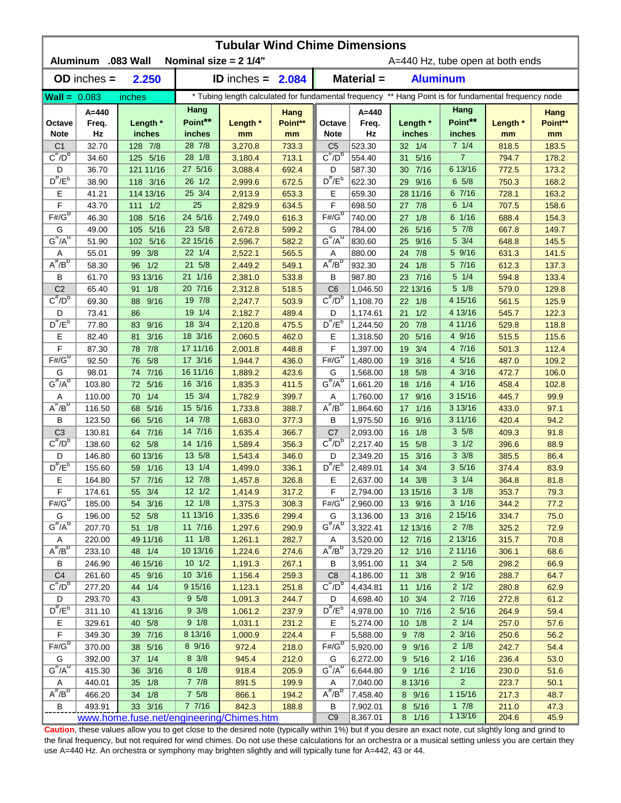|                                          | <b>Tubular Wind Chime Dimensions</b><br>Aluminum .083 Wall<br>Nominal size = 2 1/4"<br>A=440 Hz, tube open at both ends |                                          |                     |                                                                                                      |                |                                          |                      |                         |                          |                |                |  |  |  |
|------------------------------------------|-------------------------------------------------------------------------------------------------------------------------|------------------------------------------|---------------------|------------------------------------------------------------------------------------------------------|----------------|------------------------------------------|----------------------|-------------------------|--------------------------|----------------|----------------|--|--|--|
|                                          |                                                                                                                         |                                          |                     |                                                                                                      |                |                                          |                      |                         |                          |                |                |  |  |  |
|                                          | $OD$ inches $=$                                                                                                         | 2.250                                    |                     | <b>ID</b> inches = $2.084$                                                                           |                |                                          | Material =           | <b>Aluminum</b>         |                          |                |                |  |  |  |
| <b>Wall = <math>0.083</math></b>         |                                                                                                                         | inches                                   |                     | * Tubing length calculated for fundamental frequency ** Hang Point is for fundamental frequency node |                |                                          |                      |                         |                          |                |                |  |  |  |
|                                          | $A = 440$                                                                                                               |                                          | Hang                |                                                                                                      | Hang           |                                          | $A = 440$            |                         | Hang                     |                | Hang           |  |  |  |
| Octave                                   | Freq.                                                                                                                   | Length *                                 | Point**             | Length *                                                                                             | Point**        | Octave                                   | Freq.                | Length *                | Point**                  | Length *       | Point**        |  |  |  |
| <b>Note</b>                              | Hz                                                                                                                      | inches                                   | inches<br>28 7/8    | mm                                                                                                   | mm             | <b>Note</b>                              | Hz<br>523.30         | inches                  | inches<br>71/4           | mm             | mm             |  |  |  |
| C <sub>1</sub><br>$C^{\#}/D^b$           | 32.70<br>34.60                                                                                                          | 128 7/8<br>125 5/16                      | 28 1/8              | 3,270.8<br>3,180.4                                                                                   | 733.3<br>713.1 | C <sub>5</sub><br>$C^{\pi}/D^b$          | 554.40               | 32 1/4<br>31 5/16       | $\overline{7}$           | 818.5<br>794.7 | 183.5<br>178.2 |  |  |  |
| D                                        | 36.70                                                                                                                   | 121 11/16                                | 27 5/16             | 3,088.4                                                                                              | 692.4          | D                                        | 587.30               | 30 7/16                 | 6 13/16                  | 772.5          | 173.2          |  |  |  |
| $D^{\#}/E^b$                             | 38.90                                                                                                                   | 118 3/16                                 | $26 \frac{1}{2}$    | 2,999.6                                                                                              | 672.5          | $D^{\#}/E^b$                             | 622.30               | 29 9/16                 | $6\;5/8$                 | 750.3          | 168.2          |  |  |  |
| Е                                        | 41.21                                                                                                                   | 114 13/16                                | 25 3/4              | 2,913.9                                                                                              | 653.3          | Е                                        | 659.30               | 28 11/16                | 6 7/16                   | 728.1          | 163.2          |  |  |  |
| F                                        | 43.70                                                                                                                   | 111<br>1/2                               | 25                  | 2,829.9                                                                                              | 634.5          | F                                        | 698.50               | 27 7/8                  | $6 \t1/4$                | 707.5          | 158.6          |  |  |  |
| $F# / G^D$                               | 46.30                                                                                                                   | 5/16<br>108                              | 24 5/16             | 2,749.0                                                                                              | 616.3          | $F#/\overline{G}^D$                      | 740.00               | 1/8<br>27               | 6 1/16                   | 688.4          | 154.3          |  |  |  |
| G                                        | 49.00                                                                                                                   | 5/16<br>105                              | 23 5/8              | 2,672.8                                                                                              | 599.2          | G                                        | 784.00               | 5/16<br>26              | 5 7/8                    | 667.8          | 149.7          |  |  |  |
| $G^{\#}/A^{\sigma}$                      | 51.90                                                                                                                   | 102 5/16                                 | 22 15/16            | 2,596.7                                                                                              | 582.2          | $G^{\overline{n}}/A^D$                   | 830.60               | 9/16<br>25              | 5 3/4                    | 648.8          | 145.5          |  |  |  |
| Α                                        | 55.01                                                                                                                   | 3/8<br>99                                | $22 \t1/4$          | 2,522.1                                                                                              | 565.5          | Α                                        | 880.00               | 24 7/8                  | 5 9/16                   | 631.3          | 141.5          |  |  |  |
| $A^{\#}/B^{\sigma}$                      | 58.30                                                                                                                   | 1/2<br>96                                | 21 5/8              | 2,449.2                                                                                              | 549.1          | $A^H/B^D$                                | 932.30               | 1/8<br>24               | 5 7/16                   | 612.3          | 137.3          |  |  |  |
| В                                        | 61.70                                                                                                                   | 93 13/16                                 | 21 1/16             | 2,381.0                                                                                              | 533.8          | В                                        | 987.80               | 23 7/16                 | $5 \t1/4$                | 594.8          | 133.4          |  |  |  |
| C <sub>2</sub>                           | 65.40                                                                                                                   | 1/8<br>91                                | 20 7/16             | 2,312.8                                                                                              | 518.5          | C <sub>6</sub>                           | 1,046.50             | 22 13/16                | $5 \frac{1}{8}$          | 579.0          | 129.8          |  |  |  |
| $C^{\#}/D^D$                             | 69.30                                                                                                                   | 9/16<br>88                               | 19 7/8              | 2,247.7                                                                                              | 503.9          | $C^{\prime\prime}/D^D$                   | 1,108.70             | 22 1/8                  | 4 15/16                  | 561.5          | 125.9          |  |  |  |
| D                                        | 73.41                                                                                                                   | 86                                       | 19 1/4              | 2,182.7                                                                                              | 489.4          | D                                        | 1,174.61             | 1/2<br>21               | 4 13/16                  | 545.7          | 122.3          |  |  |  |
| $D^{\frac{\pi}{}}/E^b$                   | 77.80                                                                                                                   | 9/16<br>83                               | 18 3/4              | 2,120.8                                                                                              | 475.5          | $D^{\pi}/E^b$                            | 1,244.50             | 20 7/8                  | 4 11/16                  | 529.8          | 118.8          |  |  |  |
| Е                                        | 82.40                                                                                                                   | 3/16<br>81                               | 18 3/16             | 2,060.5                                                                                              | 462.0          | Е                                        | 1,318.50             | 5/16<br>20              | 4 9/16                   | 515.5          | 115.6          |  |  |  |
| F<br>$F# / G^D$                          | 87.30                                                                                                                   | 7/8<br>78                                | 17 11/16<br>17 3/16 | 2,001.8                                                                                              | 448.8          | F<br>$F#/\overline{G}^D$                 | 1,397.00             | 3/4<br>19               | 4 7/16<br>4 5/16         | 501.3          | 112.4          |  |  |  |
| G                                        | 92.50<br>98.01                                                                                                          | 5/8<br>76<br>7/16<br>74                  | 16 11/16            | 1,944.7<br>1,889.2                                                                                   | 436.0<br>423.6 | G                                        | 1,480.00<br>1,568.00 | 3/16<br>19<br>18<br>5/8 | 4 3/16                   | 487.0<br>472.7 | 109.2<br>106.0 |  |  |  |
| $G^{\#}/A^D$                             | 103.80                                                                                                                  | 5/16<br>72                               | 16 3/16             | 1,835.3                                                                                              | 411.5          | $G^{\overline{n}}/A^D$                   | 1,661.20             | 1/16<br>18              | 4 1/16                   | 458.4          | 102.8          |  |  |  |
| Α                                        | 110.00                                                                                                                  | 1/4<br>70                                | 15 3/4              | 1,782.9                                                                                              | 399.7          | Α                                        | 1,760.00             | 9/16<br>17              | 3 15/16                  | 445.7          | 99.9           |  |  |  |
| $A^{\#}/B^{\sigma}$                      | 116.50                                                                                                                  | 5/16<br>68                               | 15 5/16             | 1,733.8                                                                                              | 388.7          | $A^H/B^U$                                | 1,864.60             | 1/16<br>17              | 3 13/16                  | 433.0          | 97.1           |  |  |  |
| В                                        | 123.50                                                                                                                  | 5/16<br>66                               | 14 7/8              | 1,683.0                                                                                              | 377.3          | В                                        | 1,975.50             | 16 9/16                 | 311/16                   | 420.4          | 94.2           |  |  |  |
| C <sub>3</sub>                           | 130.81                                                                                                                  | $7/16$<br>64                             | 14 7/16             | 1,635.4                                                                                              | 366.7          | C <sub>7</sub>                           | 2.093.00             | 1/8<br>16               | 35/8                     | 409.3          | 91.8           |  |  |  |
| $C^{\prime\prime}/D^b$                   | 138.60                                                                                                                  | 62 5/8                                   | 14 1/16             | 1,589.4                                                                                              | 356.3          | $C^{\#}/D^D$                             | 2,217.40             | 15 5/8                  | $3 \frac{1}{2}$          | 396.6          | 88.9           |  |  |  |
| D                                        | 146.80                                                                                                                  | 60 13/16                                 | 13 5/8              | 1,543.4                                                                                              | 346.0          | D                                        | 2,349.20             | 15 3/16                 | $3 \frac{3}{8}$          | 385.5          | 86.4           |  |  |  |
| $D^{\#}/E^b$                             | 155.60                                                                                                                  | 59 1/16                                  | 13 1/4              | 1,499.0                                                                                              | 336.1          | $D^{\#}/E^b$                             | 2,489.01             | $14 \t3/4$              | 35/16                    | 374.4          | 83.9           |  |  |  |
| E                                        | 164.80                                                                                                                  | 57 7/16                                  | 12 7/8              | 1,457.8                                                                                              | 326.8          | Е                                        | 2,637.00             | 14 3/8                  | $3 \t1/4$                | 364.8          | 81.8           |  |  |  |
| F                                        | 174.61                                                                                                                  | 55 3/4                                   | $12 \frac{1}{2}$    | 1,414.9                                                                                              | 317.2          | F                                        | 2,794.00             | 13 15/16                | 3 1/8                    | 353.7          | 79.3           |  |  |  |
| $F# / G^D$                               | 185.00                                                                                                                  | 54 3/16                                  | $12 \frac{1}{8}$    | 1,375.3                                                                                              | 308.3          | $F#/\overline{G}^{\mathbb{D}}$           | 2,960.00             | 13 9/16                 | $3 \frac{1}{16}$         | 344.2          | 77.2           |  |  |  |
| G                                        | 196.00                                                                                                                  | 52 5/8                                   | 11 13/16            | 1,335.6                                                                                              | 299.4          | G                                        | 3,136.00             | 13 3/16                 | 2 15/16                  | 334.7          | 75.0           |  |  |  |
| $G^{\#}/A^D$                             | 207.70                                                                                                                  | 51 1/8                                   | 11 7/16             | 1,297.6                                                                                              | 290.9          | $G''/A^D$                                | 3,322.41             | 12 13/16                | $2 \t7/8$                | 325.2          | 72.9           |  |  |  |
| A                                        | 220.00                                                                                                                  | 49 11/16                                 | $11 \t1/8$          | 1,261.1                                                                                              | 282.7          | A                                        | 3,520.00             | 12 7/16                 | 2 13/16                  | 315.7          | 70.8           |  |  |  |
| $A^{\#}/B^D$                             | 233.10                                                                                                                  | 48 1/4                                   | 10 13/16            | 1,224.6                                                                                              | 274.6          | $A^{\#}/B^D$                             | 3,729.20             | 12 1/16                 | 2 11/16                  | 306.1          | 68.6           |  |  |  |
| В                                        | 246.90                                                                                                                  | 46 15/16                                 | $10 \frac{1}{2}$    | 1,191.3                                                                                              | 267.1          | В                                        | 3,951.00             | $11 \t3/4$              | $2\,5/8$                 | 298.2          | 66.9           |  |  |  |
| C <sub>4</sub><br>$C^{\frac{\pi}{}}/D^b$ | 261.60                                                                                                                  | 45 9/16                                  | 10 3/16             | 1,156.4                                                                                              | 259.3          | C <sub>8</sub><br>$C^{\frac{\pi}{}}/D^b$ | 4,186.00             | 11 3/8                  | 29/16                    | 288.7          | 64.7           |  |  |  |
| D                                        | 277.20<br>293.70                                                                                                        | 44 1/4<br>43                             | 9 15/16<br>$9\;5/8$ | 1,123.1                                                                                              | 251.8<br>244.7 | D                                        | 4,434.81             | 11 1/16<br>10 3/4       | $2 \frac{1}{2}$<br>27/16 | 280.8          | 62.9           |  |  |  |
| $D^{\frac{\pi}{r}}/E^b$                  | 311.10                                                                                                                  | 41 13/16                                 | $9 \frac{3}{8}$     | 1,091.3<br>1,061.2                                                                                   | 237.9          | $D^{\#}/E^b$                             | 4,698.40<br>4,978.00 | 10 7/16                 | $2\;5/16$                | 272.8<br>264.9 | 61.2<br>59.4   |  |  |  |
| Е                                        | 329.61                                                                                                                  | 40 5/8                                   | 9 1/8               | 1,031.1                                                                                              | 231.2          | Е                                        | 5,274.00             | $10 \t1/8$              | $2 \t1/4$                | 257.0          | 57.6           |  |  |  |
| F                                        | 349.30                                                                                                                  | 39 7/16                                  | 8 13/16             | 1,000.9                                                                                              | 224.4          | F                                        | 5,588.00             | $9 \t7/8$               | $2 \frac{3}{16}$         | 250.6          | 56.2           |  |  |  |
| $F# / G^D$                               | 370.00                                                                                                                  | 38 5/16                                  | 8 9/16              | 972.4                                                                                                | 218.0          | $F# / G^D$                               | 5,920.00             | 9 9/16                  | $2 \frac{1}{8}$          | 242.7          | 54.4           |  |  |  |
| G                                        | 392.00                                                                                                                  | 37 1/4                                   | $8 \frac{3}{8}$     | 945.4                                                                                                | 212.0          | G                                        | 6,272.00             | 9 5/16                  | 2 1/16                   | 236.4          | 53.0           |  |  |  |
| $G^{\#}/A^D$                             | 415.30                                                                                                                  | 36<br>3/16                               | $8 \t1/8$           | 918.4                                                                                                | 205.9          | $G^H/A^D$                                | 6,644.80             | 9 1/16                  | 2 1/16                   | 230.0          | 51.6           |  |  |  |
| A                                        | 440.01                                                                                                                  | 35<br>1/8                                | $7 \t7/8$           | 891.5                                                                                                | 199.9          | A                                        | 7,040.00             | 8 13/16                 | $\overline{2}$           | 223.7          | 50.1           |  |  |  |
| $A^{\#}/B^D$                             | 466.20                                                                                                                  | 34 1/8                                   | $7\frac{5}{8}$      | 866.1                                                                                                | 194.2          | $A^H/B^D$                                | 7,458.40             | 8 9/16                  | 1 15/16                  | 217.3          | 48.7           |  |  |  |
| В                                        | 493.91                                                                                                                  | 33 3/16                                  | 7 7/16              | 842.3                                                                                                | 188.8          | В                                        | 7,902.01             | 8 5/16                  | 17/8                     | 211.0          | 47.3           |  |  |  |
|                                          |                                                                                                                         | www.home.fuse.net/engineering/Chimes.htm |                     |                                                                                                      |                | C <sub>9</sub>                           | 8,367.01             | 8 1/16                  | 113/16                   | 204.6          | 45.9           |  |  |  |